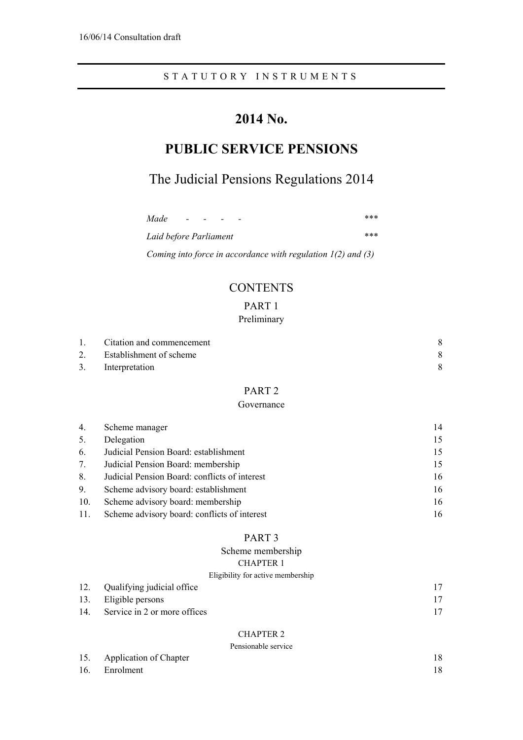# **2014 No.**

# **PUBLIC SERVICE PENSIONS**

# The Judicial Pensions Regulations 2014

| Made                   | $\sim$ 100 $\sim$ | $\overline{\phantom{a}}$ | $\overline{\phantom{0}}$ | $\overline{\phantom{0}}$ |  |  | *** |
|------------------------|-------------------|--------------------------|--------------------------|--------------------------|--|--|-----|
| Laid before Parliament |                   |                          |                          |                          |  |  | *** |

*Coming into force in accordance with regulation 1(2) and (3)* 

# **CONTENTS**

# PART 1

## Preliminary

| 1.             | Citation and commencement |  |
|----------------|---------------------------|--|
| 2 <sub>1</sub> | Establishment of scheme   |  |
| 3.             | Interpretation            |  |

# PART 2

## Governance

| 4.  | Scheme manager                                | 14 |
|-----|-----------------------------------------------|----|
| 5.  | Delegation                                    | 15 |
| 6.  | Judicial Pension Board: establishment         | 15 |
| 7.  | Judicial Pension Board: membership            | 15 |
| 8.  | Judicial Pension Board: conflicts of interest | 16 |
| 9.  | Scheme advisory board: establishment          | 16 |
| 10. | Scheme advisory board: membership             | 16 |
| 11. | Scheme advisory board: conflicts of interest  | 16 |

## PART 3

## Scheme membership

## CHAPTER 1

## Eligibility for active membership

|     | 12. Qualifying judicial office |  |
|-----|--------------------------------|--|
|     | 13. Eligible persons           |  |
| 14. | Service in 2 or more offices   |  |

## CHAPTER 2

## Pensionable service

| T Choromagie sei viec      |  |  |  |
|----------------------------|--|--|--|
| 15. Application of Chapter |  |  |  |
| 16. Enrolment              |  |  |  |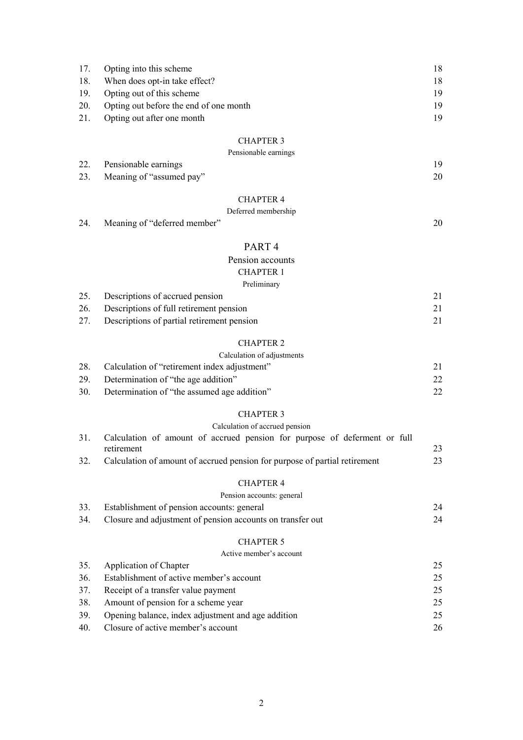|     | 17. Opting into this scheme            | 18. |
|-----|----------------------------------------|-----|
| 18. | When does opt-in take effect?          | 18. |
|     | 19. Opting out of this scheme          | 19  |
| 20. | Opting out before the end of one month | 19  |
|     | 21. Opting out after one month         | 19  |

|                          | Pensionable earnings |  |
|--------------------------|----------------------|--|
| 22. Pensionable earnings |                      |  |

| 23. Meaning of "assumed pay" |  |
|------------------------------|--|
|                              |  |

# CHAPTER 4

## Deferred membership

24. Meaning of "deferred member" 20

# PART 4

## Pension accounts CHAPTER 1 Preliminary

| 25. | Descriptions of accrued pension            |  |
|-----|--------------------------------------------|--|
| 26. | Descriptions of full retirement pension    |  |
| 27. | Descriptions of partial retirement pension |  |

## CHAPTER 2

|     | Calculation of adjustments                   |  |
|-----|----------------------------------------------|--|
| 28. | Calculation of "retirement index adjustment" |  |
| 29. | Determination of "the age addition"          |  |
| 30. | Determination of "the assumed age addition"  |  |

## CHAPTER 3

|  |  | Calculation of accrued pension |
|--|--|--------------------------------|
|  |  |                                |

|     | Calculation of amount of accrued pension for purpose of deferment or full  |    |
|-----|----------------------------------------------------------------------------|----|
|     | retirement                                                                 | 23 |
| 32. | Calculation of amount of accrued pension for purpose of partial retirement | 23 |

### CHAPTER 4

# Pension accounts: general

| 33. | Establishment of pension accounts: general                 | 24 |
|-----|------------------------------------------------------------|----|
| 34. | Closure and adjustment of pension accounts on transfer out | 24 |

## CHAPTER 5

|     | Active member's account                            |    |
|-----|----------------------------------------------------|----|
| 35. | Application of Chapter                             | 25 |
| 36. | Establishment of active member's account           | 25 |
| 37. | Receipt of a transfer value payment                | 25 |
| 38. | Amount of pension for a scheme year                | 25 |
| 39. | Opening balance, index adjustment and age addition | 25 |
| 40. | Closure of active member's account                 | 26 |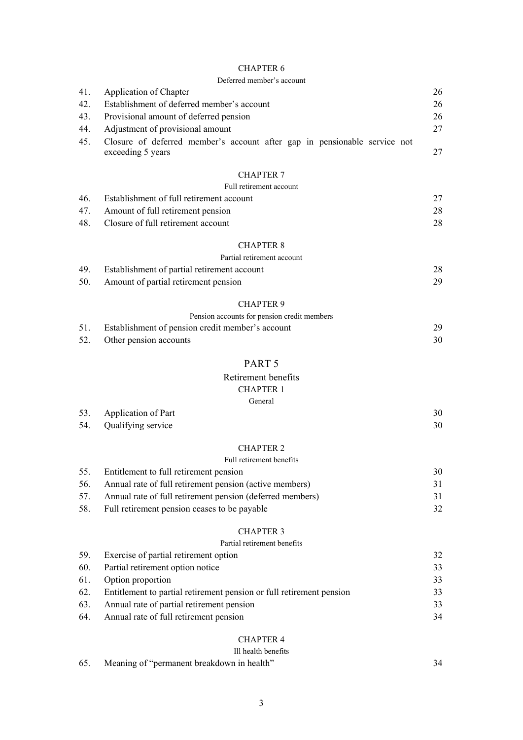| 41.<br>42.<br>43.<br>44.<br>45. | Application of Chapter<br>Establishment of deferred member's account<br>Provisional amount of deferred pension<br>Adjustment of provisional amount<br>Closure of deferred member's account after gap in pensionable service not<br>exceeding 5 years | 26<br>26<br>26<br>27<br>27 |
|---------------------------------|------------------------------------------------------------------------------------------------------------------------------------------------------------------------------------------------------------------------------------------------------|----------------------------|
|                                 | <b>CHAPTER 7</b>                                                                                                                                                                                                                                     |                            |
|                                 | Full retirement account                                                                                                                                                                                                                              |                            |
| 46.                             | Establishment of full retirement account                                                                                                                                                                                                             | 27                         |
| 47.                             | Amount of full retirement pension                                                                                                                                                                                                                    | 28                         |
| 48.                             | Closure of full retirement account                                                                                                                                                                                                                   | 28                         |
|                                 | <b>CHAPTER 8</b>                                                                                                                                                                                                                                     |                            |
|                                 | Partial retirement account                                                                                                                                                                                                                           |                            |
| 49.                             | Establishment of partial retirement account                                                                                                                                                                                                          | 28                         |
| 50.                             | Amount of partial retirement pension                                                                                                                                                                                                                 | 29                         |
|                                 | <b>CHAPTER 9</b>                                                                                                                                                                                                                                     |                            |
|                                 | Pension accounts for pension credit members                                                                                                                                                                                                          |                            |
| 51.                             | Establishment of pension credit member's account                                                                                                                                                                                                     | 29                         |
| 52.                             | Other pension accounts                                                                                                                                                                                                                               | 30                         |
|                                 | PART <sub>5</sub>                                                                                                                                                                                                                                    |                            |
|                                 | Retirement benefits                                                                                                                                                                                                                                  |                            |
|                                 | <b>CHAPTER 1</b>                                                                                                                                                                                                                                     |                            |
|                                 | General                                                                                                                                                                                                                                              |                            |
| 53.                             | Application of Part                                                                                                                                                                                                                                  | 30                         |
| 54.                             | Qualifying service                                                                                                                                                                                                                                   | 30                         |
|                                 | <b>CHAPTER 2</b>                                                                                                                                                                                                                                     |                            |
|                                 | Full retirement benefits                                                                                                                                                                                                                             |                            |
| 55.                             | Entitlement to full retirement pension                                                                                                                                                                                                               | 30                         |
| 56.                             | Annual rate of full retirement pension (active members)                                                                                                                                                                                              | 31                         |
| 57.                             | Annual rate of full retirement pension (deferred members)                                                                                                                                                                                            | 31                         |
| 58.                             | Full retirement pension ceases to be payable                                                                                                                                                                                                         | 32                         |
|                                 | <b>CHAPTER 3</b>                                                                                                                                                                                                                                     |                            |
|                                 | Partial retirement benefits                                                                                                                                                                                                                          |                            |
| 59.                             | Exercise of partial retirement option                                                                                                                                                                                                                | 32                         |
| 60.                             | Partial retirement option notice                                                                                                                                                                                                                     | 33                         |
| 61.                             | Option proportion                                                                                                                                                                                                                                    | 33                         |
| 62.                             | Entitlement to partial retirement pension or full retirement pension                                                                                                                                                                                 | 33                         |
| 63.                             | Annual rate of partial retirement pension                                                                                                                                                                                                            | 33                         |
| 64.                             | Annual rate of full retirement pension                                                                                                                                                                                                               | 34                         |
|                                 |                                                                                                                                                                                                                                                      |                            |

# CHAPTER 4

# Ill health benefits

| 65. | Meaning of "permanent breakdown in health" |  |
|-----|--------------------------------------------|--|
|     |                                            |  |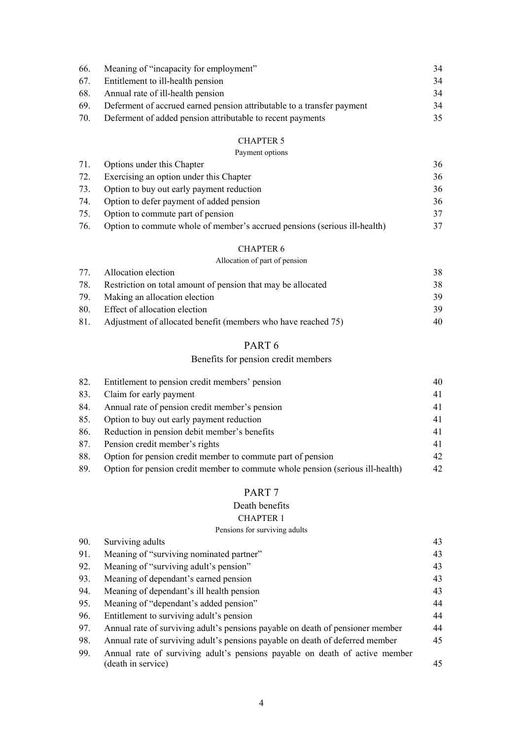| 66. | Meaning of "incapacity for employment"                                 | 34 |
|-----|------------------------------------------------------------------------|----|
|     | 67. Entitlement to ill-health pension                                  | 34 |
|     | 68. Annual rate of ill-health pension                                  | 34 |
| 69. | Deferment of accrued earned pension attributable to a transfer payment | 34 |
| 70. | Deferment of added pension attributable to recent payments             | 35 |

#### Payment options

|     | 71. Options under this Chapter                                            | 36 |
|-----|---------------------------------------------------------------------------|----|
| 72. | Exercising an option under this Chapter                                   | 36 |
| 73. | Option to buy out early payment reduction                                 | 36 |
| 74. | Option to defer payment of added pension                                  | 36 |
| 75. | Option to commute part of pension                                         | 37 |
| 76. | Option to commute whole of member's accrued pensions (serious ill-health) | 37 |

#### CHAPTER 6

## Allocation of part of pension

|     | 77. Allocation election                                       | 38 |
|-----|---------------------------------------------------------------|----|
| 78. | Restriction on total amount of pension that may be allocated  | 38 |
| 79. | Making an allocation election                                 | 39 |
|     | 80. Effect of allocation election                             | 39 |
| 81. | Adjustment of allocated benefit (members who have reached 75) | 40 |

# PART 6

## Benefits for pension credit members

| 82. | Entitlement to pension credit members' pension                                 | 40 |
|-----|--------------------------------------------------------------------------------|----|
| 83. | Claim for early payment                                                        | 41 |
| 84. | Annual rate of pension credit member's pension                                 | 41 |
| 85. | Option to buy out early payment reduction                                      | 41 |
| 86. | Reduction in pension debit member's benefits                                   | 41 |
| 87. | Pension credit member's rights                                                 | 41 |
| 88. | Option for pension credit member to commute part of pension                    | 42 |
| 89. | Option for pension credit member to commute whole pension (serious ill-health) | 42 |

## PART 7

## Death benefits

## CHAPTER 1

## Pensions for surviving adults

| Surviving adults                                                               | 43 |
|--------------------------------------------------------------------------------|----|
| Meaning of "surviving nominated partner"                                       | 43 |
| Meaning of "surviving adult's pension"                                         | 43 |
| Meaning of dependant's earned pension                                          | 43 |
| Meaning of dependant's ill health pension                                      | 43 |
| Meaning of "dependant's added pension"                                         | 44 |
| Entitlement to surviving adult's pension                                       | 44 |
| Annual rate of surviving adult's pensions payable on death of pensioner member | 44 |
| Annual rate of surviving adult's pensions payable on death of deferred member  | 45 |
| Annual rate of surviving adult's pensions payable on death of active member    |    |
| (death in service)                                                             | 45 |
|                                                                                |    |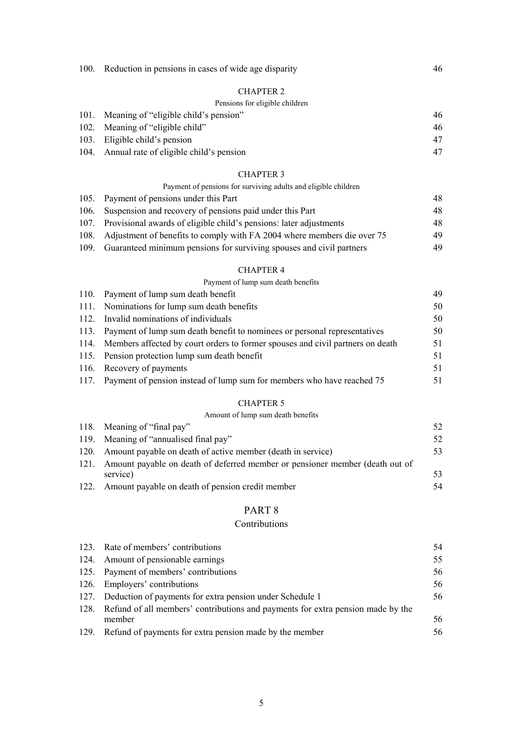|  | 100. Reduction in pensions in cases of wide age disparity |  |  |
|--|-----------------------------------------------------------|--|--|
|  |                                                           |  |  |

## Pensions for eligible children

| 101. Meaning of "eligible child's pension"   | 46 |
|----------------------------------------------|----|
| 102. Meaning of "eligible child"             | 46 |
| 103. Eligible child's pension                |    |
| 104. Annual rate of eligible child's pension |    |

## CHAPTER 3

|  |  |  | Payment of pensions for surviving adults and eligible children |  |
|--|--|--|----------------------------------------------------------------|--|
|  |  |  |                                                                |  |

|      | 105. Payment of pensions under this Part                                | 48 |
|------|-------------------------------------------------------------------------|----|
|      | 106. Suspension and recovery of pensions paid under this Part           | 48 |
| 107. | Provisional awards of eligible child's pensions: later adjustments      | 48 |
| 108. | Adjustment of benefits to comply with FA 2004 where members die over 75 | 49 |
| 109. | Guaranteed minimum pensions for surviving spouses and civil partners    | 49 |

#### CHAPTER 4

## Payment of lump sum death benefits

| 110. Payment of lump sum death benefit                                              | 49 |
|-------------------------------------------------------------------------------------|----|
| 111. Nominations for lump sum death benefits                                        | 50 |
| 112. Invalid nominations of individuals                                             | 50 |
| 113. Payment of lump sum death benefit to nominees or personal representatives      | 50 |
| 114. Members affected by court orders to former spouses and civil partners on death | 51 |
| 115. Pension protection lump sum death benefit                                      | 51 |
| 116. Recovery of payments                                                           | 51 |
| 117. Payment of pension instead of lump sum for members who have reached 75         | 51 |

## CHAPTER 5

## Amount of lump sum death benefits

|      | 118. Meaning of "final pay"                                                  | 52  |
|------|------------------------------------------------------------------------------|-----|
|      | 119. Meaning of "annualised final pay"                                       | 52  |
|      | 120. Amount payable on death of active member (death in service)             | 53. |
| 121. | Amount payable on death of deferred member or pensioner member (death out of |     |
|      | service)                                                                     | 53. |
|      | 122. Amount payable on death of pension credit member                        | 54  |

# PART 8

## Contributions

|      | 123. Rate of members' contributions                                             | 54 |
|------|---------------------------------------------------------------------------------|----|
|      | 124. Amount of pensionable earnings                                             | 55 |
|      | 125. Payment of members' contributions                                          | 56 |
|      | 126. Employers' contributions                                                   | 56 |
|      | 127. Deduction of payments for extra pension under Schedule 1                   | 56 |
| 128. | Refund of all members' contributions and payments for extra pension made by the |    |
|      | member                                                                          | 56 |
| 129. | Refund of payments for extra pension made by the member                         | 56 |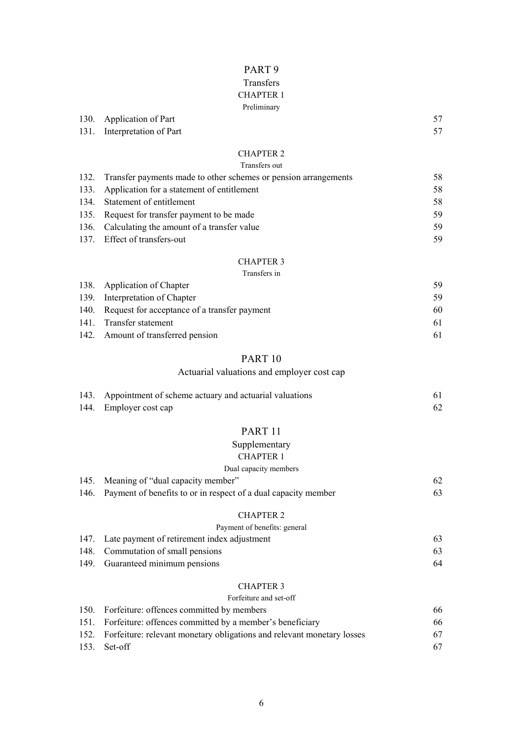# PART 9

# Transfers

# CHAPTER 1

## Preliminary

|                             | Preliminary      |    |
|-----------------------------|------------------|----|
| 130. Application of Part    |                  | 57 |
| 131. Interpretation of Part |                  | 57 |
|                             | <b>CHAPTER 2</b> |    |

# Transfers out

| 132. Transfer payments made to other schemes or pension arrangements | 58  |
|----------------------------------------------------------------------|-----|
| 133. Application for a statement of entitlement                      | 58  |
| 134. Statement of entitlement                                        | 58  |
| 135. Request for transfer payment to be made                         | 59  |
| 136. Calculating the amount of a transfer value                      | -59 |
| 137. Effect of transfers-out                                         | 59. |

# CHAPTER 3

## Transfers in

| 138. Application of Chapter                       | 59. |
|---------------------------------------------------|-----|
| 139. Interpretation of Chapter                    | 59  |
| 140. Request for acceptance of a transfer payment | 60  |
| 141. Transfer statement                           | 61  |
| 142. Amount of transferred pension                | 61  |

## PART 10

# Actuarial valuations and employer cost cap

| 143. Appointment of scheme actuary and actuarial valuations |  |
|-------------------------------------------------------------|--|
| 144. Employer cost cap                                      |  |

# PART 11

# Supplementary

## CHAPTER 1

## Dual capacity members

| 145. Meaning of "dual capacity member"                              |  |
|---------------------------------------------------------------------|--|
| 146. Payment of benefits to or in respect of a dual capacity member |  |

## CHAPTER 2

|      | Payment of benefits: general                     |    |  |  |
|------|--------------------------------------------------|----|--|--|
|      | 147. Late payment of retirement index adjustment | 63 |  |  |
|      | 148. Commutation of small pensions               | 63 |  |  |
| 149. | Guaranteed minimum pensions                      | 64 |  |  |

## CHAPTER 3

## Forfeiture and set-off

| 150. Forfeiture: offences committed by members                               | 66  |
|------------------------------------------------------------------------------|-----|
| 151. Forfeiture: offences committed by a member's beneficiary                | 66  |
| 152. For feiture: relevant monetary obligations and relevant monetary losses | 67  |
| 153. Set-off                                                                 | 67. |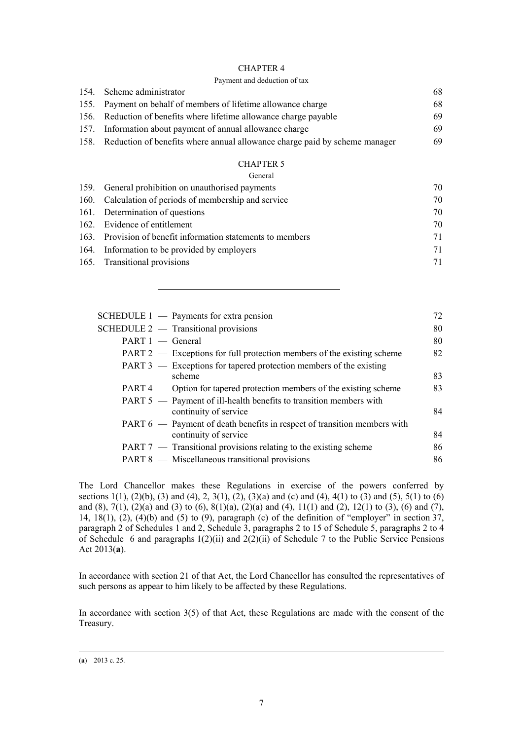#### Payment and deduction of tax

| 154. Scheme administrator                                                       | 68 |
|---------------------------------------------------------------------------------|----|
| 155. Payment on behalf of members of lifetime allowance charge                  | 68 |
| 156. Reduction of benefits where lifetime allowance charge payable              | 69 |
| 157. Information about payment of annual allowance charge                       | 69 |
| 158. Reduction of benefits where annual allowance charge paid by scheme manager | 69 |

#### CHAPTER 5

General

| 159. General prohibition on unauthorised payments           | 70 |
|-------------------------------------------------------------|----|
| 160. Calculation of periods of membership and service       | 70 |
| 161. Determination of questions                             | 70 |
| 162. Evidence of entitlement                                | 70 |
| 163. Provision of benefit information statements to members | 71 |
| 164. Information to be provided by employers                | 71 |
| 165. Transitional provisions                                | 71 |
|                                                             |    |

|                    | SCHEDULE $1 -$ Payments for extra pension                                | 72 |
|--------------------|--------------------------------------------------------------------------|----|
|                    | SCHEDULE $2$ — Transitional provisions                                   | 80 |
| $PART 1$ - General |                                                                          | 80 |
|                    | PART 2 — Exceptions for full protection members of the existing scheme   | 82 |
|                    | PART 3 — Exceptions for tapered protection members of the existing       |    |
|                    | scheme                                                                   | 83 |
|                    | PART 4 — Option for tapered protection members of the existing scheme    | 83 |
|                    | PART 5 — Payment of ill-health benefits to transition members with       |    |
|                    | continuity of service                                                    | 84 |
|                    | PART 6 — Payment of death benefits in respect of transition members with |    |
|                    | continuity of service                                                    | 84 |
|                    | PART 7 — Transitional provisions relating to the existing scheme         | 86 |
|                    | PART 8 — Miscellaneous transitional provisions                           | 86 |
|                    |                                                                          |    |

The Lord Chancellor makes these Regulations in exercise of the powers conferred by sections 1(1), (2)(b), (3) and (4), 2, 3(1), (2), (3)(a) and (c) and (4), 4(1) to (3) and (5), 5(1) to (6) and (8), 7(1), (2)(a) and (3) to (6), 8(1)(a), (2)(a) and (4), 11(1) and (2), 12(1) to (3), (6) and (7), 14,  $18(1)$ ,  $(2)$ ,  $(4)(b)$  and  $(5)$  to  $(9)$ , paragraph  $(c)$  of the definition of "employer" in section 37, paragraph 2 of Schedules 1 and 2, Schedule 3, paragraphs 2 to 15 of Schedule 5, paragraphs 2 to 4 of Schedule 6 and paragraphs 1(2)(ii) and 2(2)(ii) of Schedule 7 to the Public Service Pensions Act 2013(**a**).

In accordance with section 21 of that Act, the Lord Chancellor has consulted the representatives of such persons as appear to him likely to be affected by these Regulations.

In accordance with section 3(5) of that Act, these Regulations are made with the consent of the Treasury.

 <sup>(</sup>**a**) 2013 c. 25.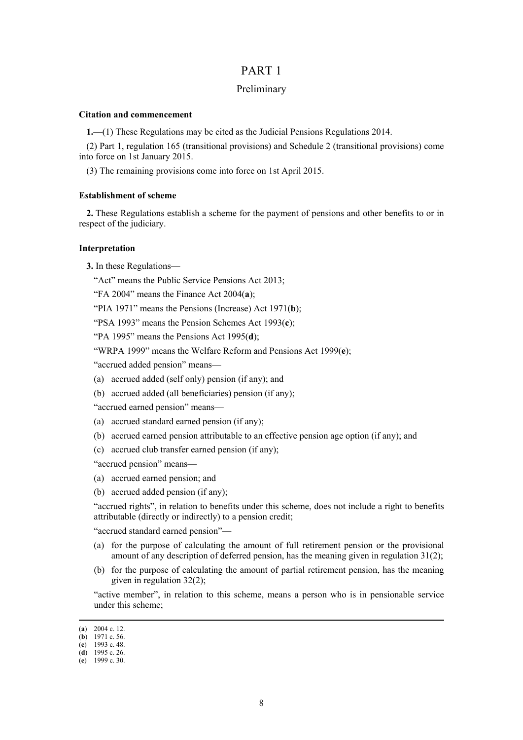## PART 1

## Preliminary

#### **Citation and commencement**

**1.**—(1) These Regulations may be cited as the Judicial Pensions Regulations 2014.

(2) Part 1, regulation 165 (transitional provisions) and Schedule 2 (transitional provisions) come into force on 1st January 2015.

(3) The remaining provisions come into force on 1st April 2015.

#### **Establishment of scheme**

**2.** These Regulations establish a scheme for the payment of pensions and other benefits to or in respect of the judiciary.

#### **Interpretation**

**3.** In these Regulations—

"Act" means the Public Service Pensions Act 2013;

"FA 2004" means the Finance Act 2004(**a**);

"PIA 1971" means the Pensions (Increase) Act 1971(**b**);

"PSA 1993" means the Pension Schemes Act 1993(**c**);

"PA 1995" means the Pensions Act 1995(**d**);

"WRPA 1999" means the Welfare Reform and Pensions Act 1999(**e**);

"accrued added pension" means—

- (a) accrued added (self only) pension (if any); and
- (b) accrued added (all beneficiaries) pension (if any);

"accrued earned pension" means—

- (a) accrued standard earned pension (if any);
- (b) accrued earned pension attributable to an effective pension age option (if any); and
- (c) accrued club transfer earned pension (if any);

"accrued pension" means—

- (a) accrued earned pension; and
- (b) accrued added pension (if any);

"accrued rights", in relation to benefits under this scheme, does not include a right to benefits attributable (directly or indirectly) to a pension credit;

"accrued standard earned pension"—

- (a) for the purpose of calculating the amount of full retirement pension or the provisional amount of any description of deferred pension, has the meaning given in regulation 31(2);
- (b) for the purpose of calculating the amount of partial retirement pension, has the meaning given in regulation 32(2);

"active member", in relation to this scheme, means a person who is in pensionable service under this scheme;

 <sup>(</sup>**a**) 2004 c. 12.

<sup>(</sup>**b**) 1971 c. 56.

<sup>(</sup>**c**) 1993 c. 48. (**d**) 1995 c. 26.

<sup>(</sup>**e**) 1999 c. 30.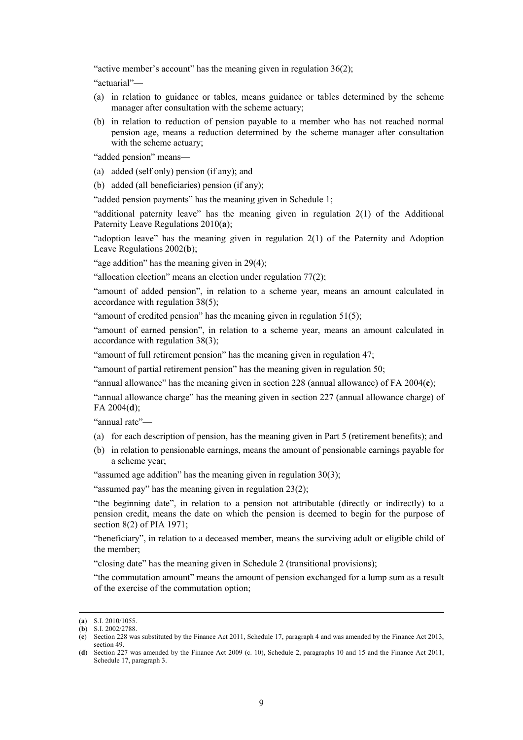"active member's account" has the meaning given in regulation 36(2);

"actuarial"—

- (a) in relation to guidance or tables, means guidance or tables determined by the scheme manager after consultation with the scheme actuary;
- (b) in relation to reduction of pension payable to a member who has not reached normal pension age, means a reduction determined by the scheme manager after consultation with the scheme actuary;

"added pension" means—

- (a) added (self only) pension (if any); and
- (b) added (all beneficiaries) pension (if any);

"added pension payments" has the meaning given in Schedule 1;

"additional paternity leave" has the meaning given in regulation 2(1) of the Additional Paternity Leave Regulations 2010(**a**);

"adoption leave" has the meaning given in regulation 2(1) of the Paternity and Adoption Leave Regulations 2002(**b**);

"age addition" has the meaning given in  $29(4)$ ;

"allocation election" means an election under regulation 77(2);

"amount of added pension", in relation to a scheme year, means an amount calculated in accordance with regulation 38(5);

"amount of credited pension" has the meaning given in regulation  $51(5)$ ;

"amount of earned pension", in relation to a scheme year, means an amount calculated in accordance with regulation 38(3);

"amount of full retirement pension" has the meaning given in regulation 47;

"amount of partial retirement pension" has the meaning given in regulation 50;

"annual allowance" has the meaning given in section 228 (annual allowance) of FA 2004(**c**);

"annual allowance charge" has the meaning given in section 227 (annual allowance charge) of FA 2004(**d**);

"annual rate"—

- (a) for each description of pension, has the meaning given in Part 5 (retirement benefits); and
- (b) in relation to pensionable earnings, means the amount of pensionable earnings payable for a scheme year;

"assumed age addition" has the meaning given in regulation 30(3);

"assumed pay" has the meaning given in regulation 23(2);

"the beginning date", in relation to a pension not attributable (directly or indirectly) to a pension credit, means the date on which the pension is deemed to begin for the purpose of section 8(2) of PIA 1971;

"beneficiary", in relation to a deceased member, means the surviving adult or eligible child of the member;

"closing date" has the meaning given in Schedule 2 (transitional provisions);

"the commutation amount" means the amount of pension exchanged for a lump sum as a result of the exercise of the commutation option;

 <sup>(</sup>**a**) S.I. 2010/1055.

<sup>(</sup>**b**) S.I. 2002/2788.

<sup>(</sup>**c**) Section 228 was substituted by the Finance Act 2011, Schedule 17, paragraph 4 and was amended by the Finance Act 2013, section 49.

<sup>(</sup>**d**) Section 227 was amended by the Finance Act 2009 (c. 10), Schedule 2, paragraphs 10 and 15 and the Finance Act 2011, Schedule 17, paragraph 3.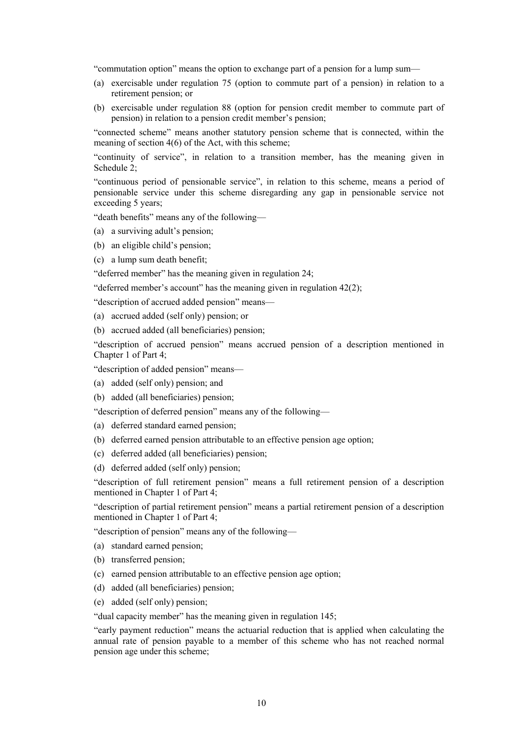"commutation option" means the option to exchange part of a pension for a lump sum—

- (a) exercisable under regulation 75 (option to commute part of a pension) in relation to a retirement pension; or
- (b) exercisable under regulation 88 (option for pension credit member to commute part of pension) in relation to a pension credit member's pension;

"connected scheme" means another statutory pension scheme that is connected, within the meaning of section 4(6) of the Act, with this scheme;

"continuity of service", in relation to a transition member, has the meaning given in Schedule 2;

"continuous period of pensionable service", in relation to this scheme, means a period of pensionable service under this scheme disregarding any gap in pensionable service not exceeding 5 years;

"death benefits" means any of the following—

- (a) a surviving adult's pension;
- (b) an eligible child's pension;
- (c) a lump sum death benefit;

"deferred member" has the meaning given in regulation 24;

"deferred member's account" has the meaning given in regulation  $42(2)$ ;

"description of accrued added pension" means—

- (a) accrued added (self only) pension; or
- (b) accrued added (all beneficiaries) pension;

"description of accrued pension" means accrued pension of a description mentioned in Chapter 1 of Part 4;

"description of added pension" means—

- (a) added (self only) pension; and
- (b) added (all beneficiaries) pension;

"description of deferred pension" means any of the following—

- (a) deferred standard earned pension;
- (b) deferred earned pension attributable to an effective pension age option;
- (c) deferred added (all beneficiaries) pension;
- (d) deferred added (self only) pension;

"description of full retirement pension" means a full retirement pension of a description mentioned in Chapter 1 of Part 4;

"description of partial retirement pension" means a partial retirement pension of a description mentioned in Chapter 1 of Part 4;

"description of pension" means any of the following—

- (a) standard earned pension;
- (b) transferred pension;
- (c) earned pension attributable to an effective pension age option;
- (d) added (all beneficiaries) pension;
- (e) added (self only) pension;

"dual capacity member" has the meaning given in regulation 145;

"early payment reduction" means the actuarial reduction that is applied when calculating the annual rate of pension payable to a member of this scheme who has not reached normal pension age under this scheme;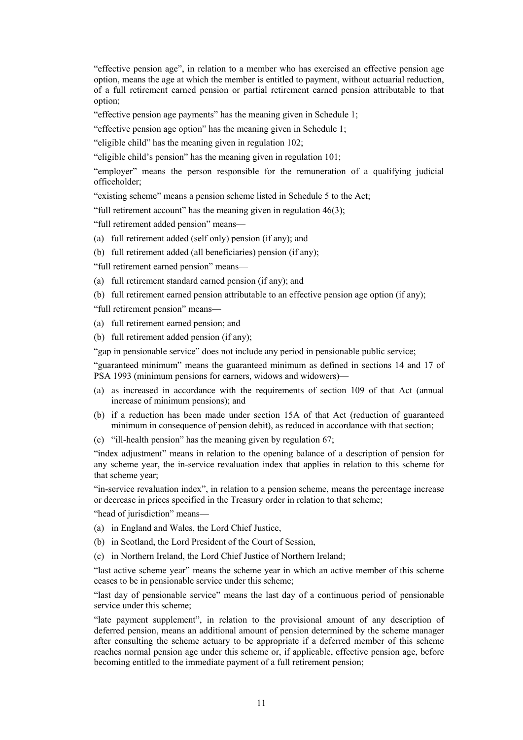"effective pension age", in relation to a member who has exercised an effective pension age option, means the age at which the member is entitled to payment, without actuarial reduction, of a full retirement earned pension or partial retirement earned pension attributable to that option;

"effective pension age payments" has the meaning given in Schedule 1;

"effective pension age option" has the meaning given in Schedule 1;

"eligible child" has the meaning given in regulation 102;

"eligible child's pension" has the meaning given in regulation 101;

"employer" means the person responsible for the remuneration of a qualifying judicial officeholder;

"existing scheme" means a pension scheme listed in Schedule 5 to the Act;

"full retirement account" has the meaning given in regulation 46(3);

"full retirement added pension" means—

- (a) full retirement added (self only) pension (if any); and
- (b) full retirement added (all beneficiaries) pension (if any);

"full retirement earned pension" means—

- (a) full retirement standard earned pension (if any); and
- (b) full retirement earned pension attributable to an effective pension age option (if any);

"full retirement pension" means—

- (a) full retirement earned pension; and
- (b) full retirement added pension (if any);

"gap in pensionable service" does not include any period in pensionable public service;

"guaranteed minimum" means the guaranteed minimum as defined in sections 14 and 17 of PSA 1993 (minimum pensions for earners, widows and widowers)—

- (a) as increased in accordance with the requirements of section 109 of that Act (annual increase of minimum pensions); and
- (b) if a reduction has been made under section 15A of that Act (reduction of guaranteed minimum in consequence of pension debit), as reduced in accordance with that section;
- (c) "ill-health pension" has the meaning given by regulation 67;

"index adjustment" means in relation to the opening balance of a description of pension for any scheme year, the in-service revaluation index that applies in relation to this scheme for that scheme year;

"in-service revaluation index", in relation to a pension scheme, means the percentage increase or decrease in prices specified in the Treasury order in relation to that scheme;

"head of jurisdiction" means—

- (a) in England and Wales, the Lord Chief Justice,
- (b) in Scotland, the Lord President of the Court of Session,
- (c) in Northern Ireland, the Lord Chief Justice of Northern Ireland;

"last active scheme year" means the scheme year in which an active member of this scheme ceases to be in pensionable service under this scheme;

"last day of pensionable service" means the last day of a continuous period of pensionable service under this scheme;

"late payment supplement", in relation to the provisional amount of any description of deferred pension, means an additional amount of pension determined by the scheme manager after consulting the scheme actuary to be appropriate if a deferred member of this scheme reaches normal pension age under this scheme or, if applicable, effective pension age, before becoming entitled to the immediate payment of a full retirement pension;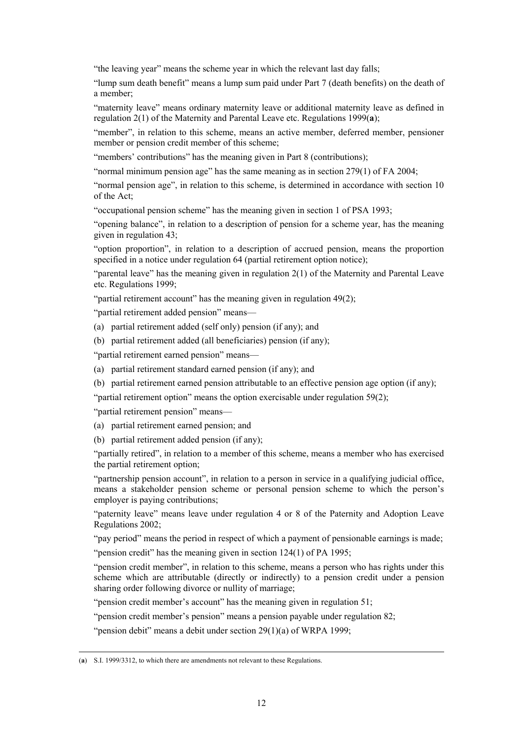"the leaving year" means the scheme year in which the relevant last day falls;

"lump sum death benefit" means a lump sum paid under Part 7 (death benefits) on the death of a member;

"maternity leave" means ordinary maternity leave or additional maternity leave as defined in regulation 2(1) of the Maternity and Parental Leave etc. Regulations 1999(**a**);

"member", in relation to this scheme, means an active member, deferred member, pensioner member or pension credit member of this scheme;

"members' contributions" has the meaning given in Part 8 (contributions);

"normal minimum pension age" has the same meaning as in section 279(1) of FA 2004;

"normal pension age", in relation to this scheme, is determined in accordance with section 10 of the Act;

"occupational pension scheme" has the meaning given in section 1 of PSA 1993;

"opening balance", in relation to a description of pension for a scheme year, has the meaning given in regulation 43;

"option proportion", in relation to a description of accrued pension, means the proportion specified in a notice under regulation 64 (partial retirement option notice);

"parental leave" has the meaning given in regulation 2(1) of the Maternity and Parental Leave etc. Regulations 1999;

"partial retirement account" has the meaning given in regulation 49(2);

"partial retirement added pension" means—

(a) partial retirement added (self only) pension (if any); and

(b) partial retirement added (all beneficiaries) pension (if any);

"partial retirement earned pension" means—

(a) partial retirement standard earned pension (if any); and

(b) partial retirement earned pension attributable to an effective pension age option (if any);

"partial retirement option" means the option exercisable under regulation 59(2);

"partial retirement pension" means—

- (a) partial retirement earned pension; and
- (b) partial retirement added pension (if any);

"partially retired", in relation to a member of this scheme, means a member who has exercised the partial retirement option;

"partnership pension account", in relation to a person in service in a qualifying judicial office, means a stakeholder pension scheme or personal pension scheme to which the person's employer is paying contributions;

"paternity leave" means leave under regulation 4 or 8 of the Paternity and Adoption Leave Regulations 2002;

"pay period" means the period in respect of which a payment of pensionable earnings is made;

"pension credit" has the meaning given in section 124(1) of PA 1995;

"pension credit member", in relation to this scheme, means a person who has rights under this scheme which are attributable (directly or indirectly) to a pension credit under a pension sharing order following divorce or nullity of marriage;

"pension credit member's account" has the meaning given in regulation 51;

"pension credit member's pension" means a pension payable under regulation 82;

"pension debit" means a debit under section 29(1)(a) of WRPA 1999;

(**a**) S.I. 1999/3312, to which there are amendments not relevant to these Regulations.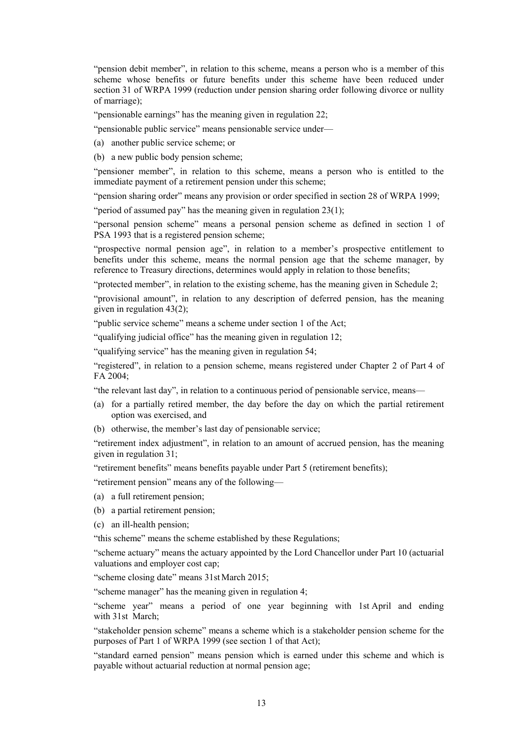"pension debit member", in relation to this scheme, means a person who is a member of this scheme whose benefits or future benefits under this scheme have been reduced under section 31 of WRPA 1999 (reduction under pension sharing order following divorce or nullity of marriage);

"pensionable earnings" has the meaning given in regulation 22;

"pensionable public service" means pensionable service under—

(a) another public service scheme; or

(b) a new public body pension scheme;

"pensioner member", in relation to this scheme, means a person who is entitled to the immediate payment of a retirement pension under this scheme;

"pension sharing order" means any provision or order specified in section 28 of WRPA 1999;

"period of assumed pay" has the meaning given in regulation 23(1);

"personal pension scheme" means a personal pension scheme as defined in section 1 of PSA 1993 that is a registered pension scheme;

"prospective normal pension age", in relation to a member's prospective entitlement to benefits under this scheme, means the normal pension age that the scheme manager, by reference to Treasury directions, determines would apply in relation to those benefits;

"protected member", in relation to the existing scheme, has the meaning given in Schedule 2;

"provisional amount", in relation to any description of deferred pension, has the meaning given in regulation 43(2);

"public service scheme" means a scheme under section 1 of the Act;

"qualifying judicial office" has the meaning given in regulation 12;

"qualifying service" has the meaning given in regulation 54;

"registered", in relation to a pension scheme, means registered under Chapter 2 of Part 4 of FA 2004;

"the relevant last day", in relation to a continuous period of pensionable service, means—

- (a) for a partially retired member, the day before the day on which the partial retirement option was exercised, and
- (b) otherwise, the member's last day of pensionable service;

"retirement index adjustment", in relation to an amount of accrued pension, has the meaning given in regulation 31;

"retirement benefits" means benefits payable under Part 5 (retirement benefits);

"retirement pension" means any of the following—

- (a) a full retirement pension;
- (b) a partial retirement pension;
- (c) an ill-health pension;

"this scheme" means the scheme established by these Regulations;

"scheme actuary" means the actuary appointed by the Lord Chancellor under Part 10 (actuarial valuations and employer cost cap;

"scheme closing date" means 31st March 2015;

"scheme manager" has the meaning given in regulation 4;

"scheme year" means a period of one year beginning with 1st April and ending with 31st March;

"stakeholder pension scheme" means a scheme which is a stakeholder pension scheme for the purposes of Part 1 of WRPA 1999 (see section 1 of that Act);

"standard earned pension" means pension which is earned under this scheme and which is payable without actuarial reduction at normal pension age;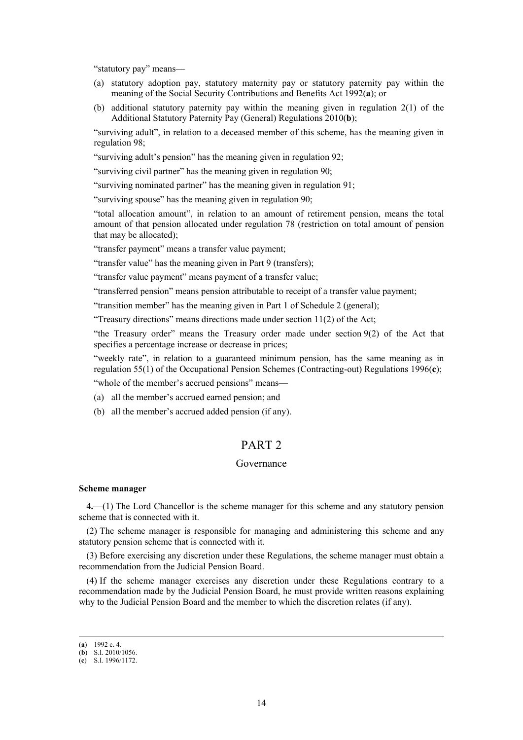"statutory pay" means—

- (a) statutory adoption pay, statutory maternity pay or statutory paternity pay within the meaning of the Social Security Contributions and Benefits Act 1992(**a**); or
- (b) additional statutory paternity pay within the meaning given in regulation 2(1) of the Additional Statutory Paternity Pay (General) Regulations 2010(**b**);

"surviving adult", in relation to a deceased member of this scheme, has the meaning given in regulation 98;

"surviving adult's pension" has the meaning given in regulation 92;

"surviving civil partner" has the meaning given in regulation 90;

"surviving nominated partner" has the meaning given in regulation 91;

"surviving spouse" has the meaning given in regulation 90;

"total allocation amount", in relation to an amount of retirement pension, means the total amount of that pension allocated under regulation 78 (restriction on total amount of pension that may be allocated);

"transfer payment" means a transfer value payment;

"transfer value" has the meaning given in Part 9 (transfers);

"transfer value payment" means payment of a transfer value;

"transferred pension" means pension attributable to receipt of a transfer value payment;

"transition member" has the meaning given in Part 1 of Schedule 2 (general);

"Treasury directions" means directions made under section 11(2) of the Act;

"the Treasury order" means the Treasury order made under section 9(2) of the Act that specifies a percentage increase or decrease in prices;

"weekly rate", in relation to a guaranteed minimum pension, has the same meaning as in regulation 55(1) of the Occupational Pension Schemes (Contracting-out) Regulations 1996(**c**);

"whole of the member's accrued pensions" means—

- (a) all the member's accrued earned pension; and
- (b) all the member's accrued added pension (if any).

# PART 2

## Governance

#### **Scheme manager**

**4.**—(1) The Lord Chancellor is the scheme manager for this scheme and any statutory pension scheme that is connected with it.

(2) The scheme manager is responsible for managing and administering this scheme and any statutory pension scheme that is connected with it.

(3) Before exercising any discretion under these Regulations, the scheme manager must obtain a recommendation from the Judicial Pension Board.

(4) If the scheme manager exercises any discretion under these Regulations contrary to a recommendation made by the Judicial Pension Board, he must provide written reasons explaining why to the Judicial Pension Board and the member to which the discretion relates (if any).

 <sup>(</sup>**a**) 1992 c. 4.

<sup>(</sup>**b**) S.I. 2010/1056.

<sup>(</sup>**c**) S.I. 1996/1172.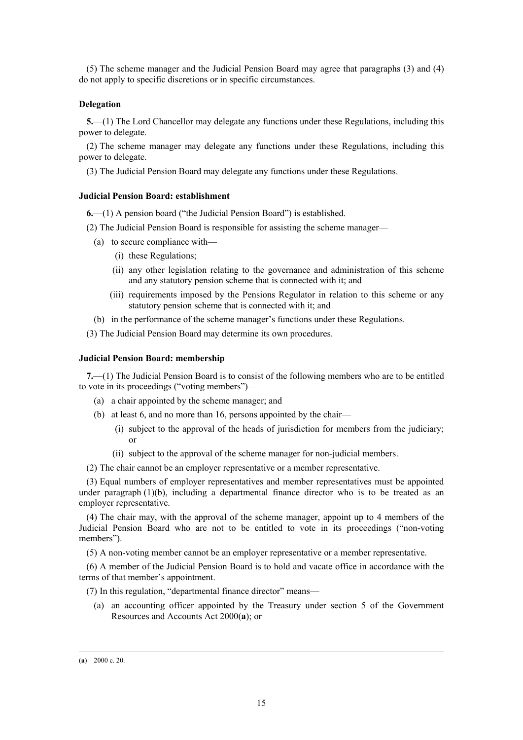(5) The scheme manager and the Judicial Pension Board may agree that paragraphs (3) and (4) do not apply to specific discretions or in specific circumstances.

#### **Delegation**

**5.**—(1) The Lord Chancellor may delegate any functions under these Regulations, including this power to delegate.

(2) The scheme manager may delegate any functions under these Regulations, including this power to delegate.

(3) The Judicial Pension Board may delegate any functions under these Regulations.

#### **Judicial Pension Board: establishment**

**6.**—(1) A pension board ("the Judicial Pension Board") is established.

- (2) The Judicial Pension Board is responsible for assisting the scheme manager—
	- (a) to secure compliance with—
		- (i) these Regulations;
		- (ii) any other legislation relating to the governance and administration of this scheme and any statutory pension scheme that is connected with it; and
		- (iii) requirements imposed by the Pensions Regulator in relation to this scheme or any statutory pension scheme that is connected with it; and
	- (b) in the performance of the scheme manager's functions under these Regulations.

(3) The Judicial Pension Board may determine its own procedures.

#### **Judicial Pension Board: membership**

**7.**—(1) The Judicial Pension Board is to consist of the following members who are to be entitled to vote in its proceedings ("voting members")—

- (a) a chair appointed by the scheme manager; and
- (b) at least 6, and no more than 16, persons appointed by the chair—
	- (i) subject to the approval of the heads of jurisdiction for members from the judiciary; or
	- (ii) subject to the approval of the scheme manager for non-judicial members.
- (2) The chair cannot be an employer representative or a member representative.

(3) Equal numbers of employer representatives and member representatives must be appointed under paragraph  $(1)(b)$ , including a departmental finance director who is to be treated as an employer representative.

(4) The chair may, with the approval of the scheme manager, appoint up to 4 members of the Judicial Pension Board who are not to be entitled to vote in its proceedings ("non-voting members").

(5) A non-voting member cannot be an employer representative or a member representative.

(6) A member of the Judicial Pension Board is to hold and vacate office in accordance with the terms of that member's appointment.

(7) In this regulation, "departmental finance director" means—

(a) an accounting officer appointed by the Treasury under section 5 of the Government Resources and Accounts Act 2000(**a**); or

 <sup>(</sup>**a**) 2000 c. 20.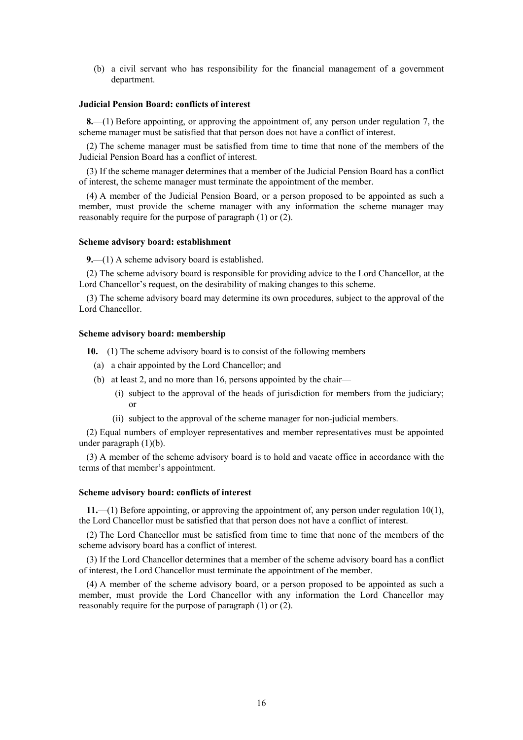(b) a civil servant who has responsibility for the financial management of a government department.

## **Judicial Pension Board: conflicts of interest**

**8.**—(1) Before appointing, or approving the appointment of, any person under regulation 7, the scheme manager must be satisfied that that person does not have a conflict of interest.

(2) The scheme manager must be satisfied from time to time that none of the members of the Judicial Pension Board has a conflict of interest.

(3) If the scheme manager determines that a member of the Judicial Pension Board has a conflict of interest, the scheme manager must terminate the appointment of the member.

(4) A member of the Judicial Pension Board, or a person proposed to be appointed as such a member, must provide the scheme manager with any information the scheme manager may reasonably require for the purpose of paragraph (1) or (2).

#### **Scheme advisory board: establishment**

**9.**—(1) A scheme advisory board is established.

(2) The scheme advisory board is responsible for providing advice to the Lord Chancellor, at the Lord Chancellor's request, on the desirability of making changes to this scheme.

(3) The scheme advisory board may determine its own procedures, subject to the approval of the Lord Chancellor.

## **Scheme advisory board: membership**

**10.**—(1) The scheme advisory board is to consist of the following members—

- (a) a chair appointed by the Lord Chancellor; and
- (b) at least 2, and no more than 16, persons appointed by the chair—
	- (i) subject to the approval of the heads of jurisdiction for members from the judiciary; or
	- (ii) subject to the approval of the scheme manager for non-judicial members.

(2) Equal numbers of employer representatives and member representatives must be appointed under paragraph (1)(b).

(3) A member of the scheme advisory board is to hold and vacate office in accordance with the terms of that member's appointment.

#### **Scheme advisory board: conflicts of interest**

**11.**—(1) Before appointing, or approving the appointment of, any person under regulation 10(1), the Lord Chancellor must be satisfied that that person does not have a conflict of interest.

(2) The Lord Chancellor must be satisfied from time to time that none of the members of the scheme advisory board has a conflict of interest.

(3) If the Lord Chancellor determines that a member of the scheme advisory board has a conflict of interest, the Lord Chancellor must terminate the appointment of the member.

(4) A member of the scheme advisory board, or a person proposed to be appointed as such a member, must provide the Lord Chancellor with any information the Lord Chancellor may reasonably require for the purpose of paragraph (1) or (2).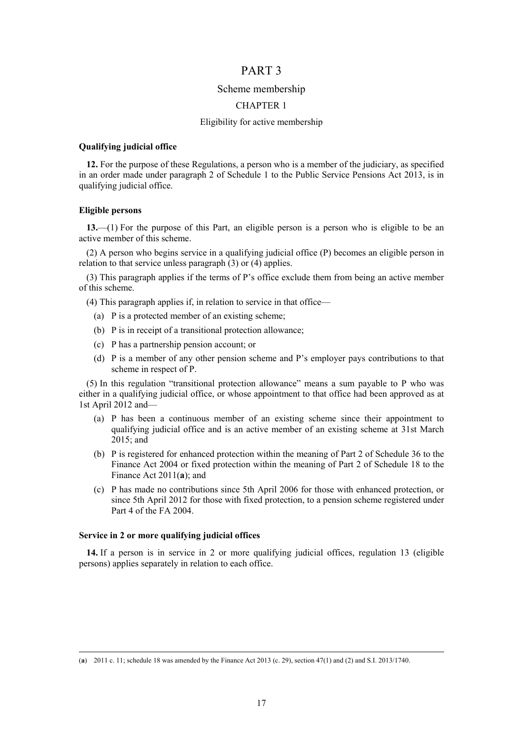## PART 3

### Scheme membership

#### CHAPTER 1

#### Eligibility for active membership

#### **Qualifying judicial office**

**12.** For the purpose of these Regulations, a person who is a member of the judiciary, as specified in an order made under paragraph 2 of Schedule 1 to the Public Service Pensions Act 2013, is in qualifying judicial office.

### **Eligible persons**

**13.**—(1) For the purpose of this Part, an eligible person is a person who is eligible to be an active member of this scheme.

(2) A person who begins service in a qualifying judicial office (P) becomes an eligible person in relation to that service unless paragraph (3) or (4) applies.

(3) This paragraph applies if the terms of P's office exclude them from being an active member of this scheme.

- (4) This paragraph applies if, in relation to service in that office—
	- (a) P is a protected member of an existing scheme;
	- (b) P is in receipt of a transitional protection allowance;
	- (c) P has a partnership pension account; or
	- (d) P is a member of any other pension scheme and P's employer pays contributions to that scheme in respect of P.

(5) In this regulation "transitional protection allowance" means a sum payable to P who was either in a qualifying judicial office, or whose appointment to that office had been approved as at 1st April 2012 and—

- (a) P has been a continuous member of an existing scheme since their appointment to qualifying judicial office and is an active member of an existing scheme at 31st March 2015; and
- (b) P is registered for enhanced protection within the meaning of Part 2 of Schedule 36 to the Finance Act 2004 or fixed protection within the meaning of Part 2 of Schedule 18 to the Finance Act 2011(**a**); and
- (c) P has made no contributions since 5th April 2006 for those with enhanced protection, or since 5th April 2012 for those with fixed protection, to a pension scheme registered under Part 4 of the FA 2004.

#### **Service in 2 or more qualifying judicial offices**

**14.** If a person is in service in 2 or more qualifying judicial offices, regulation 13 (eligible persons) applies separately in relation to each office.

 <sup>(</sup>**a**) 2011 c. 11; schedule 18 was amended by the Finance Act 2013 (c. 29), section 47(1) and (2) and S.I. 2013/1740.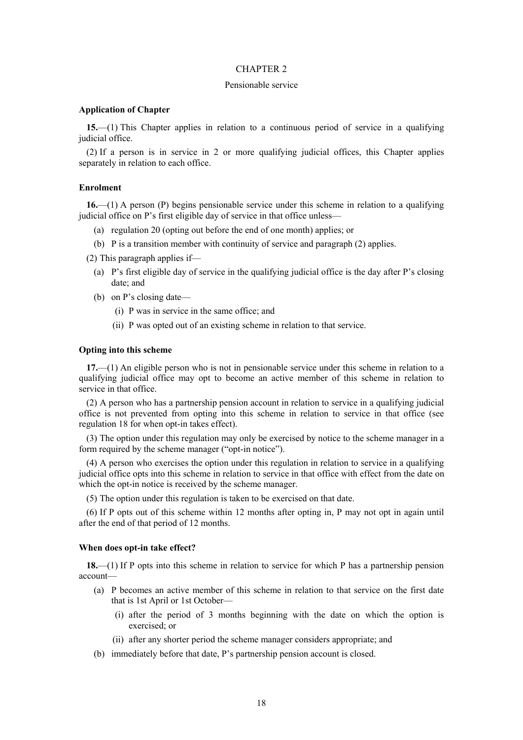#### Pensionable service

#### **Application of Chapter**

**15.**—(1) This Chapter applies in relation to a continuous period of service in a qualifying judicial office.

(2) If a person is in service in 2 or more qualifying judicial offices, this Chapter applies separately in relation to each office.

## **Enrolment**

**16.**—(1) A person (P) begins pensionable service under this scheme in relation to a qualifying judicial office on P's first eligible day of service in that office unless-

- (a) regulation 20 (opting out before the end of one month) applies; or
- (b) P is a transition member with continuity of service and paragraph (2) applies.
- (2) This paragraph applies if—
	- (a) P's first eligible day of service in the qualifying judicial office is the day after P's closing date; and
	- (b) on P's closing date—
		- (i) P was in service in the same office; and
		- (ii) P was opted out of an existing scheme in relation to that service.

#### **Opting into this scheme**

**17.**—(1) An eligible person who is not in pensionable service under this scheme in relation to a qualifying judicial office may opt to become an active member of this scheme in relation to service in that office.

(2) A person who has a partnership pension account in relation to service in a qualifying judicial office is not prevented from opting into this scheme in relation to service in that office (see regulation 18 for when opt-in takes effect).

(3) The option under this regulation may only be exercised by notice to the scheme manager in a form required by the scheme manager ("opt-in notice").

(4) A person who exercises the option under this regulation in relation to service in a qualifying judicial office opts into this scheme in relation to service in that office with effect from the date on which the opt-in notice is received by the scheme manager.

(5) The option under this regulation is taken to be exercised on that date.

(6) If P opts out of this scheme within 12 months after opting in, P may not opt in again until after the end of that period of 12 months.

#### **When does opt-in take effect?**

**18.**—(1) If P opts into this scheme in relation to service for which P has a partnership pension account—

- (a) P becomes an active member of this scheme in relation to that service on the first date that is 1st April or 1st October—
	- (i) after the period of 3 months beginning with the date on which the option is exercised; or
	- (ii) after any shorter period the scheme manager considers appropriate; and
- (b) immediately before that date, P's partnership pension account is closed.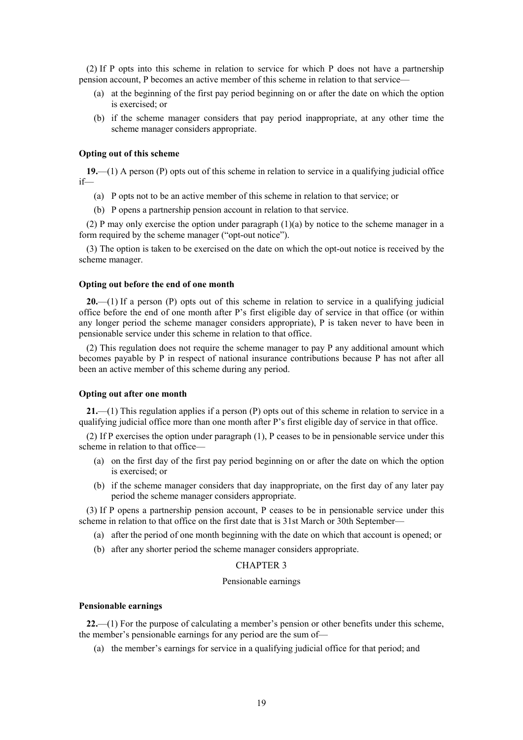(2) If P opts into this scheme in relation to service for which P does not have a partnership pension account, P becomes an active member of this scheme in relation to that service—

- (a) at the beginning of the first pay period beginning on or after the date on which the option is exercised; or
- (b) if the scheme manager considers that pay period inappropriate, at any other time the scheme manager considers appropriate.

#### **Opting out of this scheme**

**19.**—(1) A person (P) opts out of this scheme in relation to service in a qualifying judicial office if—

- (a) P opts not to be an active member of this scheme in relation to that service; or
- (b) P opens a partnership pension account in relation to that service.

(2) P may only exercise the option under paragraph (1)(a) by notice to the scheme manager in a form required by the scheme manager ("opt-out notice").

(3) The option is taken to be exercised on the date on which the opt-out notice is received by the scheme manager.

#### **Opting out before the end of one month**

**20.**—(1) If a person (P) opts out of this scheme in relation to service in a qualifying judicial office before the end of one month after P's first eligible day of service in that office (or within any longer period the scheme manager considers appropriate), P is taken never to have been in pensionable service under this scheme in relation to that office.

(2) This regulation does not require the scheme manager to pay P any additional amount which becomes payable by P in respect of national insurance contributions because P has not after all been an active member of this scheme during any period.

#### **Opting out after one month**

**21.**—(1) This regulation applies if a person (P) opts out of this scheme in relation to service in a qualifying judicial office more than one month after P's first eligible day of service in that office.

(2) If P exercises the option under paragraph (1), P ceases to be in pensionable service under this scheme in relation to that office—

- (a) on the first day of the first pay period beginning on or after the date on which the option is exercised; or
- (b) if the scheme manager considers that day inappropriate, on the first day of any later pay period the scheme manager considers appropriate.

(3) If P opens a partnership pension account, P ceases to be in pensionable service under this scheme in relation to that office on the first date that is 31st March or 30th September—

- (a) after the period of one month beginning with the date on which that account is opened; or
- (b) after any shorter period the scheme manager considers appropriate.

#### CHAPTER 3

#### Pensionable earnings

#### **Pensionable earnings**

**22.**—(1) For the purpose of calculating a member's pension or other benefits under this scheme, the member's pensionable earnings for any period are the sum of—

(a) the member's earnings for service in a qualifying judicial office for that period; and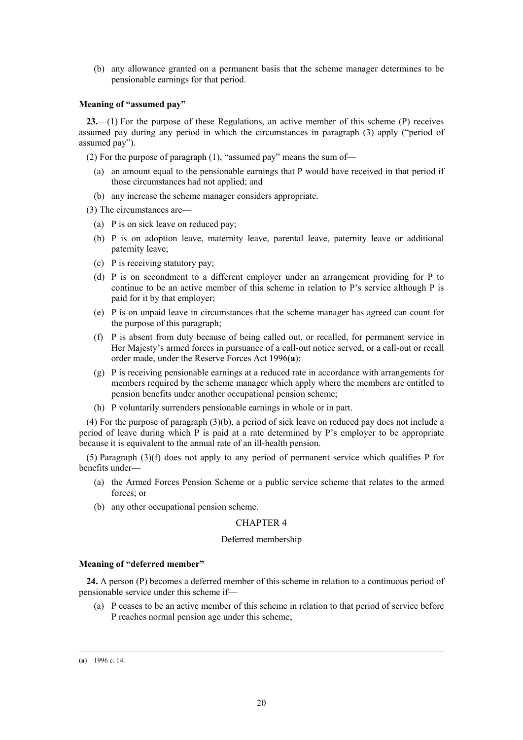(b) any allowance granted on a permanent basis that the scheme manager determines to be pensionable earnings for that period.

### **Meaning of "assumed pay"**

**23.**—(1) For the purpose of these Regulations, an active member of this scheme (P) receives assumed pay during any period in which the circumstances in paragraph (3) apply ("period of assumed pay").

(2) For the purpose of paragraph (1), "assumed pay" means the sum of—

- (a) an amount equal to the pensionable earnings that P would have received in that period if those circumstances had not applied; and
- (b) any increase the scheme manager considers appropriate.

(3) The circumstances are—

- (a) P is on sick leave on reduced pay;
- (b) P is on adoption leave, maternity leave, parental leave, paternity leave or additional paternity leave;
- (c) P is receiving statutory pay;
- (d) P is on secondment to a different employer under an arrangement providing for P to continue to be an active member of this scheme in relation to P's service although P is paid for it by that employer;
- (e) P is on unpaid leave in circumstances that the scheme manager has agreed can count for the purpose of this paragraph;
- (f) P is absent from duty because of being called out, or recalled, for permanent service in Her Majesty's armed forces in pursuance of a call-out notice served, or a call-out or recall order made, under the Reserve Forces Act 1996(**a**);
- (g) P is receiving pensionable earnings at a reduced rate in accordance with arrangements for members required by the scheme manager which apply where the members are entitled to pension benefits under another occupational pension scheme;
- (h) P voluntarily surrenders pensionable earnings in whole or in part.

(4) For the purpose of paragraph (3)(b), a period of sick leave on reduced pay does not include a period of leave during which P is paid at a rate determined by P's employer to be appropriate because it is equivalent to the annual rate of an ill-health pension.

(5) Paragraph (3)(f) does not apply to any period of permanent service which qualifies P for benefits under—

- (a) the Armed Forces Pension Scheme or a public service scheme that relates to the armed forces; or
- (b) any other occupational pension scheme.

## CHAPTER 4

#### Deferred membership

#### **Meaning of "deferred member"**

**24.** A person (P) becomes a deferred member of this scheme in relation to a continuous period of pensionable service under this scheme if—

(a) P ceases to be an active member of this scheme in relation to that period of service before P reaches normal pension age under this scheme;

#### (**a**) 1996 c. 14.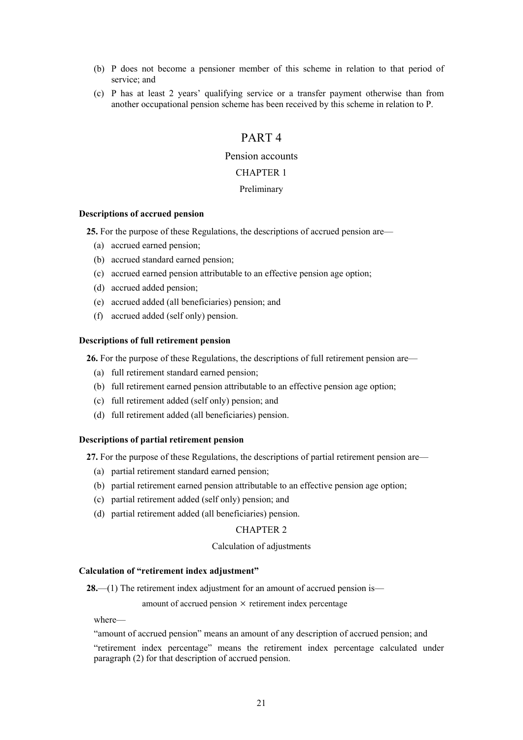- (b) P does not become a pensioner member of this scheme in relation to that period of service; and
- (c) P has at least 2 years' qualifying service or a transfer payment otherwise than from another occupational pension scheme has been received by this scheme in relation to P.

# PART 4

## Pension accounts

## CHAPTER 1

## Preliminary

### **Descriptions of accrued pension**

**25.** For the purpose of these Regulations, the descriptions of accrued pension are—

- (a) accrued earned pension;
- (b) accrued standard earned pension;
- (c) accrued earned pension attributable to an effective pension age option;
- (d) accrued added pension;
- (e) accrued added (all beneficiaries) pension; and
- (f) accrued added (self only) pension.

### **Descriptions of full retirement pension**

**26.** For the purpose of these Regulations, the descriptions of full retirement pension are—

- (a) full retirement standard earned pension;
- (b) full retirement earned pension attributable to an effective pension age option;
- (c) full retirement added (self only) pension; and
- (d) full retirement added (all beneficiaries) pension.

## **Descriptions of partial retirement pension**

**27.** For the purpose of these Regulations, the descriptions of partial retirement pension are—

- (a) partial retirement standard earned pension;
- (b) partial retirement earned pension attributable to an effective pension age option;
- (c) partial retirement added (self only) pension; and
- (d) partial retirement added (all beneficiaries) pension.

## CHAPTER 2

### Calculation of adjustments

### **Calculation of "retirement index adjustment"**

**28.**—(1) The retirement index adjustment for an amount of accrued pension is—

amount of accrued pension  $\times$  retirement index percentage

where—

"amount of accrued pension" means an amount of any description of accrued pension; and

"retirement index percentage" means the retirement index percentage calculated under paragraph (2) for that description of accrued pension.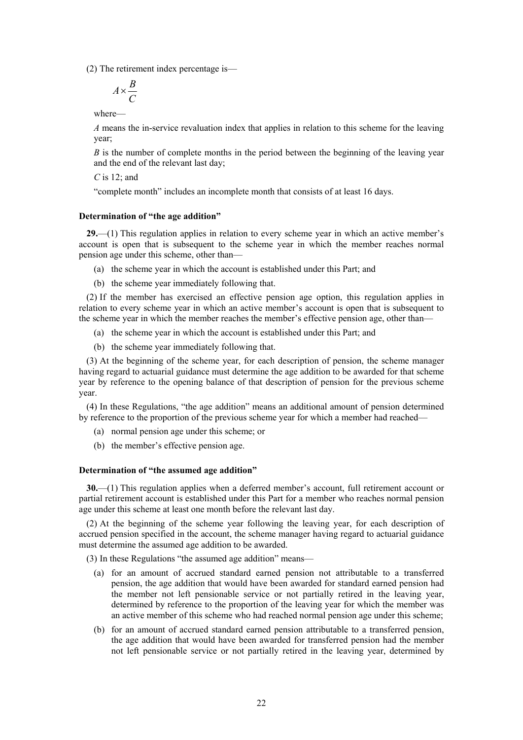(2) The retirement index percentage is—

$$
A \times \frac{B}{C}
$$

where—

*A* means the in-service revaluation index that applies in relation to this scheme for the leaving year;

*B* is the number of complete months in the period between the beginning of the leaving year and the end of the relevant last day;

*C* is 12; and

"complete month" includes an incomplete month that consists of at least 16 days.

#### **Determination of "the age addition"**

**29.**—(1) This regulation applies in relation to every scheme year in which an active member's account is open that is subsequent to the scheme year in which the member reaches normal pension age under this scheme, other than—

- (a) the scheme year in which the account is established under this Part; and
- (b) the scheme year immediately following that.

(2) If the member has exercised an effective pension age option, this regulation applies in relation to every scheme year in which an active member's account is open that is subsequent to the scheme year in which the member reaches the member's effective pension age, other than—

- (a) the scheme year in which the account is established under this Part; and
- (b) the scheme year immediately following that.

(3) At the beginning of the scheme year, for each description of pension, the scheme manager having regard to actuarial guidance must determine the age addition to be awarded for that scheme year by reference to the opening balance of that description of pension for the previous scheme year.

(4) In these Regulations, "the age addition" means an additional amount of pension determined by reference to the proportion of the previous scheme year for which a member had reached—

- (a) normal pension age under this scheme; or
- (b) the member's effective pension age.

#### **Determination of "the assumed age addition"**

**30.**—(1) This regulation applies when a deferred member's account, full retirement account or partial retirement account is established under this Part for a member who reaches normal pension age under this scheme at least one month before the relevant last day.

(2) At the beginning of the scheme year following the leaving year, for each description of accrued pension specified in the account, the scheme manager having regard to actuarial guidance must determine the assumed age addition to be awarded.

(3) In these Regulations "the assumed age addition" means—

- (a) for an amount of accrued standard earned pension not attributable to a transferred pension, the age addition that would have been awarded for standard earned pension had the member not left pensionable service or not partially retired in the leaving year, determined by reference to the proportion of the leaving year for which the member was an active member of this scheme who had reached normal pension age under this scheme;
- (b) for an amount of accrued standard earned pension attributable to a transferred pension, the age addition that would have been awarded for transferred pension had the member not left pensionable service or not partially retired in the leaving year, determined by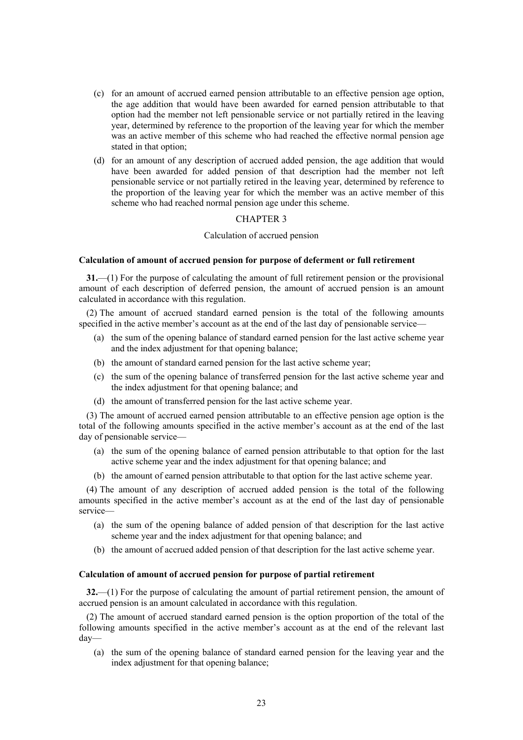- (c) for an amount of accrued earned pension attributable to an effective pension age option, the age addition that would have been awarded for earned pension attributable to that option had the member not left pensionable service or not partially retired in the leaving year, determined by reference to the proportion of the leaving year for which the member was an active member of this scheme who had reached the effective normal pension age stated in that option;
- (d) for an amount of any description of accrued added pension, the age addition that would have been awarded for added pension of that description had the member not left pensionable service or not partially retired in the leaving year, determined by reference to the proportion of the leaving year for which the member was an active member of this scheme who had reached normal pension age under this scheme.

## Calculation of accrued pension

#### **Calculation of amount of accrued pension for purpose of deferment or full retirement**

**31.**—(1) For the purpose of calculating the amount of full retirement pension or the provisional amount of each description of deferred pension, the amount of accrued pension is an amount calculated in accordance with this regulation.

(2) The amount of accrued standard earned pension is the total of the following amounts specified in the active member's account as at the end of the last day of pensionable service—

- (a) the sum of the opening balance of standard earned pension for the last active scheme year and the index adjustment for that opening balance;
- (b) the amount of standard earned pension for the last active scheme year;
- (c) the sum of the opening balance of transferred pension for the last active scheme year and the index adjustment for that opening balance; and
- (d) the amount of transferred pension for the last active scheme year.

(3) The amount of accrued earned pension attributable to an effective pension age option is the total of the following amounts specified in the active member's account as at the end of the last day of pensionable service—

- (a) the sum of the opening balance of earned pension attributable to that option for the last active scheme year and the index adjustment for that opening balance; and
- (b) the amount of earned pension attributable to that option for the last active scheme year.

(4) The amount of any description of accrued added pension is the total of the following amounts specified in the active member's account as at the end of the last day of pensionable service—

- (a) the sum of the opening balance of added pension of that description for the last active scheme year and the index adjustment for that opening balance; and
- (b) the amount of accrued added pension of that description for the last active scheme year.

#### **Calculation of amount of accrued pension for purpose of partial retirement**

**32.**—(1) For the purpose of calculating the amount of partial retirement pension, the amount of accrued pension is an amount calculated in accordance with this regulation.

(2) The amount of accrued standard earned pension is the option proportion of the total of the following amounts specified in the active member's account as at the end of the relevant last day—

(a) the sum of the opening balance of standard earned pension for the leaving year and the index adjustment for that opening balance;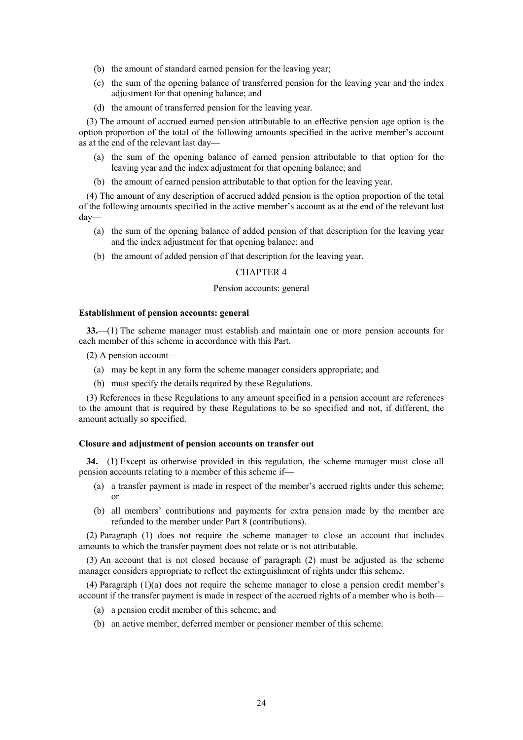- (b) the amount of standard earned pension for the leaving year;
- (c) the sum of the opening balance of transferred pension for the leaving year and the index adjustment for that opening balance; and
- (d) the amount of transferred pension for the leaving year.

(3) The amount of accrued earned pension attributable to an effective pension age option is the option proportion of the total of the following amounts specified in the active member's account as at the end of the relevant last day—

- (a) the sum of the opening balance of earned pension attributable to that option for the leaving year and the index adjustment for that opening balance; and
- (b) the amount of earned pension attributable to that option for the leaving year.

(4) The amount of any description of accrued added pension is the option proportion of the total of the following amounts specified in the active member's account as at the end of the relevant last day—

- (a) the sum of the opening balance of added pension of that description for the leaving year and the index adjustment for that opening balance; and
- (b) the amount of added pension of that description for the leaving year.

#### CHAPTER 4

#### Pension accounts: general

#### **Establishment of pension accounts: general**

**33.**—(1) The scheme manager must establish and maintain one or more pension accounts for each member of this scheme in accordance with this Part.

- (2) A pension account—
	- (a) may be kept in any form the scheme manager considers appropriate; and
	- (b) must specify the details required by these Regulations.

(3) References in these Regulations to any amount specified in a pension account are references to the amount that is required by these Regulations to be so specified and not, if different, the amount actually so specified.

#### **Closure and adjustment of pension accounts on transfer out**

**34.**—(1) Except as otherwise provided in this regulation, the scheme manager must close all pension accounts relating to a member of this scheme if—

- (a) a transfer payment is made in respect of the member's accrued rights under this scheme; or
- (b) all members' contributions and payments for extra pension made by the member are refunded to the member under Part 8 (contributions).

(2) Paragraph (1) does not require the scheme manager to close an account that includes amounts to which the transfer payment does not relate or is not attributable.

(3) An account that is not closed because of paragraph (2) must be adjusted as the scheme manager considers appropriate to reflect the extinguishment of rights under this scheme.

(4) Paragraph (1)(a) does not require the scheme manager to close a pension credit member's account if the transfer payment is made in respect of the accrued rights of a member who is both—

- (a) a pension credit member of this scheme; and
- (b) an active member, deferred member or pensioner member of this scheme.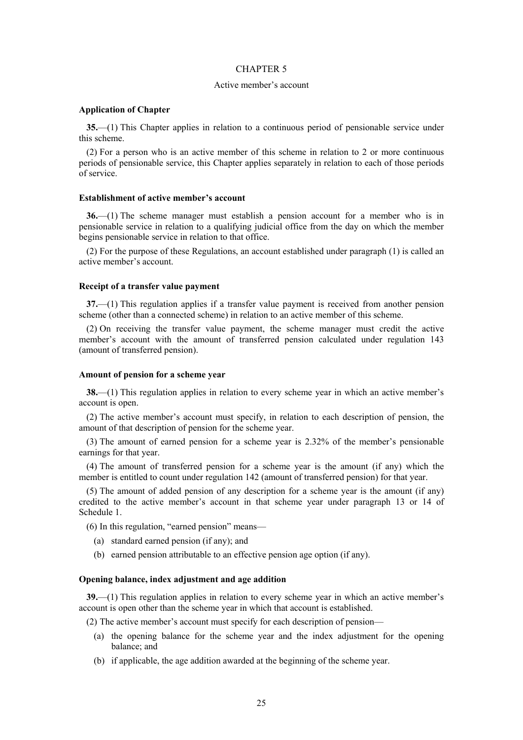#### Active member's account

#### **Application of Chapter**

**35.**—(1) This Chapter applies in relation to a continuous period of pensionable service under this scheme.

(2) For a person who is an active member of this scheme in relation to 2 or more continuous periods of pensionable service, this Chapter applies separately in relation to each of those periods of service.

## **Establishment of active member's account**

**36.**—(1) The scheme manager must establish a pension account for a member who is in pensionable service in relation to a qualifying judicial office from the day on which the member begins pensionable service in relation to that office.

(2) For the purpose of these Regulations, an account established under paragraph (1) is called an active member's account.

#### **Receipt of a transfer value payment**

**37.**—(1) This regulation applies if a transfer value payment is received from another pension scheme (other than a connected scheme) in relation to an active member of this scheme.

(2) On receiving the transfer value payment, the scheme manager must credit the active member's account with the amount of transferred pension calculated under regulation 143 (amount of transferred pension).

#### **Amount of pension for a scheme year**

**38.**—(1) This regulation applies in relation to every scheme year in which an active member's account is open.

(2) The active member's account must specify, in relation to each description of pension, the amount of that description of pension for the scheme year.

(3) The amount of earned pension for a scheme year is 2.32% of the member's pensionable earnings for that year.

(4) The amount of transferred pension for a scheme year is the amount (if any) which the member is entitled to count under regulation 142 (amount of transferred pension) for that year.

(5) The amount of added pension of any description for a scheme year is the amount (if any) credited to the active member's account in that scheme year under paragraph 13 or 14 of Schedule 1.

(6) In this regulation, "earned pension" means—

- (a) standard earned pension (if any); and
- (b) earned pension attributable to an effective pension age option (if any).

#### **Opening balance, index adjustment and age addition**

**39.**—(1) This regulation applies in relation to every scheme year in which an active member's account is open other than the scheme year in which that account is established.

(2) The active member's account must specify for each description of pension—

- (a) the opening balance for the scheme year and the index adjustment for the opening balance; and
- (b) if applicable, the age addition awarded at the beginning of the scheme year.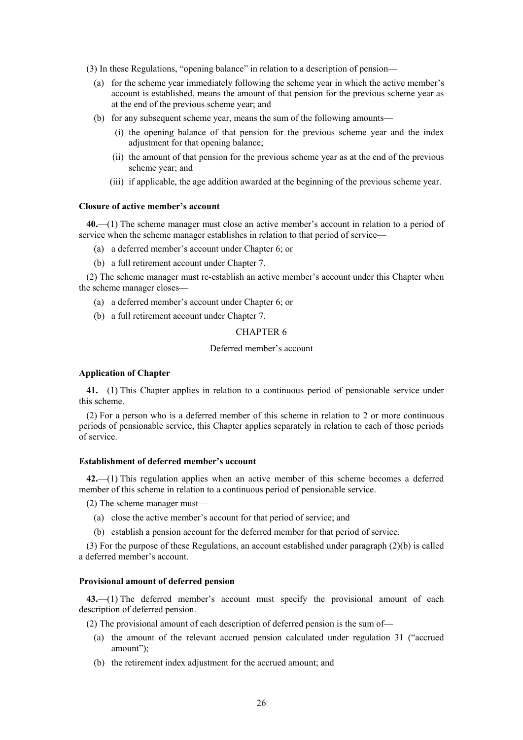- (3) In these Regulations, "opening balance" in relation to a description of pension—
	- (a) for the scheme year immediately following the scheme year in which the active member's account is established, means the amount of that pension for the previous scheme year as at the end of the previous scheme year; and
	- (b) for any subsequent scheme year, means the sum of the following amounts—
		- (i) the opening balance of that pension for the previous scheme year and the index adjustment for that opening balance;
		- (ii) the amount of that pension for the previous scheme year as at the end of the previous scheme year; and
		- (iii) if applicable, the age addition awarded at the beginning of the previous scheme year.

## **Closure of active member's account**

**40.**—(1) The scheme manager must close an active member's account in relation to a period of service when the scheme manager establishes in relation to that period of service—

- (a) a deferred member's account under Chapter 6; or
- (b) a full retirement account under Chapter 7.

(2) The scheme manager must re-establish an active member's account under this Chapter when the scheme manager closes—

- (a) a deferred member's account under Chapter 6; or
- (b) a full retirement account under Chapter 7.

## CHAPTER 6

#### Deferred member's account

#### **Application of Chapter**

**41.**—(1) This Chapter applies in relation to a continuous period of pensionable service under this scheme.

(2) For a person who is a deferred member of this scheme in relation to 2 or more continuous periods of pensionable service, this Chapter applies separately in relation to each of those periods of service.

#### **Establishment of deferred member's account**

**42.**—(1) This regulation applies when an active member of this scheme becomes a deferred member of this scheme in relation to a continuous period of pensionable service.

(2) The scheme manager must—

- (a) close the active member's account for that period of service; and
- (b) establish a pension account for the deferred member for that period of service.

(3) For the purpose of these Regulations, an account established under paragraph (2)(b) is called a deferred member's account.

## **Provisional amount of deferred pension**

**43.**—(1) The deferred member's account must specify the provisional amount of each description of deferred pension.

(2) The provisional amount of each description of deferred pension is the sum of—

- (a) the amount of the relevant accrued pension calculated under regulation 31 ("accrued amount");
- (b) the retirement index adjustment for the accrued amount; and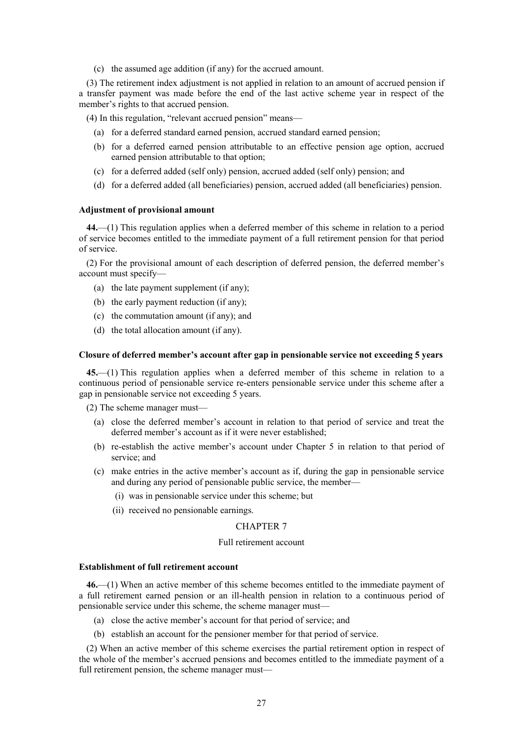(c) the assumed age addition (if any) for the accrued amount.

(3) The retirement index adjustment is not applied in relation to an amount of accrued pension if a transfer payment was made before the end of the last active scheme year in respect of the member's rights to that accrued pension.

- (4) In this regulation, "relevant accrued pension" means—
	- (a) for a deferred standard earned pension, accrued standard earned pension;
	- (b) for a deferred earned pension attributable to an effective pension age option, accrued earned pension attributable to that option;
	- (c) for a deferred added (self only) pension, accrued added (self only) pension; and
	- (d) for a deferred added (all beneficiaries) pension, accrued added (all beneficiaries) pension.

#### **Adjustment of provisional amount**

**44.**—(1) This regulation applies when a deferred member of this scheme in relation to a period of service becomes entitled to the immediate payment of a full retirement pension for that period of service.

(2) For the provisional amount of each description of deferred pension, the deferred member's account must specify—

- (a) the late payment supplement (if any);
- (b) the early payment reduction (if any);
- (c) the commutation amount (if any); and
- (d) the total allocation amount (if any).

#### **Closure of deferred member's account after gap in pensionable service not exceeding 5 years**

**45.**—(1) This regulation applies when a deferred member of this scheme in relation to a continuous period of pensionable service re-enters pensionable service under this scheme after a gap in pensionable service not exceeding 5 years.

(2) The scheme manager must—

- (a) close the deferred member's account in relation to that period of service and treat the deferred member's account as if it were never established;
- (b) re-establish the active member's account under Chapter 5 in relation to that period of service; and
- (c) make entries in the active member's account as if, during the gap in pensionable service and during any period of pensionable public service, the member—
	- (i) was in pensionable service under this scheme; but
	- (ii) received no pensionable earnings.

## CHAPTER 7

#### Full retirement account

#### **Establishment of full retirement account**

**46.**—(1) When an active member of this scheme becomes entitled to the immediate payment of a full retirement earned pension or an ill-health pension in relation to a continuous period of pensionable service under this scheme, the scheme manager must—

- (a) close the active member's account for that period of service; and
- (b) establish an account for the pensioner member for that period of service.

(2) When an active member of this scheme exercises the partial retirement option in respect of the whole of the member's accrued pensions and becomes entitled to the immediate payment of a full retirement pension, the scheme manager must—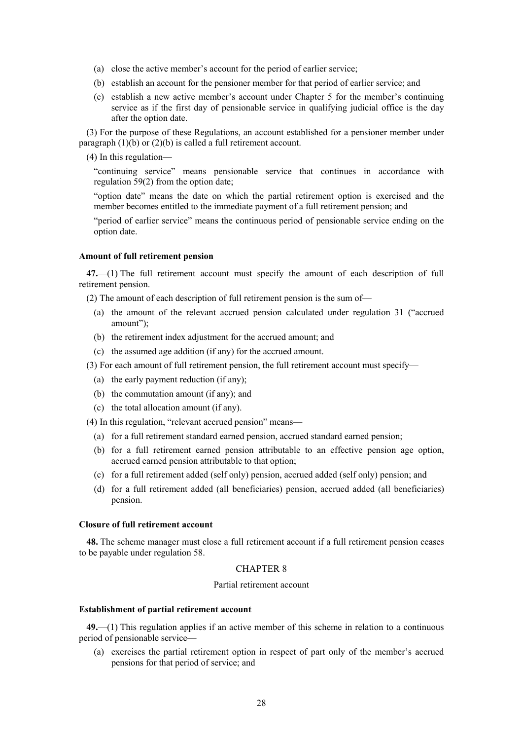- (a) close the active member's account for the period of earlier service;
- (b) establish an account for the pensioner member for that period of earlier service; and
- (c) establish a new active member's account under Chapter 5 for the member's continuing service as if the first day of pensionable service in qualifying judicial office is the day after the option date.

(3) For the purpose of these Regulations, an account established for a pensioner member under paragraph  $(1)(b)$  or  $(2)(b)$  is called a full retirement account.

(4) In this regulation—

"continuing service" means pensionable service that continues in accordance with regulation 59(2) from the option date;

"option date" means the date on which the partial retirement option is exercised and the member becomes entitled to the immediate payment of a full retirement pension; and

"period of earlier service" means the continuous period of pensionable service ending on the option date.

#### **Amount of full retirement pension**

**47.**—(1) The full retirement account must specify the amount of each description of full retirement pension.

(2) The amount of each description of full retirement pension is the sum of—

- (a) the amount of the relevant accrued pension calculated under regulation 31 ("accrued amount");
- (b) the retirement index adjustment for the accrued amount; and
- (c) the assumed age addition (if any) for the accrued amount.
- (3) For each amount of full retirement pension, the full retirement account must specify—
	- (a) the early payment reduction (if any);
	- (b) the commutation amount (if any); and
	- (c) the total allocation amount (if any).

(4) In this regulation, "relevant accrued pension" means—

- (a) for a full retirement standard earned pension, accrued standard earned pension;
- (b) for a full retirement earned pension attributable to an effective pension age option, accrued earned pension attributable to that option;
- (c) for a full retirement added (self only) pension, accrued added (self only) pension; and
- (d) for a full retirement added (all beneficiaries) pension, accrued added (all beneficiaries) pension.

## **Closure of full retirement account**

**48.** The scheme manager must close a full retirement account if a full retirement pension ceases to be payable under regulation 58.

#### CHAPTER 8

### Partial retirement account

#### **Establishment of partial retirement account**

**49.**—(1) This regulation applies if an active member of this scheme in relation to a continuous period of pensionable service—

(a) exercises the partial retirement option in respect of part only of the member's accrued pensions for that period of service; and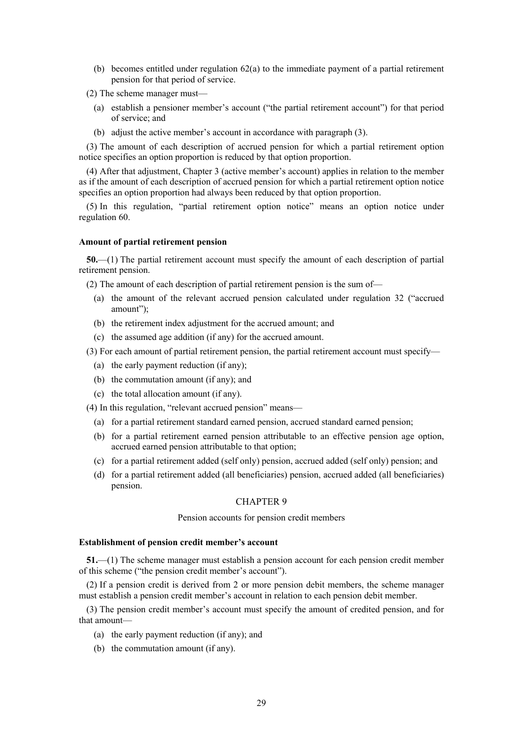(b) becomes entitled under regulation  $62(a)$  to the immediate payment of a partial retirement pension for that period of service.

(2) The scheme manager must—

- (a) establish a pensioner member's account ("the partial retirement account") for that period of service; and
- (b) adjust the active member's account in accordance with paragraph (3).

(3) The amount of each description of accrued pension for which a partial retirement option notice specifies an option proportion is reduced by that option proportion.

(4) After that adjustment, Chapter 3 (active member's account) applies in relation to the member as if the amount of each description of accrued pension for which a partial retirement option notice specifies an option proportion had always been reduced by that option proportion.

(5) In this regulation, "partial retirement option notice" means an option notice under regulation 60.

## **Amount of partial retirement pension**

**50.**—(1) The partial retirement account must specify the amount of each description of partial retirement pension.

(2) The amount of each description of partial retirement pension is the sum of—

- (a) the amount of the relevant accrued pension calculated under regulation 32 ("accrued amount");
- (b) the retirement index adjustment for the accrued amount; and
- (c) the assumed age addition (if any) for the accrued amount.
- (3) For each amount of partial retirement pension, the partial retirement account must specify—
	- (a) the early payment reduction (if any);
	- (b) the commutation amount (if any); and
	- (c) the total allocation amount (if any).

(4) In this regulation, "relevant accrued pension" means—

- (a) for a partial retirement standard earned pension, accrued standard earned pension;
- (b) for a partial retirement earned pension attributable to an effective pension age option, accrued earned pension attributable to that option;
- (c) for a partial retirement added (self only) pension, accrued added (self only) pension; and
- (d) for a partial retirement added (all beneficiaries) pension, accrued added (all beneficiaries) pension.

#### CHAPTER 9

Pension accounts for pension credit members

#### **Establishment of pension credit member's account**

**51.**—(1) The scheme manager must establish a pension account for each pension credit member of this scheme ("the pension credit member's account").

(2) If a pension credit is derived from 2 or more pension debit members, the scheme manager must establish a pension credit member's account in relation to each pension debit member.

(3) The pension credit member's account must specify the amount of credited pension, and for that amount—

- (a) the early payment reduction (if any); and
- (b) the commutation amount (if any).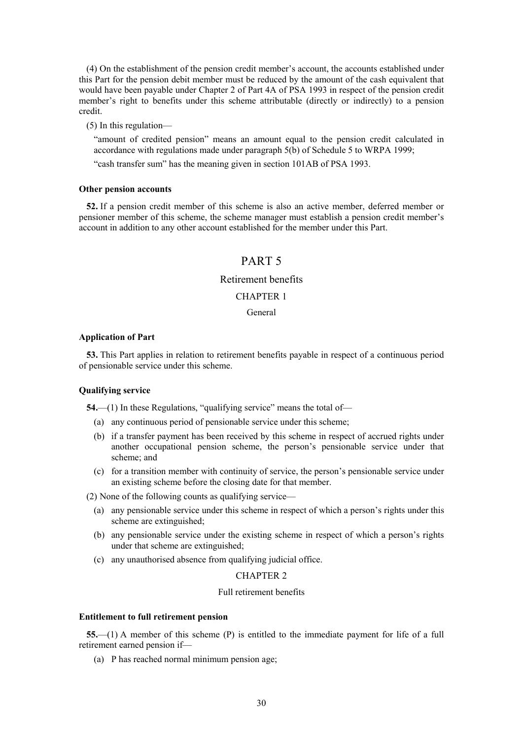(4) On the establishment of the pension credit member's account, the accounts established under this Part for the pension debit member must be reduced by the amount of the cash equivalent that would have been payable under Chapter 2 of Part 4A of PSA 1993 in respect of the pension credit member's right to benefits under this scheme attributable (directly or indirectly) to a pension credit.

(5) In this regulation—

"amount of credited pension" means an amount equal to the pension credit calculated in accordance with regulations made under paragraph 5(b) of Schedule 5 to WRPA 1999;

"cash transfer sum" has the meaning given in section 101AB of PSA 1993.

#### **Other pension accounts**

**52.** If a pension credit member of this scheme is also an active member, deferred member or pensioner member of this scheme, the scheme manager must establish a pension credit member's account in addition to any other account established for the member under this Part.

# PART 5

## Retirement benefits

## CHAPTER 1

## General

#### **Application of Part**

**53.** This Part applies in relation to retirement benefits payable in respect of a continuous period of pensionable service under this scheme.

#### **Qualifying service**

**54.**—(1) In these Regulations, "qualifying service" means the total of—

- (a) any continuous period of pensionable service under this scheme;
- (b) if a transfer payment has been received by this scheme in respect of accrued rights under another occupational pension scheme, the person's pensionable service under that scheme; and
- (c) for a transition member with continuity of service, the person's pensionable service under an existing scheme before the closing date for that member.

(2) None of the following counts as qualifying service—

- (a) any pensionable service under this scheme in respect of which a person's rights under this scheme are extinguished;
- (b) any pensionable service under the existing scheme in respect of which a person's rights under that scheme are extinguished;
- (c) any unauthorised absence from qualifying judicial office.

## CHAPTER 2

## Full retirement benefits

#### **Entitlement to full retirement pension**

**55.**—(1) A member of this scheme (P) is entitled to the immediate payment for life of a full retirement earned pension if—

(a) P has reached normal minimum pension age;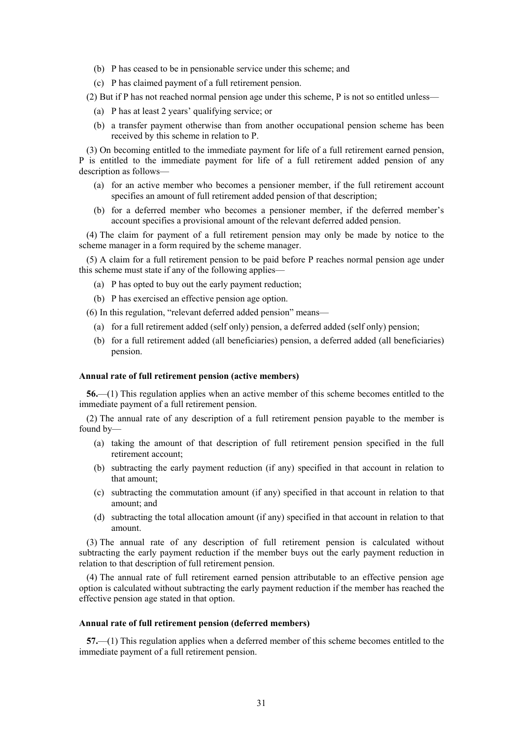- (b) P has ceased to be in pensionable service under this scheme; and
- (c) P has claimed payment of a full retirement pension.

(2) But if P has not reached normal pension age under this scheme, P is not so entitled unless—

- (a) P has at least 2 years' qualifying service; or
- (b) a transfer payment otherwise than from another occupational pension scheme has been received by this scheme in relation to P.

(3) On becoming entitled to the immediate payment for life of a full retirement earned pension, P is entitled to the immediate payment for life of a full retirement added pension of any description as follows—

- (a) for an active member who becomes a pensioner member, if the full retirement account specifies an amount of full retirement added pension of that description;
- (b) for a deferred member who becomes a pensioner member, if the deferred member's account specifies a provisional amount of the relevant deferred added pension.

(4) The claim for payment of a full retirement pension may only be made by notice to the scheme manager in a form required by the scheme manager.

(5) A claim for a full retirement pension to be paid before P reaches normal pension age under this scheme must state if any of the following applies—

- (a) P has opted to buy out the early payment reduction;
- (b) P has exercised an effective pension age option.

(6) In this regulation, "relevant deferred added pension" means—

- (a) for a full retirement added (self only) pension, a deferred added (self only) pension;
- (b) for a full retirement added (all beneficiaries) pension, a deferred added (all beneficiaries) pension.

#### **Annual rate of full retirement pension (active members)**

**56.**—(1) This regulation applies when an active member of this scheme becomes entitled to the immediate payment of a full retirement pension.

(2) The annual rate of any description of a full retirement pension payable to the member is found by—

- (a) taking the amount of that description of full retirement pension specified in the full retirement account;
- (b) subtracting the early payment reduction (if any) specified in that account in relation to that amount;
- (c) subtracting the commutation amount (if any) specified in that account in relation to that amount; and
- (d) subtracting the total allocation amount (if any) specified in that account in relation to that amount.

(3) The annual rate of any description of full retirement pension is calculated without subtracting the early payment reduction if the member buys out the early payment reduction in relation to that description of full retirement pension.

(4) The annual rate of full retirement earned pension attributable to an effective pension age option is calculated without subtracting the early payment reduction if the member has reached the effective pension age stated in that option.

#### **Annual rate of full retirement pension (deferred members)**

**57.**—(1) This regulation applies when a deferred member of this scheme becomes entitled to the immediate payment of a full retirement pension.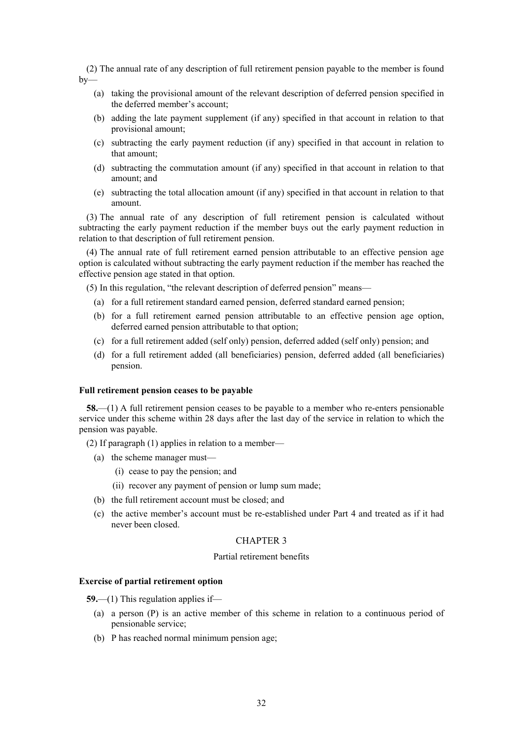(2) The annual rate of any description of full retirement pension payable to the member is found  $bv$ —

- (a) taking the provisional amount of the relevant description of deferred pension specified in the deferred member's account;
- (b) adding the late payment supplement (if any) specified in that account in relation to that provisional amount;
- (c) subtracting the early payment reduction (if any) specified in that account in relation to that amount;
- (d) subtracting the commutation amount (if any) specified in that account in relation to that amount; and
- (e) subtracting the total allocation amount (if any) specified in that account in relation to that amount.

(3) The annual rate of any description of full retirement pension is calculated without subtracting the early payment reduction if the member buys out the early payment reduction in relation to that description of full retirement pension.

(4) The annual rate of full retirement earned pension attributable to an effective pension age option is calculated without subtracting the early payment reduction if the member has reached the effective pension age stated in that option.

(5) In this regulation, "the relevant description of deferred pension" means—

- (a) for a full retirement standard earned pension, deferred standard earned pension;
- (b) for a full retirement earned pension attributable to an effective pension age option, deferred earned pension attributable to that option;
- (c) for a full retirement added (self only) pension, deferred added (self only) pension; and
- (d) for a full retirement added (all beneficiaries) pension, deferred added (all beneficiaries) pension.

#### **Full retirement pension ceases to be payable**

**58.**—(1) A full retirement pension ceases to be payable to a member who re-enters pensionable service under this scheme within 28 days after the last day of the service in relation to which the pension was payable.

- (2) If paragraph (1) applies in relation to a member—
	- (a) the scheme manager must—
		- (i) cease to pay the pension; and
		- (ii) recover any payment of pension or lump sum made;
	- (b) the full retirement account must be closed; and
	- (c) the active member's account must be re-established under Part 4 and treated as if it had never been closed.

#### CHAPTER 3

#### Partial retirement benefits

## **Exercise of partial retirement option**

**59.**—(1) This regulation applies if—

- (a) a person (P) is an active member of this scheme in relation to a continuous period of pensionable service;
- (b) P has reached normal minimum pension age;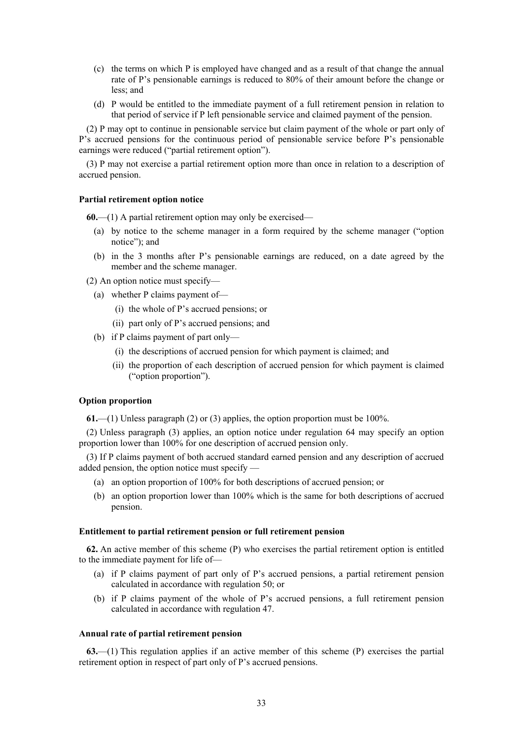- (c) the terms on which P is employed have changed and as a result of that change the annual rate of P's pensionable earnings is reduced to 80% of their amount before the change or less; and
- (d) P would be entitled to the immediate payment of a full retirement pension in relation to that period of service if P left pensionable service and claimed payment of the pension.

(2) P may opt to continue in pensionable service but claim payment of the whole or part only of P's accrued pensions for the continuous period of pensionable service before P's pensionable earnings were reduced ("partial retirement option").

(3) P may not exercise a partial retirement option more than once in relation to a description of accrued pension.

#### **Partial retirement option notice**

**60.**—(1) A partial retirement option may only be exercised—

- (a) by notice to the scheme manager in a form required by the scheme manager ("option notice"); and
- (b) in the 3 months after P's pensionable earnings are reduced, on a date agreed by the member and the scheme manager.

(2) An option notice must specify—

- (a) whether P claims payment of—
	- (i) the whole of P's accrued pensions; or
	- (ii) part only of P's accrued pensions; and
- (b) if P claims payment of part only—
	- (i) the descriptions of accrued pension for which payment is claimed; and
	- (ii) the proportion of each description of accrued pension for which payment is claimed ("option proportion").

#### **Option proportion**

**61.**—(1) Unless paragraph (2) or (3) applies, the option proportion must be 100%.

(2) Unless paragraph (3) applies, an option notice under regulation 64 may specify an option proportion lower than 100% for one description of accrued pension only.

(3) If P claims payment of both accrued standard earned pension and any description of accrued added pension, the option notice must specify —

- (a) an option proportion of 100% for both descriptions of accrued pension; or
- (b) an option proportion lower than 100% which is the same for both descriptions of accrued pension.

#### **Entitlement to partial retirement pension or full retirement pension**

**62.** An active member of this scheme (P) who exercises the partial retirement option is entitled to the immediate payment for life of—

- (a) if P claims payment of part only of P's accrued pensions, a partial retirement pension calculated in accordance with regulation 50; or
- (b) if P claims payment of the whole of P's accrued pensions, a full retirement pension calculated in accordance with regulation 47.

#### **Annual rate of partial retirement pension**

**63.**—(1) This regulation applies if an active member of this scheme (P) exercises the partial retirement option in respect of part only of P's accrued pensions.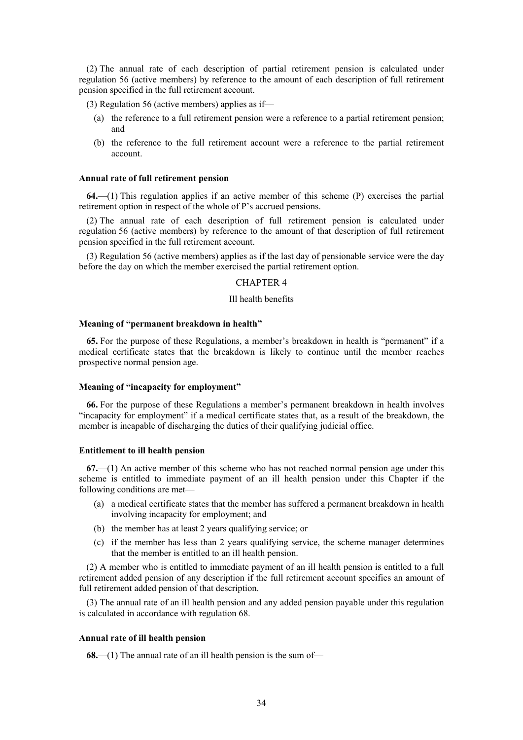(2) The annual rate of each description of partial retirement pension is calculated under regulation 56 (active members) by reference to the amount of each description of full retirement pension specified in the full retirement account.

(3) Regulation 56 (active members) applies as if—

- (a) the reference to a full retirement pension were a reference to a partial retirement pension; and
- (b) the reference to the full retirement account were a reference to the partial retirement account.

## **Annual rate of full retirement pension**

**64.**—(1) This regulation applies if an active member of this scheme (P) exercises the partial retirement option in respect of the whole of P's accrued pensions.

(2) The annual rate of each description of full retirement pension is calculated under regulation 56 (active members) by reference to the amount of that description of full retirement pension specified in the full retirement account.

(3) Regulation 56 (active members) applies as if the last day of pensionable service were the day before the day on which the member exercised the partial retirement option.

## CHAPTER 4

#### Ill health benefits

#### **Meaning of "permanent breakdown in health"**

**65.** For the purpose of these Regulations, a member's breakdown in health is "permanent" if a medical certificate states that the breakdown is likely to continue until the member reaches prospective normal pension age.

#### **Meaning of "incapacity for employment"**

**66.** For the purpose of these Regulations a member's permanent breakdown in health involves "incapacity for employment" if a medical certificate states that, as a result of the breakdown, the member is incapable of discharging the duties of their qualifying judicial office.

#### **Entitlement to ill health pension**

**67.**—(1) An active member of this scheme who has not reached normal pension age under this scheme is entitled to immediate payment of an ill health pension under this Chapter if the following conditions are met—

- (a) a medical certificate states that the member has suffered a permanent breakdown in health involving incapacity for employment; and
- (b) the member has at least 2 years qualifying service; or
- (c) if the member has less than 2 years qualifying service, the scheme manager determines that the member is entitled to an ill health pension.

(2) A member who is entitled to immediate payment of an ill health pension is entitled to a full retirement added pension of any description if the full retirement account specifies an amount of full retirement added pension of that description.

(3) The annual rate of an ill health pension and any added pension payable under this regulation is calculated in accordance with regulation 68.

#### **Annual rate of ill health pension**

**68.**—(1) The annual rate of an ill health pension is the sum of—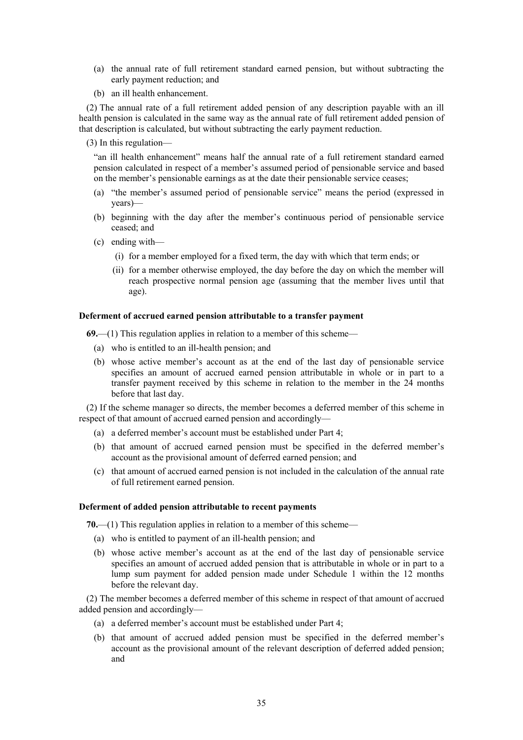- (a) the annual rate of full retirement standard earned pension, but without subtracting the early payment reduction; and
- (b) an ill health enhancement.

(2) The annual rate of a full retirement added pension of any description payable with an ill health pension is calculated in the same way as the annual rate of full retirement added pension of that description is calculated, but without subtracting the early payment reduction.

(3) In this regulation—

"an ill health enhancement" means half the annual rate of a full retirement standard earned pension calculated in respect of a member's assumed period of pensionable service and based on the member's pensionable earnings as at the date their pensionable service ceases;

- (a) "the member's assumed period of pensionable service" means the period (expressed in years)—
- (b) beginning with the day after the member's continuous period of pensionable service ceased; and
- (c) ending with—
	- (i) for a member employed for a fixed term, the day with which that term ends; or
	- (ii) for a member otherwise employed, the day before the day on which the member will reach prospective normal pension age (assuming that the member lives until that age).

#### **Deferment of accrued earned pension attributable to a transfer payment**

**69.**—(1) This regulation applies in relation to a member of this scheme—

- (a) who is entitled to an ill-health pension; and
- (b) whose active member's account as at the end of the last day of pensionable service specifies an amount of accrued earned pension attributable in whole or in part to a transfer payment received by this scheme in relation to the member in the 24 months before that last day.

(2) If the scheme manager so directs, the member becomes a deferred member of this scheme in respect of that amount of accrued earned pension and accordingly—

- (a) a deferred member's account must be established under Part 4;
- (b) that amount of accrued earned pension must be specified in the deferred member's account as the provisional amount of deferred earned pension; and
- (c) that amount of accrued earned pension is not included in the calculation of the annual rate of full retirement earned pension.

#### **Deferment of added pension attributable to recent payments**

**70.**—(1) This regulation applies in relation to a member of this scheme—

- (a) who is entitled to payment of an ill-health pension; and
- (b) whose active member's account as at the end of the last day of pensionable service specifies an amount of accrued added pension that is attributable in whole or in part to a lump sum payment for added pension made under Schedule 1 within the 12 months before the relevant day.

(2) The member becomes a deferred member of this scheme in respect of that amount of accrued added pension and accordingly—

- (a) a deferred member's account must be established under Part 4;
- (b) that amount of accrued added pension must be specified in the deferred member's account as the provisional amount of the relevant description of deferred added pension; and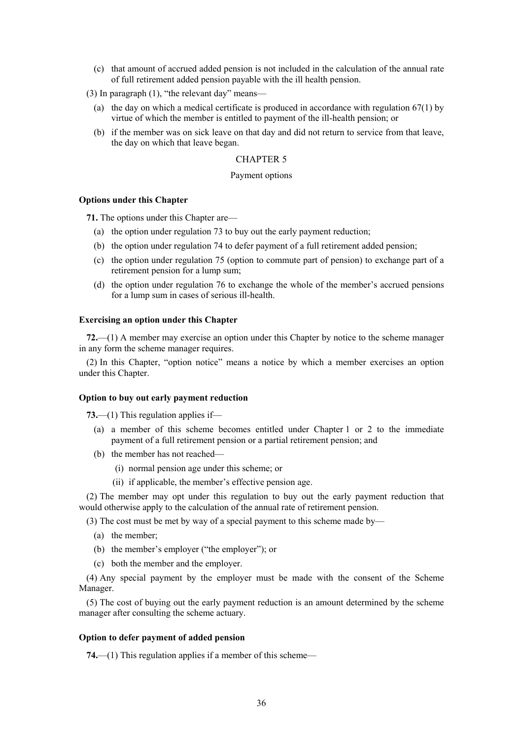- (c) that amount of accrued added pension is not included in the calculation of the annual rate of full retirement added pension payable with the ill health pension.
- (3) In paragraph (1), "the relevant day" means—
	- (a) the day on which a medical certificate is produced in accordance with regulation 67(1) by virtue of which the member is entitled to payment of the ill-health pension; or
	- (b) if the member was on sick leave on that day and did not return to service from that leave, the day on which that leave began.

#### Payment options

#### **Options under this Chapter**

**71.** The options under this Chapter are—

- (a) the option under regulation 73 to buy out the early payment reduction;
- (b) the option under regulation 74 to defer payment of a full retirement added pension;
- (c) the option under regulation 75 (option to commute part of pension) to exchange part of a retirement pension for a lump sum;
- (d) the option under regulation 76 to exchange the whole of the member's accrued pensions for a lump sum in cases of serious ill-health.

#### **Exercising an option under this Chapter**

**72.**—(1) A member may exercise an option under this Chapter by notice to the scheme manager in any form the scheme manager requires.

(2) In this Chapter, "option notice" means a notice by which a member exercises an option under this Chapter.

#### **Option to buy out early payment reduction**

**73.**—(1) This regulation applies if—

- (a) a member of this scheme becomes entitled under Chapter 1 or 2 to the immediate payment of a full retirement pension or a partial retirement pension; and
- (b) the member has not reached—
	- (i) normal pension age under this scheme; or
	- (ii) if applicable, the member's effective pension age.

(2) The member may opt under this regulation to buy out the early payment reduction that would otherwise apply to the calculation of the annual rate of retirement pension.

(3) The cost must be met by way of a special payment to this scheme made by—

- (a) the member;
- (b) the member's employer ("the employer"); or
- (c) both the member and the employer.

(4) Any special payment by the employer must be made with the consent of the Scheme Manager.

(5) The cost of buying out the early payment reduction is an amount determined by the scheme manager after consulting the scheme actuary.

#### **Option to defer payment of added pension**

**74.**—(1) This regulation applies if a member of this scheme—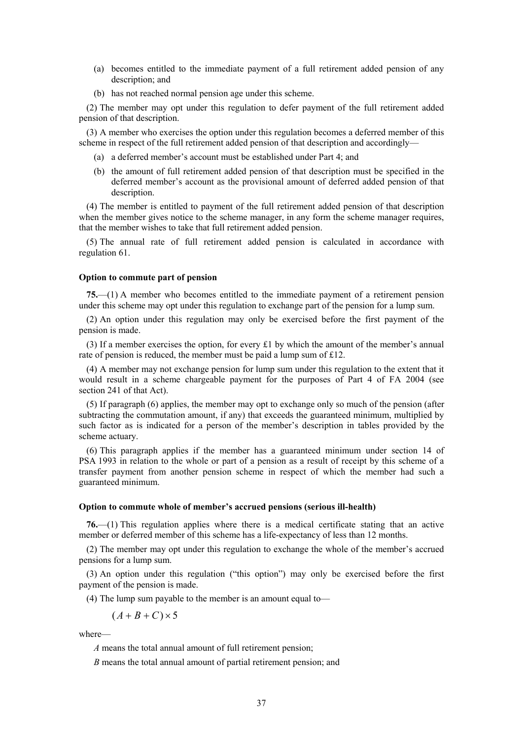- (a) becomes entitled to the immediate payment of a full retirement added pension of any description; and
- (b) has not reached normal pension age under this scheme.

(2) The member may opt under this regulation to defer payment of the full retirement added pension of that description.

(3) A member who exercises the option under this regulation becomes a deferred member of this scheme in respect of the full retirement added pension of that description and accordingly—

- (a) a deferred member's account must be established under Part 4; and
- (b) the amount of full retirement added pension of that description must be specified in the deferred member's account as the provisional amount of deferred added pension of that description.

(4) The member is entitled to payment of the full retirement added pension of that description when the member gives notice to the scheme manager, in any form the scheme manager requires, that the member wishes to take that full retirement added pension.

(5) The annual rate of full retirement added pension is calculated in accordance with regulation 61.

# **Option to commute part of pension**

**75.**—(1) A member who becomes entitled to the immediate payment of a retirement pension under this scheme may opt under this regulation to exchange part of the pension for a lump sum.

(2) An option under this regulation may only be exercised before the first payment of the pension is made.

(3) If a member exercises the option, for every £1 by which the amount of the member's annual rate of pension is reduced, the member must be paid a lump sum of £12.

(4) A member may not exchange pension for lump sum under this regulation to the extent that it would result in a scheme chargeable payment for the purposes of Part 4 of FA 2004 (see section 241 of that Act).

(5) If paragraph (6) applies, the member may opt to exchange only so much of the pension (after subtracting the commutation amount, if any) that exceeds the guaranteed minimum, multiplied by such factor as is indicated for a person of the member's description in tables provided by the scheme actuary.

(6) This paragraph applies if the member has a guaranteed minimum under section 14 of PSA 1993 in relation to the whole or part of a pension as a result of receipt by this scheme of a transfer payment from another pension scheme in respect of which the member had such a guaranteed minimum.

### **Option to commute whole of member's accrued pensions (serious ill-health)**

**76.**—(1) This regulation applies where there is a medical certificate stating that an active member or deferred member of this scheme has a life-expectancy of less than 12 months.

(2) The member may opt under this regulation to exchange the whole of the member's accrued pensions for a lump sum.

(3) An option under this regulation ("this option") may only be exercised before the first payment of the pension is made.

(4) The lump sum payable to the member is an amount equal to—

 $(A+B+C) \times 5$ 

where—

*A* means the total annual amount of full retirement pension;

*B* means the total annual amount of partial retirement pension; and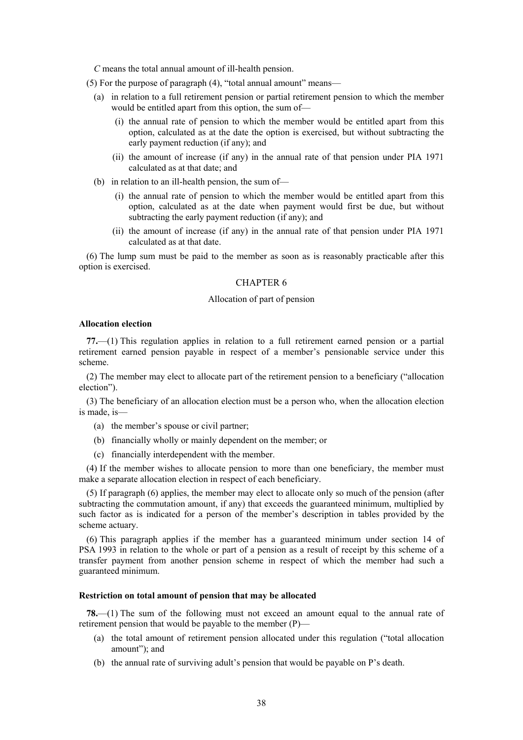*C* means the total annual amount of ill-health pension.

(5) For the purpose of paragraph (4), "total annual amount" means—

- (a) in relation to a full retirement pension or partial retirement pension to which the member would be entitled apart from this option, the sum of—
	- (i) the annual rate of pension to which the member would be entitled apart from this option, calculated as at the date the option is exercised, but without subtracting the early payment reduction (if any); and
	- (ii) the amount of increase (if any) in the annual rate of that pension under PIA 1971 calculated as at that date; and
- (b) in relation to an ill-health pension, the sum of—
	- (i) the annual rate of pension to which the member would be entitled apart from this option, calculated as at the date when payment would first be due, but without subtracting the early payment reduction (if any); and
	- (ii) the amount of increase (if any) in the annual rate of that pension under PIA 1971 calculated as at that date.

(6) The lump sum must be paid to the member as soon as is reasonably practicable after this option is exercised.

# CHAPTER 6

### Allocation of part of pension

### **Allocation election**

**77.**—(1) This regulation applies in relation to a full retirement earned pension or a partial retirement earned pension payable in respect of a member's pensionable service under this scheme.

(2) The member may elect to allocate part of the retirement pension to a beneficiary ("allocation election").

(3) The beneficiary of an allocation election must be a person who, when the allocation election is made, is—

- (a) the member's spouse or civil partner;
- (b) financially wholly or mainly dependent on the member; or
- (c) financially interdependent with the member.

(4) If the member wishes to allocate pension to more than one beneficiary, the member must make a separate allocation election in respect of each beneficiary.

(5) If paragraph (6) applies, the member may elect to allocate only so much of the pension (after subtracting the commutation amount, if any) that exceeds the guaranteed minimum, multiplied by such factor as is indicated for a person of the member's description in tables provided by the scheme actuary.

(6) This paragraph applies if the member has a guaranteed minimum under section 14 of PSA 1993 in relation to the whole or part of a pension as a result of receipt by this scheme of a transfer payment from another pension scheme in respect of which the member had such a guaranteed minimum.

### **Restriction on total amount of pension that may be allocated**

**78.**—(1) The sum of the following must not exceed an amount equal to the annual rate of retirement pension that would be payable to the member (P)—

- (a) the total amount of retirement pension allocated under this regulation ("total allocation amount"); and
- (b) the annual rate of surviving adult's pension that would be payable on P's death.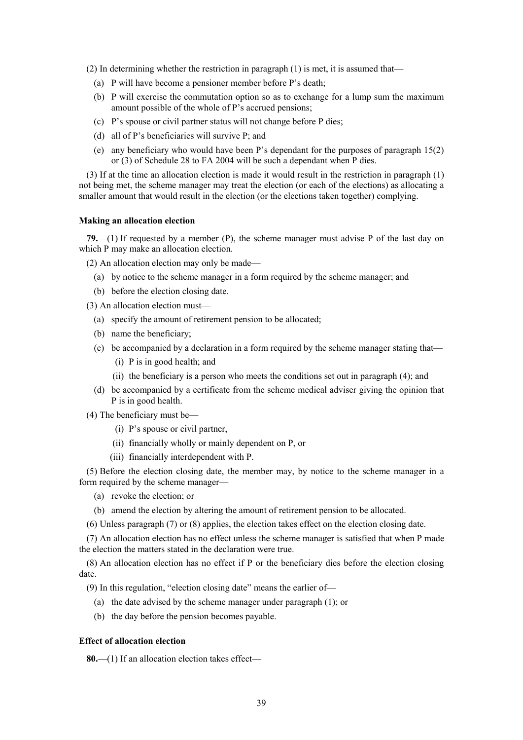(2) In determining whether the restriction in paragraph (1) is met, it is assumed that—

- (a) P will have become a pensioner member before P's death;
- (b) P will exercise the commutation option so as to exchange for a lump sum the maximum amount possible of the whole of P's accrued pensions;
- (c) P's spouse or civil partner status will not change before P dies;
- (d) all of P's beneficiaries will survive P; and
- (e) any beneficiary who would have been P's dependant for the purposes of paragraph 15(2) or (3) of Schedule 28 to FA 2004 will be such a dependant when P dies.

(3) If at the time an allocation election is made it would result in the restriction in paragraph (1) not being met, the scheme manager may treat the election (or each of the elections) as allocating a smaller amount that would result in the election (or the elections taken together) complying.

## **Making an allocation election**

**79.**—(1) If requested by a member (P), the scheme manager must advise P of the last day on which P may make an allocation election.

(2) An allocation election may only be made—

- (a) by notice to the scheme manager in a form required by the scheme manager; and
- (b) before the election closing date.
- (3) An allocation election must—
	- (a) specify the amount of retirement pension to be allocated;
	- (b) name the beneficiary;
	- (c) be accompanied by a declaration in a form required by the scheme manager stating that—
		- (i) P is in good health; and
		- (ii) the beneficiary is a person who meets the conditions set out in paragraph (4); and
	- (d) be accompanied by a certificate from the scheme medical adviser giving the opinion that P is in good health.
- (4) The beneficiary must be—
	- (i) P's spouse or civil partner,
	- (ii) financially wholly or mainly dependent on P, or
	- (iii) financially interdependent with P.

(5) Before the election closing date, the member may, by notice to the scheme manager in a form required by the scheme manager—

- (a) revoke the election; or
- (b) amend the election by altering the amount of retirement pension to be allocated.
- (6) Unless paragraph (7) or (8) applies, the election takes effect on the election closing date.

(7) An allocation election has no effect unless the scheme manager is satisfied that when P made the election the matters stated in the declaration were true.

(8) An allocation election has no effect if P or the beneficiary dies before the election closing date.

(9) In this regulation, "election closing date" means the earlier of—

- (a) the date advised by the scheme manager under paragraph (1); or
- (b) the day before the pension becomes payable.

### **Effect of allocation election**

**80.**—(1) If an allocation election takes effect—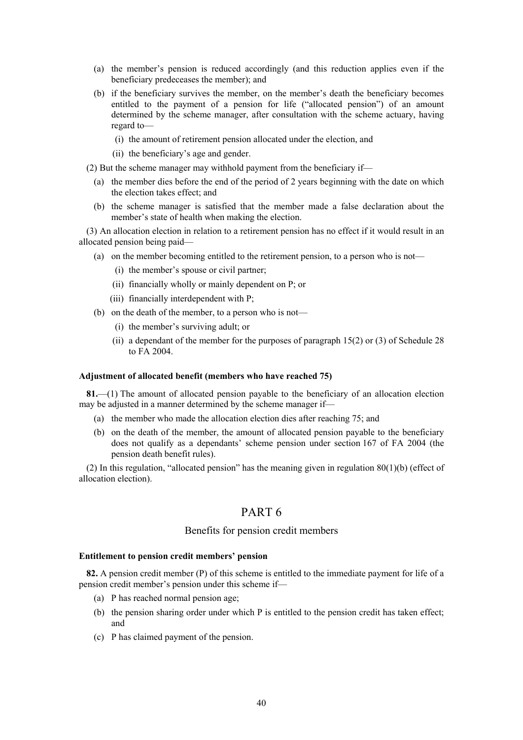- (a) the member's pension is reduced accordingly (and this reduction applies even if the beneficiary predeceases the member); and
- (b) if the beneficiary survives the member, on the member's death the beneficiary becomes entitled to the payment of a pension for life ("allocated pension") of an amount determined by the scheme manager, after consultation with the scheme actuary, having regard to—
	- (i) the amount of retirement pension allocated under the election, and
	- (ii) the beneficiary's age and gender.
- (2) But the scheme manager may withhold payment from the beneficiary if—
	- (a) the member dies before the end of the period of 2 years beginning with the date on which the election takes effect; and
	- (b) the scheme manager is satisfied that the member made a false declaration about the member's state of health when making the election.

(3) An allocation election in relation to a retirement pension has no effect if it would result in an allocated pension being paid—

- (a) on the member becoming entitled to the retirement pension, to a person who is not—
	- (i) the member's spouse or civil partner;
	- (ii) financially wholly or mainly dependent on P; or
	- (iii) financially interdependent with P;
- (b) on the death of the member, to a person who is not—
	- (i) the member's surviving adult; or
	- (ii) a dependant of the member for the purposes of paragraph  $15(2)$  or (3) of Schedule 28 to FA 2004.

### **Adjustment of allocated benefit (members who have reached 75)**

**81.**—(1) The amount of allocated pension payable to the beneficiary of an allocation election may be adjusted in a manner determined by the scheme manager if—

- (a) the member who made the allocation election dies after reaching 75; and
- (b) on the death of the member, the amount of allocated pension payable to the beneficiary does not qualify as a dependants' scheme pension under section 167 of FA 2004 (the pension death benefit rules).

(2) In this regulation, "allocated pension" has the meaning given in regulation 80(1)(b) (effect of allocation election).

# PART 6

# Benefits for pension credit members

### **Entitlement to pension credit members' pension**

**82.** A pension credit member (P) of this scheme is entitled to the immediate payment for life of a pension credit member's pension under this scheme if—

- (a) P has reached normal pension age;
- (b) the pension sharing order under which P is entitled to the pension credit has taken effect; and
- (c) P has claimed payment of the pension.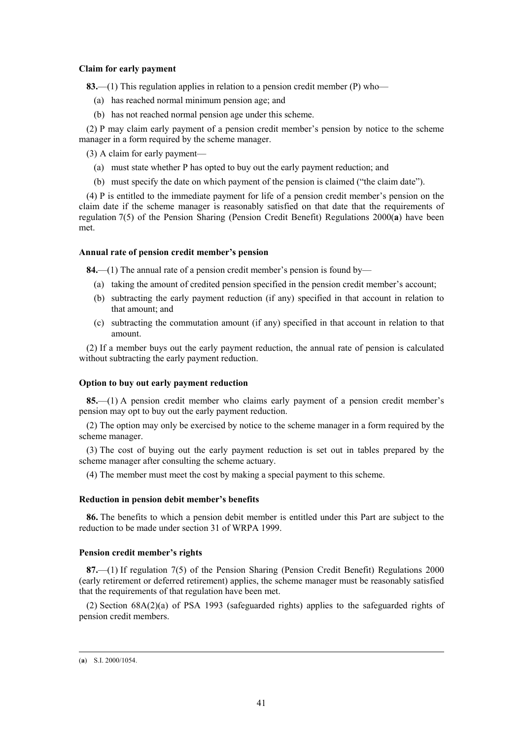# **Claim for early payment**

**83.**—(1) This regulation applies in relation to a pension credit member (P) who—

- (a) has reached normal minimum pension age; and
- (b) has not reached normal pension age under this scheme.

(2) P may claim early payment of a pension credit member's pension by notice to the scheme manager in a form required by the scheme manager.

(3) A claim for early payment—

- (a) must state whether P has opted to buy out the early payment reduction; and
- (b) must specify the date on which payment of the pension is claimed ("the claim date").

(4) P is entitled to the immediate payment for life of a pension credit member's pension on the claim date if the scheme manager is reasonably satisfied on that date that the requirements of regulation 7(5) of the Pension Sharing (Pension Credit Benefit) Regulations 2000(**a**) have been met.

## **Annual rate of pension credit member's pension**

**84.**—(1) The annual rate of a pension credit member's pension is found by—

- (a) taking the amount of credited pension specified in the pension credit member's account;
- (b) subtracting the early payment reduction (if any) specified in that account in relation to that amount; and
- (c) subtracting the commutation amount (if any) specified in that account in relation to that amount.

(2) If a member buys out the early payment reduction, the annual rate of pension is calculated without subtracting the early payment reduction.

# **Option to buy out early payment reduction**

**85.**—(1) A pension credit member who claims early payment of a pension credit member's pension may opt to buy out the early payment reduction.

(2) The option may only be exercised by notice to the scheme manager in a form required by the scheme manager.

(3) The cost of buying out the early payment reduction is set out in tables prepared by the scheme manager after consulting the scheme actuary.

(4) The member must meet the cost by making a special payment to this scheme.

## **Reduction in pension debit member's benefits**

**86.** The benefits to which a pension debit member is entitled under this Part are subject to the reduction to be made under section 31 of WRPA 1999.

# **Pension credit member's rights**

**87.**—(1) If regulation 7(5) of the Pension Sharing (Pension Credit Benefit) Regulations 2000 (early retirement or deferred retirement) applies, the scheme manager must be reasonably satisfied that the requirements of that regulation have been met.

(2) Section 68A(2)(a) of PSA 1993 (safeguarded rights) applies to the safeguarded rights of pension credit members.

 <sup>(</sup>**a**) S.I. 2000/1054.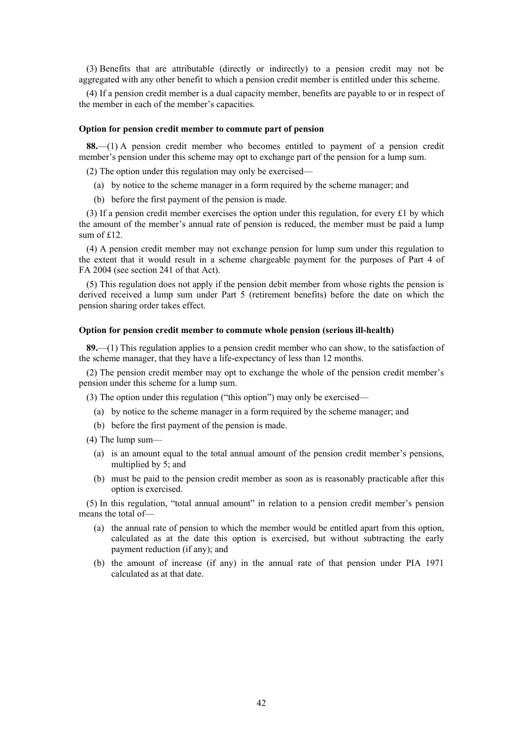(3) Benefits that are attributable (directly or indirectly) to a pension credit may not be aggregated with any other benefit to which a pension credit member is entitled under this scheme.

(4) If a pension credit member is a dual capacity member, benefits are payable to or in respect of the member in each of the member's capacities.

### **Option for pension credit member to commute part of pension**

**88.**—(1) A pension credit member who becomes entitled to payment of a pension credit member's pension under this scheme may opt to exchange part of the pension for a lump sum.

(2) The option under this regulation may only be exercised—

- (a) by notice to the scheme manager in a form required by the scheme manager; and
- (b) before the first payment of the pension is made.

(3) If a pension credit member exercises the option under this regulation, for every £1 by which the amount of the member's annual rate of pension is reduced, the member must be paid a lump sum of £12.

(4) A pension credit member may not exchange pension for lump sum under this regulation to the extent that it would result in a scheme chargeable payment for the purposes of Part 4 of FA 2004 (see section 241 of that Act).

(5) This regulation does not apply if the pension debit member from whose rights the pension is derived received a lump sum under Part 5 (retirement benefits) before the date on which the pension sharing order takes effect.

### **Option for pension credit member to commute whole pension (serious ill-health)**

**89.**—(1) This regulation applies to a pension credit member who can show, to the satisfaction of the scheme manager, that they have a life-expectancy of less than 12 months.

(2) The pension credit member may opt to exchange the whole of the pension credit member's pension under this scheme for a lump sum.

(3) The option under this regulation ("this option") may only be exercised—

- (a) by notice to the scheme manager in a form required by the scheme manager; and
- (b) before the first payment of the pension is made.

(4) The lump sum—

- (a) is an amount equal to the total annual amount of the pension credit member's pensions, multiplied by 5; and
- (b) must be paid to the pension credit member as soon as is reasonably practicable after this option is exercised.

(5) In this regulation, "total annual amount" in relation to a pension credit member's pension means the total of—

- (a) the annual rate of pension to which the member would be entitled apart from this option, calculated as at the date this option is exercised, but without subtracting the early payment reduction (if any); and
- (b) the amount of increase (if any) in the annual rate of that pension under PIA 1971 calculated as at that date.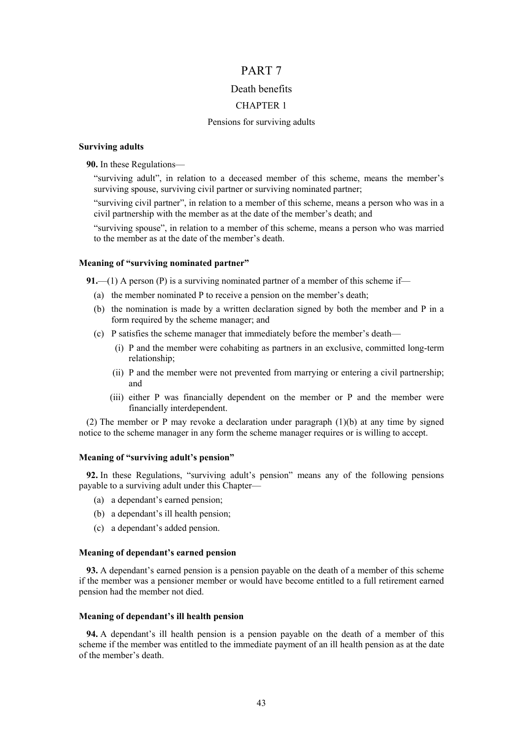# PART 7

# Death benefits

# CHAPTER 1

### Pensions for surviving adults

# **Surviving adults**

**90.** In these Regulations—

"surviving adult", in relation to a deceased member of this scheme, means the member's surviving spouse, surviving civil partner or surviving nominated partner;

"surviving civil partner", in relation to a member of this scheme, means a person who was in a civil partnership with the member as at the date of the member's death; and

"surviving spouse", in relation to a member of this scheme, means a person who was married to the member as at the date of the member's death.

### **Meaning of "surviving nominated partner"**

**91.**—(1) A person (P) is a surviving nominated partner of a member of this scheme if—

- (a) the member nominated P to receive a pension on the member's death;
- (b) the nomination is made by a written declaration signed by both the member and P in a form required by the scheme manager; and
- (c) P satisfies the scheme manager that immediately before the member's death—
	- (i) P and the member were cohabiting as partners in an exclusive, committed long-term relationship;
	- (ii) P and the member were not prevented from marrying or entering a civil partnership; and
	- (iii) either P was financially dependent on the member or P and the member were financially interdependent.

(2) The member or P may revoke a declaration under paragraph (1)(b) at any time by signed notice to the scheme manager in any form the scheme manager requires or is willing to accept.

# **Meaning of "surviving adult's pension"**

**92.** In these Regulations, "surviving adult's pension" means any of the following pensions payable to a surviving adult under this Chapter—

- (a) a dependant's earned pension;
- (b) a dependant's ill health pension;
- (c) a dependant's added pension.

# **Meaning of dependant's earned pension**

**93.** A dependant's earned pension is a pension payable on the death of a member of this scheme if the member was a pensioner member or would have become entitled to a full retirement earned pension had the member not died.

#### **Meaning of dependant's ill health pension**

**94.** A dependant's ill health pension is a pension payable on the death of a member of this scheme if the member was entitled to the immediate payment of an ill health pension as at the date of the member's death.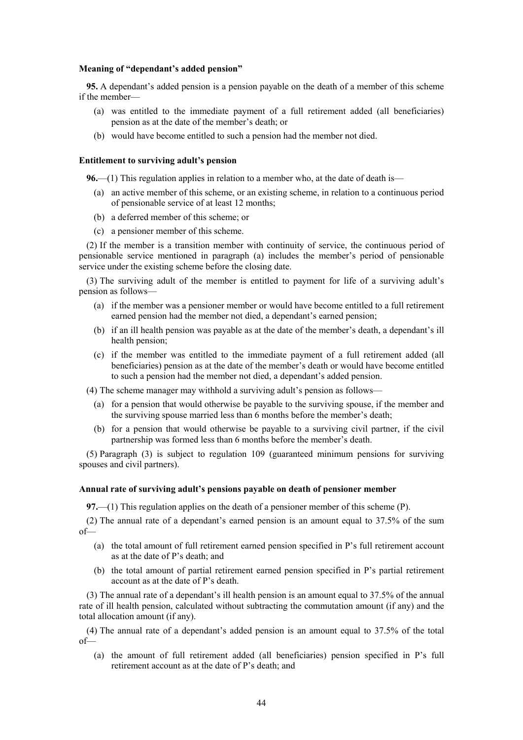### **Meaning of "dependant's added pension"**

**95.** A dependant's added pension is a pension payable on the death of a member of this scheme if the member-

- (a) was entitled to the immediate payment of a full retirement added (all beneficiaries) pension as at the date of the member's death; or
- (b) would have become entitled to such a pension had the member not died.

### **Entitlement to surviving adult's pension**

**96.**—(1) This regulation applies in relation to a member who, at the date of death is—

- (a) an active member of this scheme, or an existing scheme, in relation to a continuous period of pensionable service of at least 12 months;
- (b) a deferred member of this scheme; or
- (c) a pensioner member of this scheme.

(2) If the member is a transition member with continuity of service, the continuous period of pensionable service mentioned in paragraph (a) includes the member's period of pensionable service under the existing scheme before the closing date.

(3) The surviving adult of the member is entitled to payment for life of a surviving adult's pension as follows—

- (a) if the member was a pensioner member or would have become entitled to a full retirement earned pension had the member not died, a dependant's earned pension;
- (b) if an ill health pension was payable as at the date of the member's death, a dependant's ill health pension;
- (c) if the member was entitled to the immediate payment of a full retirement added (all beneficiaries) pension as at the date of the member's death or would have become entitled to such a pension had the member not died, a dependant's added pension.

(4) The scheme manager may withhold a surviving adult's pension as follows—

- (a) for a pension that would otherwise be payable to the surviving spouse, if the member and the surviving spouse married less than 6 months before the member's death;
- (b) for a pension that would otherwise be payable to a surviving civil partner, if the civil partnership was formed less than 6 months before the member's death.

(5) Paragraph (3) is subject to regulation 109 (guaranteed minimum pensions for surviving spouses and civil partners).

### **Annual rate of surviving adult's pensions payable on death of pensioner member**

**97.**—(1) This regulation applies on the death of a pensioner member of this scheme (P).

(2) The annual rate of a dependant's earned pension is an amount equal to 37.5% of the sum of—

- (a) the total amount of full retirement earned pension specified in P's full retirement account as at the date of P's death; and
- (b) the total amount of partial retirement earned pension specified in P's partial retirement account as at the date of P's death.

(3) The annual rate of a dependant's ill health pension is an amount equal to 37.5% of the annual rate of ill health pension, calculated without subtracting the commutation amount (if any) and the total allocation amount (if any).

(4) The annual rate of a dependant's added pension is an amount equal to 37.5% of the total of—

(a) the amount of full retirement added (all beneficiaries) pension specified in P's full retirement account as at the date of P's death; and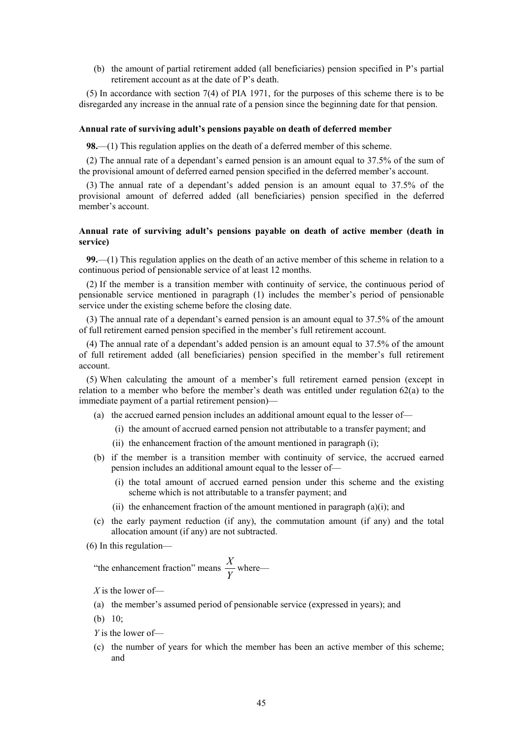(b) the amount of partial retirement added (all beneficiaries) pension specified in P's partial retirement account as at the date of P's death.

(5) In accordance with section 7(4) of PIA 1971, for the purposes of this scheme there is to be disregarded any increase in the annual rate of a pension since the beginning date for that pension.

### **Annual rate of surviving adult's pensions payable on death of deferred member**

**98.**—(1) This regulation applies on the death of a deferred member of this scheme.

(2) The annual rate of a dependant's earned pension is an amount equal to 37.5% of the sum of the provisional amount of deferred earned pension specified in the deferred member's account.

(3) The annual rate of a dependant's added pension is an amount equal to 37.5% of the provisional amount of deferred added (all beneficiaries) pension specified in the deferred member's account.

### **Annual rate of surviving adult's pensions payable on death of active member (death in service)**

**99.**—(1) This regulation applies on the death of an active member of this scheme in relation to a continuous period of pensionable service of at least 12 months.

(2) If the member is a transition member with continuity of service, the continuous period of pensionable service mentioned in paragraph (1) includes the member's period of pensionable service under the existing scheme before the closing date.

(3) The annual rate of a dependant's earned pension is an amount equal to 37.5% of the amount of full retirement earned pension specified in the member's full retirement account.

(4) The annual rate of a dependant's added pension is an amount equal to 37.5% of the amount of full retirement added (all beneficiaries) pension specified in the member's full retirement account.

(5) When calculating the amount of a member's full retirement earned pension (except in relation to a member who before the member's death was entitled under regulation 62(a) to the immediate payment of a partial retirement pension)—

- (a) the accrued earned pension includes an additional amount equal to the lesser of—
	- (i) the amount of accrued earned pension not attributable to a transfer payment; and
	- (ii) the enhancement fraction of the amount mentioned in paragraph (i);
- (b) if the member is a transition member with continuity of service, the accrued earned pension includes an additional amount equal to the lesser of—
	- (i) the total amount of accrued earned pension under this scheme and the existing scheme which is not attributable to a transfer payment; and
	- (ii) the enhancement fraction of the amount mentioned in paragraph  $(a)(i)$ ; and
- (c) the early payment reduction (if any), the commutation amount (if any) and the total allocation amount (if any) are not subtracted.
- (6) In this regulation—

"the enhancement fraction" means 
$$
\frac{X}{Y}
$$
 where—

*X* is the lower of—

- (a) the member's assumed period of pensionable service (expressed in years); and
- (b) 10;
- *Y* is the lower of—
- (c) the number of years for which the member has been an active member of this scheme; and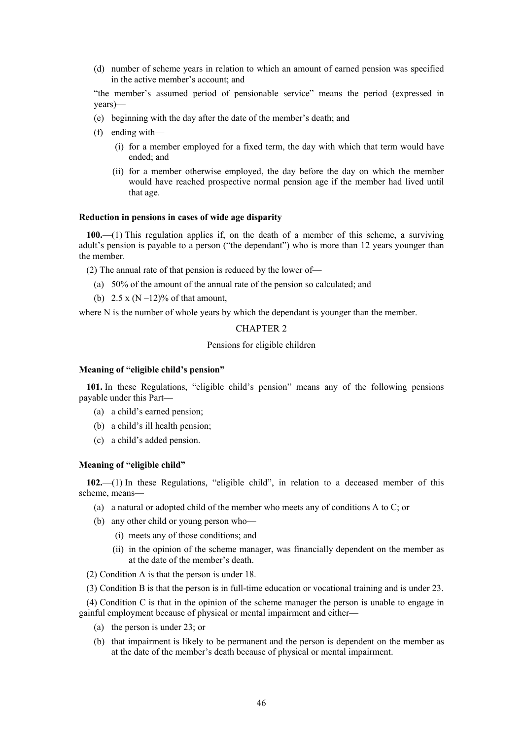(d) number of scheme years in relation to which an amount of earned pension was specified in the active member's account; and

"the member's assumed period of pensionable service" means the period (expressed in years)—

- (e) beginning with the day after the date of the member's death; and
- (f) ending with—
	- (i) for a member employed for a fixed term, the day with which that term would have ended; and
	- (ii) for a member otherwise employed, the day before the day on which the member would have reached prospective normal pension age if the member had lived until that age.

## **Reduction in pensions in cases of wide age disparity**

**100.**—(1) This regulation applies if, on the death of a member of this scheme, a surviving adult's pension is payable to a person ("the dependant") who is more than 12 years younger than the member.

(2) The annual rate of that pension is reduced by the lower of—

- (a) 50% of the amount of the annual rate of the pension so calculated; and
- (b)  $2.5 \times (N 12)\%$  of that amount.

where N is the number of whole years by which the dependant is younger than the member.

# CHAPTER 2

# Pensions for eligible children

# **Meaning of "eligible child's pension"**

**101.** In these Regulations, "eligible child's pension" means any of the following pensions payable under this Part—

- (a) a child's earned pension;
- (b) a child's ill health pension;
- (c) a child's added pension.

### **Meaning of "eligible child"**

**102.**—(1) In these Regulations, "eligible child", in relation to a deceased member of this scheme, means—

- (a) a natural or adopted child of the member who meets any of conditions A to C; or
- (b) any other child or young person who—
	- (i) meets any of those conditions; and
	- (ii) in the opinion of the scheme manager, was financially dependent on the member as at the date of the member's death.
- (2) Condition A is that the person is under 18.
- (3) Condition B is that the person is in full-time education or vocational training and is under 23.

(4) Condition C is that in the opinion of the scheme manager the person is unable to engage in gainful employment because of physical or mental impairment and either—

- (a) the person is under 23; or
- (b) that impairment is likely to be permanent and the person is dependent on the member as at the date of the member's death because of physical or mental impairment.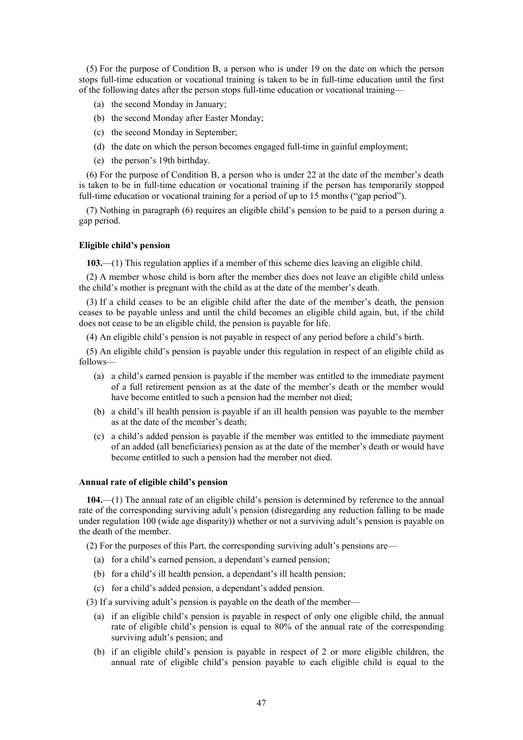(5) For the purpose of Condition B, a person who is under 19 on the date on which the person stops full-time education or vocational training is taken to be in full-time education until the first of the following dates after the person stops full-time education or vocational training—

- (a) the second Monday in January;
- (b) the second Monday after Easter Monday;
- (c) the second Monday in September;
- (d) the date on which the person becomes engaged full-time in gainful employment;
- (e) the person's 19th birthday.

(6) For the purpose of Condition B, a person who is under 22 at the date of the member's death is taken to be in full-time education or vocational training if the person has temporarily stopped full-time education or vocational training for a period of up to 15 months ("gap period").

(7) Nothing in paragraph (6) requires an eligible child's pension to be paid to a person during a gap period.

# **Eligible child's pension**

**103.**—(1) This regulation applies if a member of this scheme dies leaving an eligible child.

(2) A member whose child is born after the member dies does not leave an eligible child unless the child's mother is pregnant with the child as at the date of the member's death.

(3) If a child ceases to be an eligible child after the date of the member's death, the pension ceases to be payable unless and until the child becomes an eligible child again, but, if the child does not cease to be an eligible child, the pension is payable for life.

(4) An eligible child's pension is not payable in respect of any period before a child's birth.

(5) An eligible child's pension is payable under this regulation in respect of an eligible child as follows—

- (a) a child's earned pension is payable if the member was entitled to the immediate payment of a full retirement pension as at the date of the member's death or the member would have become entitled to such a pension had the member not died;
- (b) a child's ill health pension is payable if an ill health pension was payable to the member as at the date of the member's death;
- (c) a child's added pension is payable if the member was entitled to the immediate payment of an added (all beneficiaries) pension as at the date of the member's death or would have become entitled to such a pension had the member not died.

# **Annual rate of eligible child's pension**

**104.**—(1) The annual rate of an eligible child's pension is determined by reference to the annual rate of the corresponding surviving adult's pension (disregarding any reduction falling to be made under regulation 100 (wide age disparity)) whether or not a surviving adult's pension is payable on the death of the member.

(2) For the purposes of this Part, the corresponding surviving adult's pensions are—

- (a) for a child's earned pension, a dependant's earned pension;
- (b) for a child's ill health pension, a dependant's ill health pension;
- (c) for a child's added pension, a dependant's added pension.

(3) If a surviving adult's pension is payable on the death of the member—

- (a) if an eligible child's pension is payable in respect of only one eligible child, the annual rate of eligible child's pension is equal to 80% of the annual rate of the corresponding surviving adult's pension; and
- (b) if an eligible child's pension is payable in respect of 2 or more eligible children, the annual rate of eligible child's pension payable to each eligible child is equal to the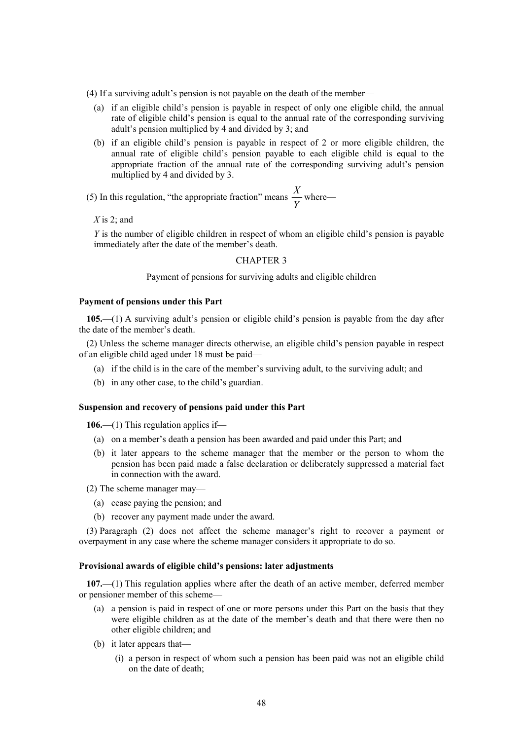(4) If a surviving adult's pension is not payable on the death of the member—

- (a) if an eligible child's pension is payable in respect of only one eligible child, the annual rate of eligible child's pension is equal to the annual rate of the corresponding surviving adult's pension multiplied by 4 and divided by 3; and
- (b) if an eligible child's pension is payable in respect of 2 or more eligible children, the annual rate of eligible child's pension payable to each eligible child is equal to the appropriate fraction of the annual rate of the corresponding surviving adult's pension multiplied by 4 and divided by 3.

(5) In this regulation, "the appropriate fraction" means  $\frac{Y}{Y}$  $\frac{X}{X}$  where—

*X* is 2; and

*Y* is the number of eligible children in respect of whom an eligible child's pension is payable immediately after the date of the member's death.

### CHAPTER 3

Payment of pensions for surviving adults and eligible children

#### **Payment of pensions under this Part**

**105.**—(1) A surviving adult's pension or eligible child's pension is payable from the day after the date of the member's death.

(2) Unless the scheme manager directs otherwise, an eligible child's pension payable in respect of an eligible child aged under 18 must be paid—

- (a) if the child is in the care of the member's surviving adult, to the surviving adult; and
- (b) in any other case, to the child's guardian.

# **Suspension and recovery of pensions paid under this Part**

**106.**—(1) This regulation applies if—

- (a) on a member's death a pension has been awarded and paid under this Part; and
- (b) it later appears to the scheme manager that the member or the person to whom the pension has been paid made a false declaration or deliberately suppressed a material fact in connection with the award.
- (2) The scheme manager may—
	- (a) cease paying the pension; and
	- (b) recover any payment made under the award.

(3) Paragraph (2) does not affect the scheme manager's right to recover a payment or overpayment in any case where the scheme manager considers it appropriate to do so.

#### **Provisional awards of eligible child's pensions: later adjustments**

**107.**—(1) This regulation applies where after the death of an active member, deferred member or pensioner member of this scheme—

- (a) a pension is paid in respect of one or more persons under this Part on the basis that they were eligible children as at the date of the member's death and that there were then no other eligible children; and
- (b) it later appears that—
	- (i) a person in respect of whom such a pension has been paid was not an eligible child on the date of death;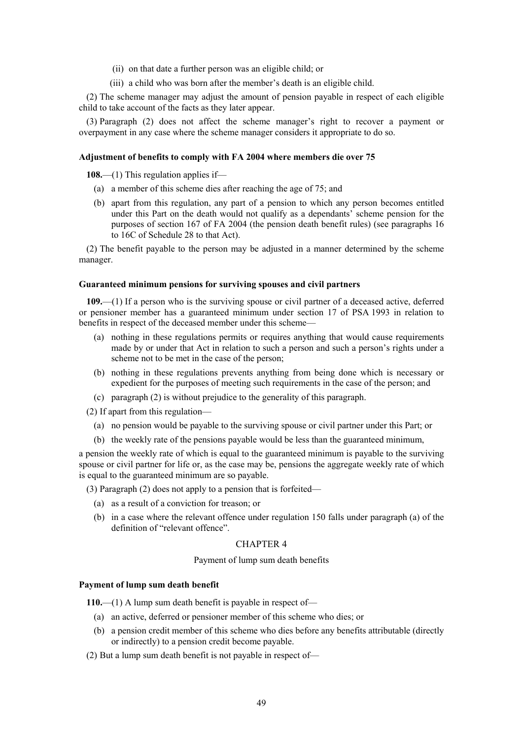- (ii) on that date a further person was an eligible child; or
- (iii) a child who was born after the member's death is an eligible child.

(2) The scheme manager may adjust the amount of pension payable in respect of each eligible child to take account of the facts as they later appear.

(3) Paragraph (2) does not affect the scheme manager's right to recover a payment or overpayment in any case where the scheme manager considers it appropriate to do so.

### **Adjustment of benefits to comply with FA 2004 where members die over 75**

**108.**—(1) This regulation applies if—

- (a) a member of this scheme dies after reaching the age of 75; and
- (b) apart from this regulation, any part of a pension to which any person becomes entitled under this Part on the death would not qualify as a dependants' scheme pension for the purposes of section 167 of FA 2004 (the pension death benefit rules) (see paragraphs 16 to 16C of Schedule 28 to that Act).

(2) The benefit payable to the person may be adjusted in a manner determined by the scheme manager.

### **Guaranteed minimum pensions for surviving spouses and civil partners**

**109.**—(1) If a person who is the surviving spouse or civil partner of a deceased active, deferred or pensioner member has a guaranteed minimum under section 17 of PSA 1993 in relation to benefits in respect of the deceased member under this scheme—

- (a) nothing in these regulations permits or requires anything that would cause requirements made by or under that Act in relation to such a person and such a person's rights under a scheme not to be met in the case of the person;
- (b) nothing in these regulations prevents anything from being done which is necessary or expedient for the purposes of meeting such requirements in the case of the person; and
- (c) paragraph (2) is without prejudice to the generality of this paragraph.

(2) If apart from this regulation—

- (a) no pension would be payable to the surviving spouse or civil partner under this Part; or
- (b) the weekly rate of the pensions payable would be less than the guaranteed minimum,

a pension the weekly rate of which is equal to the guaranteed minimum is payable to the surviving spouse or civil partner for life or, as the case may be, pensions the aggregate weekly rate of which is equal to the guaranteed minimum are so payable.

(3) Paragraph (2) does not apply to a pension that is forfeited—

- (a) as a result of a conviction for treason; or
- (b) in a case where the relevant offence under regulation 150 falls under paragraph (a) of the definition of "relevant offence".

# CHAPTER 4

### Payment of lump sum death benefits

### **Payment of lump sum death benefit**

**110.**—(1) A lump sum death benefit is payable in respect of—

- (a) an active, deferred or pensioner member of this scheme who dies; or
- (b) a pension credit member of this scheme who dies before any benefits attributable (directly or indirectly) to a pension credit become payable.
- (2) But a lump sum death benefit is not payable in respect of—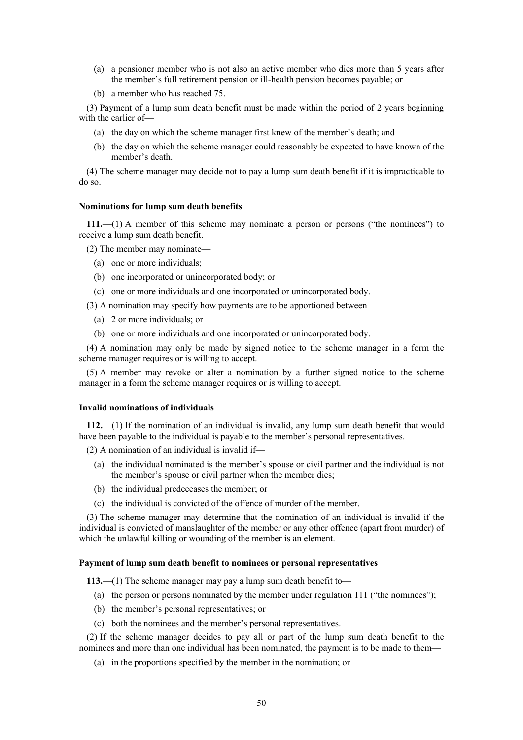- (a) a pensioner member who is not also an active member who dies more than 5 years after the member's full retirement pension or ill-health pension becomes payable; or
- (b) a member who has reached 75.

(3) Payment of a lump sum death benefit must be made within the period of 2 years beginning with the earlier of—

- (a) the day on which the scheme manager first knew of the member's death; and
- (b) the day on which the scheme manager could reasonably be expected to have known of the member's death.

(4) The scheme manager may decide not to pay a lump sum death benefit if it is impracticable to do so.

# **Nominations for lump sum death benefits**

**111.**—(1) A member of this scheme may nominate a person or persons ("the nominees") to receive a lump sum death benefit.

(2) The member may nominate—

- (a) one or more individuals;
- (b) one incorporated or unincorporated body; or
- (c) one or more individuals and one incorporated or unincorporated body.
- (3) A nomination may specify how payments are to be apportioned between—
	- (a) 2 or more individuals; or
	- (b) one or more individuals and one incorporated or unincorporated body.

(4) A nomination may only be made by signed notice to the scheme manager in a form the scheme manager requires or is willing to accept.

(5) A member may revoke or alter a nomination by a further signed notice to the scheme manager in a form the scheme manager requires or is willing to accept.

### **Invalid nominations of individuals**

**112.**—(1) If the nomination of an individual is invalid, any lump sum death benefit that would have been payable to the individual is payable to the member's personal representatives.

(2) A nomination of an individual is invalid if—

- (a) the individual nominated is the member's spouse or civil partner and the individual is not the member's spouse or civil partner when the member dies;
- (b) the individual predeceases the member; or
- (c) the individual is convicted of the offence of murder of the member.

(3) The scheme manager may determine that the nomination of an individual is invalid if the individual is convicted of manslaughter of the member or any other offence (apart from murder) of which the unlawful killing or wounding of the member is an element.

# **Payment of lump sum death benefit to nominees or personal representatives**

**113.**—(1) The scheme manager may pay a lump sum death benefit to—

- (a) the person or persons nominated by the member under regulation 111 ("the nominees");
- (b) the member's personal representatives; or
- (c) both the nominees and the member's personal representatives.

(2) If the scheme manager decides to pay all or part of the lump sum death benefit to the nominees and more than one individual has been nominated, the payment is to be made to them—

(a) in the proportions specified by the member in the nomination; or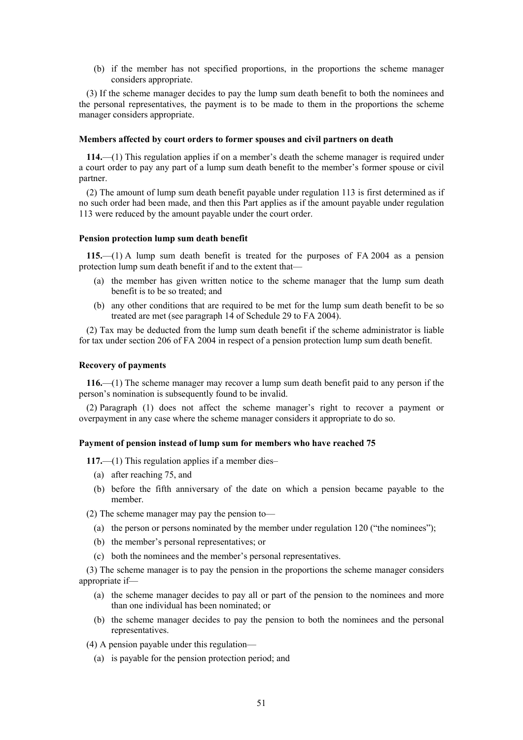(b) if the member has not specified proportions, in the proportions the scheme manager considers appropriate.

(3) If the scheme manager decides to pay the lump sum death benefit to both the nominees and the personal representatives, the payment is to be made to them in the proportions the scheme manager considers appropriate.

### **Members affected by court orders to former spouses and civil partners on death**

**114.**—(1) This regulation applies if on a member's death the scheme manager is required under a court order to pay any part of a lump sum death benefit to the member's former spouse or civil partner.

(2) The amount of lump sum death benefit payable under regulation 113 is first determined as if no such order had been made, and then this Part applies as if the amount payable under regulation 113 were reduced by the amount payable under the court order.

### **Pension protection lump sum death benefit**

**115.**—(1) A lump sum death benefit is treated for the purposes of FA 2004 as a pension protection lump sum death benefit if and to the extent that—

- (a) the member has given written notice to the scheme manager that the lump sum death benefit is to be so treated; and
- (b) any other conditions that are required to be met for the lump sum death benefit to be so treated are met (see paragraph 14 of Schedule 29 to FA 2004).

(2) Tax may be deducted from the lump sum death benefit if the scheme administrator is liable for tax under section 206 of FA 2004 in respect of a pension protection lump sum death benefit.

### **Recovery of payments**

**116.**—(1) The scheme manager may recover a lump sum death benefit paid to any person if the person's nomination is subsequently found to be invalid.

(2) Paragraph (1) does not affect the scheme manager's right to recover a payment or overpayment in any case where the scheme manager considers it appropriate to do so.

## **Payment of pension instead of lump sum for members who have reached 75**

**117.**—(1) This regulation applies if a member dies–

- (a) after reaching 75, and
- (b) before the fifth anniversary of the date on which a pension became payable to the member.

(2) The scheme manager may pay the pension to—

- (a) the person or persons nominated by the member under regulation 120 ("the nominees");
- (b) the member's personal representatives; or
- (c) both the nominees and the member's personal representatives.

(3) The scheme manager is to pay the pension in the proportions the scheme manager considers appropriate if—

- (a) the scheme manager decides to pay all or part of the pension to the nominees and more than one individual has been nominated; or
- (b) the scheme manager decides to pay the pension to both the nominees and the personal representatives.

(4) A pension payable under this regulation—

(a) is payable for the pension protection period; and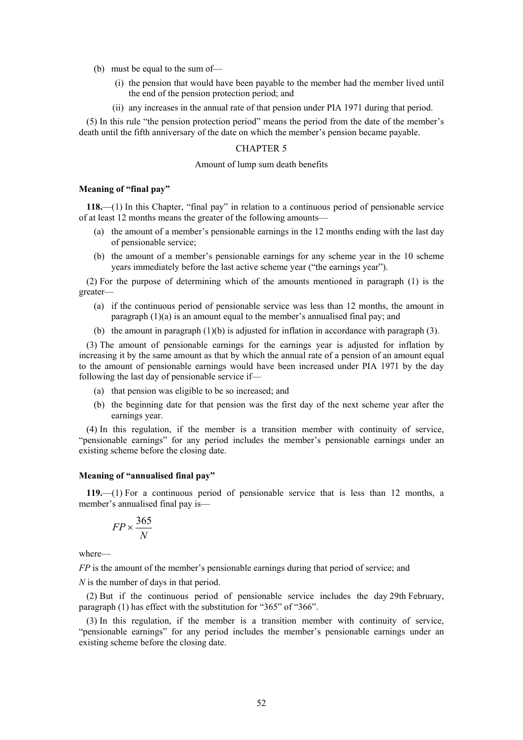- (b) must be equal to the sum of—
	- (i) the pension that would have been payable to the member had the member lived until the end of the pension protection period; and
	- (ii) any increases in the annual rate of that pension under PIA 1971 during that period.

(5) In this rule "the pension protection period" means the period from the date of the member's death until the fifth anniversary of the date on which the member's pension became payable.

### CHAPTER 5

### Amount of lump sum death benefits

# **Meaning of "final pay"**

**118.**—(1) In this Chapter, "final pay" in relation to a continuous period of pensionable service of at least 12 months means the greater of the following amounts—

- (a) the amount of a member's pensionable earnings in the 12 months ending with the last day of pensionable service;
- (b) the amount of a member's pensionable earnings for any scheme year in the 10 scheme years immediately before the last active scheme year ("the earnings year").

(2) For the purpose of determining which of the amounts mentioned in paragraph (1) is the greater—

- (a) if the continuous period of pensionable service was less than 12 months, the amount in paragraph (1)(a) is an amount equal to the member's annualised final pay; and
- (b) the amount in paragraph  $(1)(b)$  is adjusted for inflation in accordance with paragraph  $(3)$ .

(3) The amount of pensionable earnings for the earnings year is adjusted for inflation by increasing it by the same amount as that by which the annual rate of a pension of an amount equal to the amount of pensionable earnings would have been increased under PIA 1971 by the day following the last day of pensionable service if—

- (a) that pension was eligible to be so increased; and
- (b) the beginning date for that pension was the first day of the next scheme year after the earnings year.

(4) In this regulation, if the member is a transition member with continuity of service, "pensionable earnings" for any period includes the member's pensionable earnings under an existing scheme before the closing date.

# **Meaning of "annualised final pay"**

**119.**—(1) For a continuous period of pensionable service that is less than 12 months, a member's annualised final pay is—

$$
FP \times \frac{365}{N}
$$

where—

*FP* is the amount of the member's pensionable earnings during that period of service; and

*N* is the number of days in that period.

(2) But if the continuous period of pensionable service includes the day 29th February, paragraph (1) has effect with the substitution for "365" of "366".

(3) In this regulation, if the member is a transition member with continuity of service, "pensionable earnings" for any period includes the member's pensionable earnings under an existing scheme before the closing date.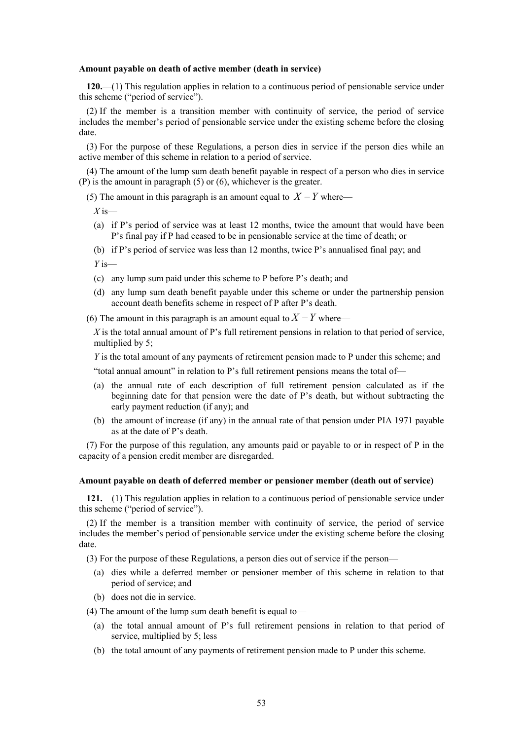#### **Amount payable on death of active member (death in service)**

**120.**—(1) This regulation applies in relation to a continuous period of pensionable service under this scheme ("period of service").

(2) If the member is a transition member with continuity of service, the period of service includes the member's period of pensionable service under the existing scheme before the closing date.

(3) For the purpose of these Regulations, a person dies in service if the person dies while an active member of this scheme in relation to a period of service.

(4) The amount of the lump sum death benefit payable in respect of a person who dies in service (P) is the amount in paragraph (5) or (6), whichever is the greater.

(5) The amount in this paragraph is an amount equal to  $X - Y$  where—

*X* is—

- (a) if P's period of service was at least 12 months, twice the amount that would have been P's final pay if P had ceased to be in pensionable service at the time of death; or
- (b) if P's period of service was less than 12 months, twice P's annualised final pay; and *Y* is—
- (c) any lump sum paid under this scheme to P before P's death; and
- (d) any lump sum death benefit payable under this scheme or under the partnership pension account death benefits scheme in respect of P after P's death.
- (6) The amount in this paragraph is an amount equal to  $X Y$  where—

*X* is the total annual amount of P's full retirement pensions in relation to that period of service, multiplied by 5;

*Y* is the total amount of any payments of retirement pension made to P under this scheme; and

"total annual amount" in relation to P's full retirement pensions means the total of—

- (a) the annual rate of each description of full retirement pension calculated as if the beginning date for that pension were the date of P's death, but without subtracting the early payment reduction (if any); and
- (b) the amount of increase (if any) in the annual rate of that pension under PIA 1971 payable as at the date of P's death.

(7) For the purpose of this regulation, any amounts paid or payable to or in respect of P in the capacity of a pension credit member are disregarded.

#### **Amount payable on death of deferred member or pensioner member (death out of service)**

**121.**—(1) This regulation applies in relation to a continuous period of pensionable service under this scheme ("period of service").

(2) If the member is a transition member with continuity of service, the period of service includes the member's period of pensionable service under the existing scheme before the closing date.

(3) For the purpose of these Regulations, a person dies out of service if the person—

- (a) dies while a deferred member or pensioner member of this scheme in relation to that period of service; and
- (b) does not die in service.

(4) The amount of the lump sum death benefit is equal to—

- (a) the total annual amount of P's full retirement pensions in relation to that period of service, multiplied by 5; less
- (b) the total amount of any payments of retirement pension made to P under this scheme.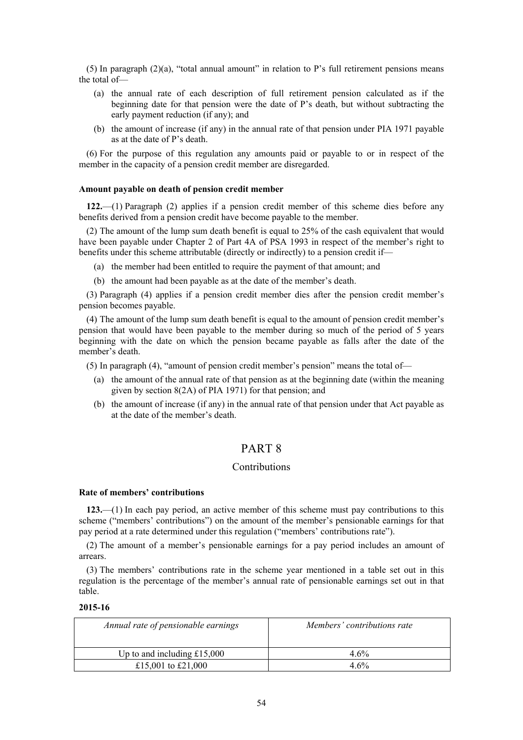(5) In paragraph (2)(a), "total annual amount" in relation to P's full retirement pensions means the total of—

- (a) the annual rate of each description of full retirement pension calculated as if the beginning date for that pension were the date of P's death, but without subtracting the early payment reduction (if any); and
- (b) the amount of increase (if any) in the annual rate of that pension under PIA 1971 payable as at the date of P's death.

(6) For the purpose of this regulation any amounts paid or payable to or in respect of the member in the capacity of a pension credit member are disregarded.

# **Amount payable on death of pension credit member**

**122.**—(1) Paragraph (2) applies if a pension credit member of this scheme dies before any benefits derived from a pension credit have become payable to the member.

(2) The amount of the lump sum death benefit is equal to 25% of the cash equivalent that would have been payable under Chapter 2 of Part 4A of PSA 1993 in respect of the member's right to benefits under this scheme attributable (directly or indirectly) to a pension credit if—

- (a) the member had been entitled to require the payment of that amount; and
- (b) the amount had been payable as at the date of the member's death.

(3) Paragraph (4) applies if a pension credit member dies after the pension credit member's pension becomes payable.

(4) The amount of the lump sum death benefit is equal to the amount of pension credit member's pension that would have been payable to the member during so much of the period of 5 years beginning with the date on which the pension became payable as falls after the date of the member's death.

(5) In paragraph (4), "amount of pension credit member's pension" means the total of—

- (a) the amount of the annual rate of that pension as at the beginning date (within the meaning given by section 8(2A) of PIA 1971) for that pension; and
- (b) the amount of increase (if any) in the annual rate of that pension under that Act payable as at the date of the member's death.

# PART 8

# Contributions

### **Rate of members' contributions**

**123.**—(1) In each pay period, an active member of this scheme must pay contributions to this scheme ("members' contributions") on the amount of the member's pensionable earnings for that pay period at a rate determined under this regulation ("members' contributions rate").

(2) The amount of a member's pensionable earnings for a pay period includes an amount of arrears.

(3) The members' contributions rate in the scheme year mentioned in a table set out in this regulation is the percentage of the member's annual rate of pensionable earnings set out in that table.

### **2015-16**

| Annual rate of pensionable earnings | Members' contributions rate |
|-------------------------------------|-----------------------------|
| Up to and including $£15,000$       | $4.6\%$                     |
| £15,001 to £21,000                  | $4.6\%$                     |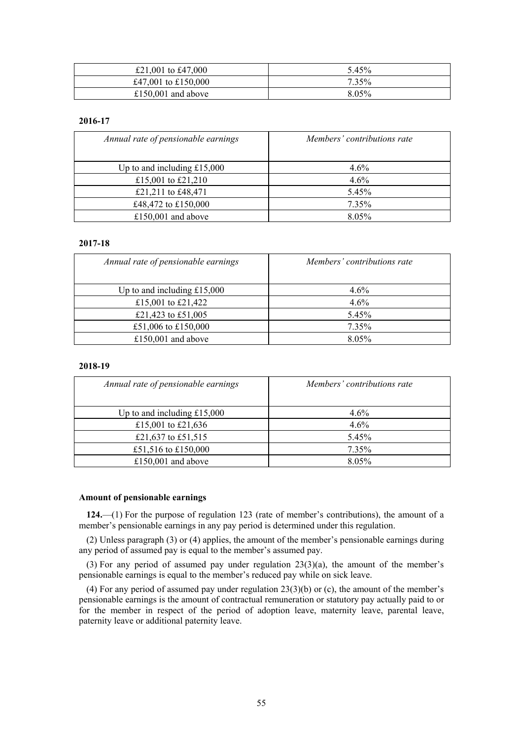| £21,001 to £47,000  | 5.45% |
|---------------------|-------|
| £47,001 to £150,000 | 7.35% |
| £150,001 and above  | 8.05% |

# **2016-17**

| Annual rate of pensionable earnings | Members' contributions rate |
|-------------------------------------|-----------------------------|
| Up to and including $£15,000$       | $4.6\%$                     |
| £15,001 to £21,210                  | $4.6\%$                     |
| £21,211 to £48,471                  | 5.45%                       |
| £48,472 to £150,000                 | 7.35%                       |
| £150,001 and above                  | 8.05%                       |

# **2017-18**

| Annual rate of pensionable earnings | Members' contributions rate |
|-------------------------------------|-----------------------------|
| Up to and including $£15,000$       | $4.6\%$                     |
| £15,001 to £21,422                  | $4.6\%$                     |
| £21,423 to £51,005                  | 5.45%                       |
| £51,006 to £150,000                 | 7.35%                       |
| £150,001 and above                  | 8.05%                       |

# **2018-19**

| Annual rate of pensionable earnings | Members' contributions rate |
|-------------------------------------|-----------------------------|
| Up to and including $£15,000$       | $4.6\%$                     |
| £15,001 to £21,636                  | 4.6%                        |
| £21,637 to £51,515                  | 5.45%                       |
| £51,516 to £150,000                 | 7.35%                       |
| £150,001 and above                  | 8.05%                       |

# **Amount of pensionable earnings**

**124.**—(1) For the purpose of regulation 123 (rate of member's contributions), the amount of a member's pensionable earnings in any pay period is determined under this regulation.

(2) Unless paragraph (3) or (4) applies, the amount of the member's pensionable earnings during any period of assumed pay is equal to the member's assumed pay.

(3) For any period of assumed pay under regulation 23(3)(a), the amount of the member's pensionable earnings is equal to the member's reduced pay while on sick leave.

(4) For any period of assumed pay under regulation 23(3)(b) or (c), the amount of the member's pensionable earnings is the amount of contractual remuneration or statutory pay actually paid to or for the member in respect of the period of adoption leave, maternity leave, parental leave, paternity leave or additional paternity leave.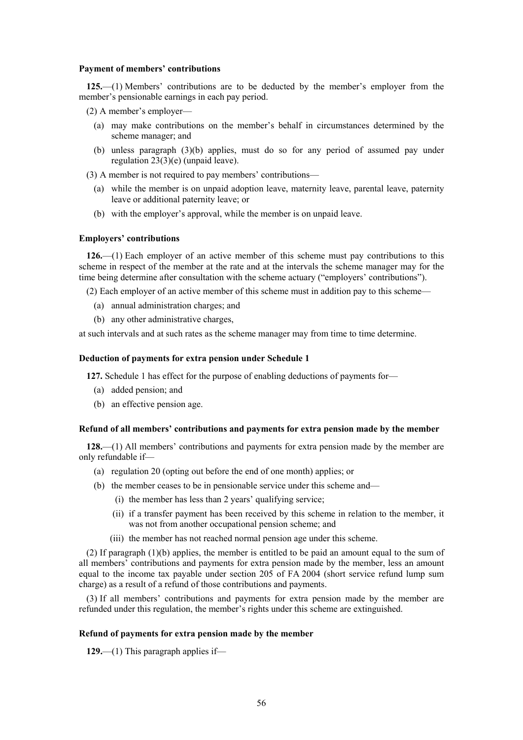### **Payment of members' contributions**

**125.**—(1) Members' contributions are to be deducted by the member's employer from the member's pensionable earnings in each pay period.

(2) A member's employer—

- (a) may make contributions on the member's behalf in circumstances determined by the scheme manager; and
- (b) unless paragraph (3)(b) applies, must do so for any period of assumed pay under regulation 23(3)(e) (unpaid leave).

(3) A member is not required to pay members' contributions—

- (a) while the member is on unpaid adoption leave, maternity leave, parental leave, paternity leave or additional paternity leave; or
- (b) with the employer's approval, while the member is on unpaid leave.

# **Employers' contributions**

**126.**—(1) Each employer of an active member of this scheme must pay contributions to this scheme in respect of the member at the rate and at the intervals the scheme manager may for the time being determine after consultation with the scheme actuary ("employers' contributions").

(2) Each employer of an active member of this scheme must in addition pay to this scheme—

- (a) annual administration charges; and
- (b) any other administrative charges,

at such intervals and at such rates as the scheme manager may from time to time determine.

### **Deduction of payments for extra pension under Schedule 1**

**127.** Schedule 1 has effect for the purpose of enabling deductions of payments for—

- (a) added pension; and
- (b) an effective pension age.

### **Refund of all members' contributions and payments for extra pension made by the member**

**128.**—(1) All members' contributions and payments for extra pension made by the member are only refundable if—

- (a) regulation 20 (opting out before the end of one month) applies; or
- (b) the member ceases to be in pensionable service under this scheme and—
	- (i) the member has less than 2 years' qualifying service;
	- (ii) if a transfer payment has been received by this scheme in relation to the member, it was not from another occupational pension scheme; and
	- (iii) the member has not reached normal pension age under this scheme.

(2) If paragraph (1)(b) applies, the member is entitled to be paid an amount equal to the sum of all members' contributions and payments for extra pension made by the member, less an amount equal to the income tax payable under section 205 of FA 2004 (short service refund lump sum charge) as a result of a refund of those contributions and payments.

(3) If all members' contributions and payments for extra pension made by the member are refunded under this regulation, the member's rights under this scheme are extinguished.

#### **Refund of payments for extra pension made by the member**

**129.**—(1) This paragraph applies if—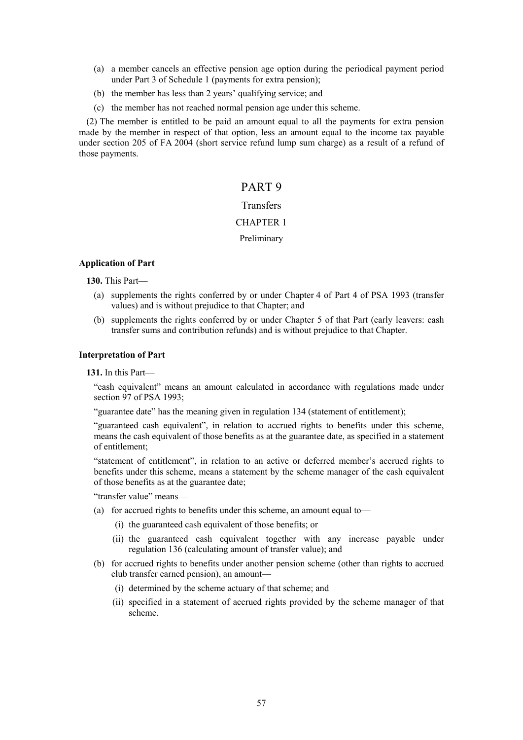- (a) a member cancels an effective pension age option during the periodical payment period under Part 3 of Schedule 1 (payments for extra pension);
- (b) the member has less than 2 years' qualifying service; and
- (c) the member has not reached normal pension age under this scheme.

(2) The member is entitled to be paid an amount equal to all the payments for extra pension made by the member in respect of that option, less an amount equal to the income tax payable under section 205 of FA 2004 (short service refund lump sum charge) as a result of a refund of those payments.

# PART 9

# **Transfers**

# CHAPTER 1

# Preliminary

# **Application of Part**

**130.** This Part—

- (a) supplements the rights conferred by or under Chapter 4 of Part 4 of PSA 1993 (transfer values) and is without prejudice to that Chapter; and
- (b) supplements the rights conferred by or under Chapter 5 of that Part (early leavers: cash transfer sums and contribution refunds) and is without prejudice to that Chapter.

### **Interpretation of Part**

**131.** In this Part—

"cash equivalent" means an amount calculated in accordance with regulations made under section 97 of PSA 1993;

"guarantee date" has the meaning given in regulation 134 (statement of entitlement);

"guaranteed cash equivalent", in relation to accrued rights to benefits under this scheme, means the cash equivalent of those benefits as at the guarantee date, as specified in a statement of entitlement;

"statement of entitlement", in relation to an active or deferred member's accrued rights to benefits under this scheme, means a statement by the scheme manager of the cash equivalent of those benefits as at the guarantee date;

"transfer value" means—

- (a) for accrued rights to benefits under this scheme, an amount equal to—
	- (i) the guaranteed cash equivalent of those benefits; or
	- (ii) the guaranteed cash equivalent together with any increase payable under regulation 136 (calculating amount of transfer value); and
- (b) for accrued rights to benefits under another pension scheme (other than rights to accrued club transfer earned pension), an amount—
	- (i) determined by the scheme actuary of that scheme; and
	- (ii) specified in a statement of accrued rights provided by the scheme manager of that scheme.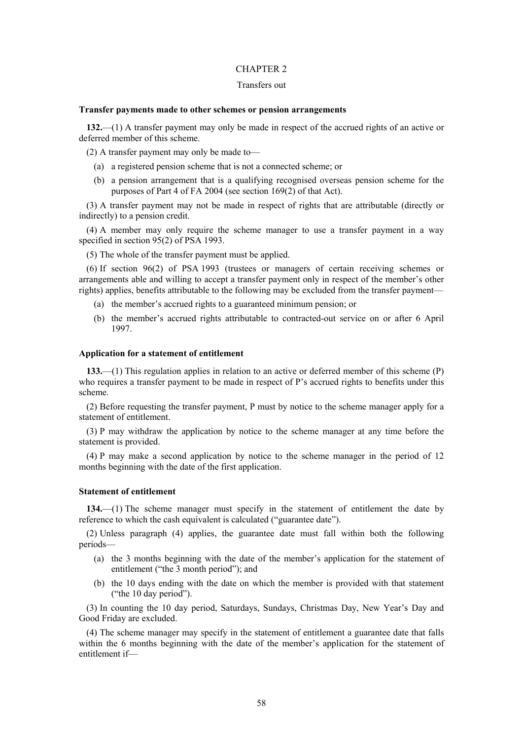### CHAPTER 2

# Transfers out

### **Transfer payments made to other schemes or pension arrangements**

**132.**—(1) A transfer payment may only be made in respect of the accrued rights of an active or deferred member of this scheme.

(2) A transfer payment may only be made to—

- (a) a registered pension scheme that is not a connected scheme; or
- (b) a pension arrangement that is a qualifying recognised overseas pension scheme for the purposes of Part 4 of FA 2004 (see section 169(2) of that Act).

(3) A transfer payment may not be made in respect of rights that are attributable (directly or indirectly) to a pension credit.

(4) A member may only require the scheme manager to use a transfer payment in a way specified in section 95(2) of PSA 1993.

(5) The whole of the transfer payment must be applied.

(6) If section 96(2) of PSA 1993 (trustees or managers of certain receiving schemes or arrangements able and willing to accept a transfer payment only in respect of the member's other rights) applies, benefits attributable to the following may be excluded from the transfer payment—

- (a) the member's accrued rights to a guaranteed minimum pension; or
- (b) the member's accrued rights attributable to contracted-out service on or after 6 April 1997.

### **Application for a statement of entitlement**

**133.**—(1) This regulation applies in relation to an active or deferred member of this scheme (P) who requires a transfer payment to be made in respect of P's accrued rights to benefits under this scheme.

(2) Before requesting the transfer payment, P must by notice to the scheme manager apply for a statement of entitlement.

(3) P may withdraw the application by notice to the scheme manager at any time before the statement is provided.

(4) P may make a second application by notice to the scheme manager in the period of 12 months beginning with the date of the first application.

### **Statement of entitlement**

**134.**—(1) The scheme manager must specify in the statement of entitlement the date by reference to which the cash equivalent is calculated ("guarantee date").

(2) Unless paragraph (4) applies, the guarantee date must fall within both the following periods—

- (a) the 3 months beginning with the date of the member's application for the statement of entitlement ("the 3 month period"); and
- (b) the 10 days ending with the date on which the member is provided with that statement ("the 10 day period").

(3) In counting the 10 day period, Saturdays, Sundays, Christmas Day, New Year's Day and Good Friday are excluded.

(4) The scheme manager may specify in the statement of entitlement a guarantee date that falls within the 6 months beginning with the date of the member's application for the statement of entitlement if—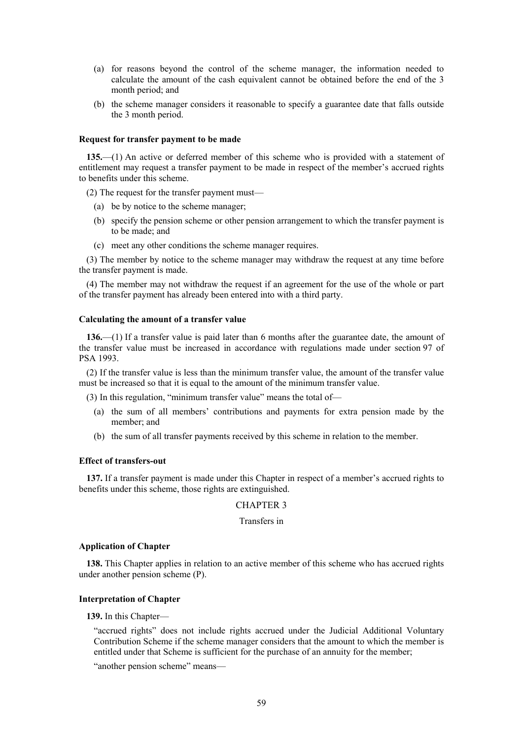- (a) for reasons beyond the control of the scheme manager, the information needed to calculate the amount of the cash equivalent cannot be obtained before the end of the 3 month period; and
- (b) the scheme manager considers it reasonable to specify a guarantee date that falls outside the 3 month period.

### **Request for transfer payment to be made**

**135.**—(1) An active or deferred member of this scheme who is provided with a statement of entitlement may request a transfer payment to be made in respect of the member's accrued rights to benefits under this scheme.

(2) The request for the transfer payment must—

- (a) be by notice to the scheme manager;
- (b) specify the pension scheme or other pension arrangement to which the transfer payment is to be made; and
- (c) meet any other conditions the scheme manager requires.

(3) The member by notice to the scheme manager may withdraw the request at any time before the transfer payment is made.

(4) The member may not withdraw the request if an agreement for the use of the whole or part of the transfer payment has already been entered into with a third party.

#### **Calculating the amount of a transfer value**

**136.**—(1) If a transfer value is paid later than 6 months after the guarantee date, the amount of the transfer value must be increased in accordance with regulations made under section 97 of PSA 1993.

(2) If the transfer value is less than the minimum transfer value, the amount of the transfer value must be increased so that it is equal to the amount of the minimum transfer value.

(3) In this regulation, "minimum transfer value" means the total of—

- (a) the sum of all members' contributions and payments for extra pension made by the member; and
- (b) the sum of all transfer payments received by this scheme in relation to the member.

# **Effect of transfers-out**

**137.** If a transfer payment is made under this Chapter in respect of a member's accrued rights to benefits under this scheme, those rights are extinguished.

### CHAPTER 3

# Transfers in

### **Application of Chapter**

**138.** This Chapter applies in relation to an active member of this scheme who has accrued rights under another pension scheme (P).

### **Interpretation of Chapter**

### **139.** In this Chapter—

"accrued rights" does not include rights accrued under the Judicial Additional Voluntary Contribution Scheme if the scheme manager considers that the amount to which the member is entitled under that Scheme is sufficient for the purchase of an annuity for the member;

"another pension scheme" means—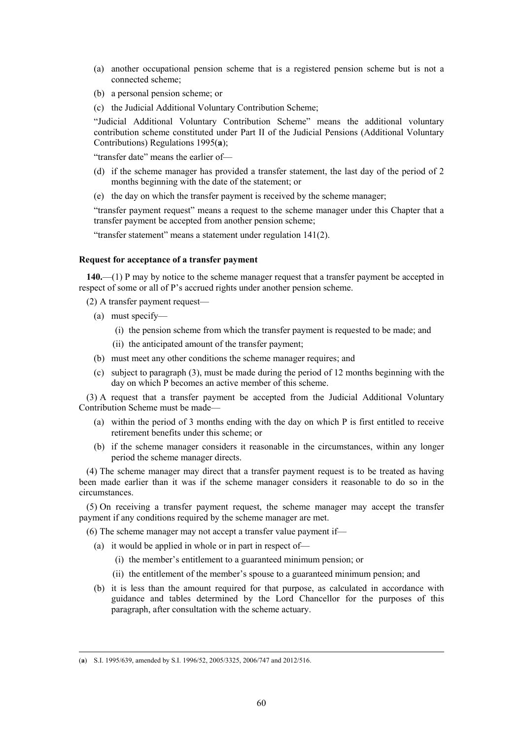- (a) another occupational pension scheme that is a registered pension scheme but is not a connected scheme;
- (b) a personal pension scheme; or
- (c) the Judicial Additional Voluntary Contribution Scheme;

"Judicial Additional Voluntary Contribution Scheme" means the additional voluntary contribution scheme constituted under Part II of the Judicial Pensions (Additional Voluntary Contributions) Regulations 1995(**a**);

"transfer date" means the earlier of—

- (d) if the scheme manager has provided a transfer statement, the last day of the period of 2 months beginning with the date of the statement; or
- (e) the day on which the transfer payment is received by the scheme manager;

"transfer payment request" means a request to the scheme manager under this Chapter that a transfer payment be accepted from another pension scheme;

"transfer statement" means a statement under regulation 141(2).

### **Request for acceptance of a transfer payment**

**140.**—(1) P may by notice to the scheme manager request that a transfer payment be accepted in respect of some or all of P's accrued rights under another pension scheme.

(2) A transfer payment request—

- (a) must specify—
	- (i) the pension scheme from which the transfer payment is requested to be made; and
	- (ii) the anticipated amount of the transfer payment;
- (b) must meet any other conditions the scheme manager requires; and
- (c) subject to paragraph (3), must be made during the period of 12 months beginning with the day on which P becomes an active member of this scheme.

(3) A request that a transfer payment be accepted from the Judicial Additional Voluntary Contribution Scheme must be made—

- (a) within the period of 3 months ending with the day on which P is first entitled to receive retirement benefits under this scheme; or
- (b) if the scheme manager considers it reasonable in the circumstances, within any longer period the scheme manager directs.

(4) The scheme manager may direct that a transfer payment request is to be treated as having been made earlier than it was if the scheme manager considers it reasonable to do so in the circumstances.

(5) On receiving a transfer payment request, the scheme manager may accept the transfer payment if any conditions required by the scheme manager are met.

(6) The scheme manager may not accept a transfer value payment if—

- (a) it would be applied in whole or in part in respect of—
	- (i) the member's entitlement to a guaranteed minimum pension; or
	- (ii) the entitlement of the member's spouse to a guaranteed minimum pension; and
- (b) it is less than the amount required for that purpose, as calculated in accordance with guidance and tables determined by the Lord Chancellor for the purposes of this paragraph, after consultation with the scheme actuary.

 $\overline{a}$ 

<sup>(</sup>**a**) S.I. 1995/639, amended by S.I. 1996/52, 2005/3325, 2006/747 and 2012/516.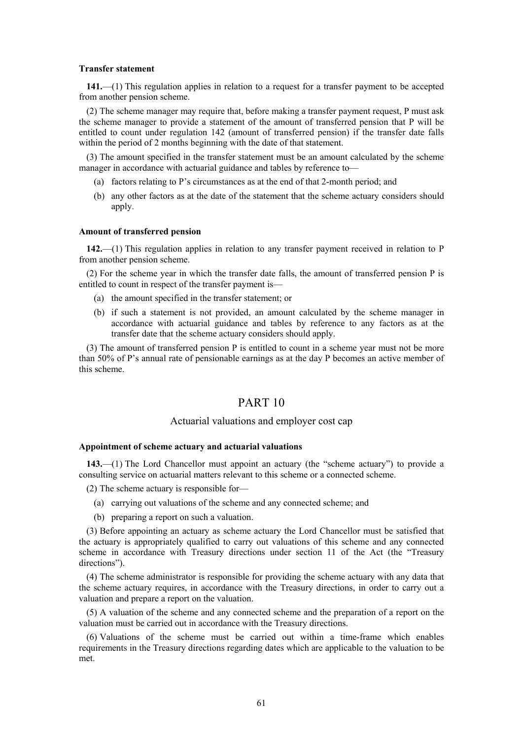#### **Transfer statement**

**141.**—(1) This regulation applies in relation to a request for a transfer payment to be accepted from another pension scheme.

(2) The scheme manager may require that, before making a transfer payment request, P must ask the scheme manager to provide a statement of the amount of transferred pension that P will be entitled to count under regulation 142 (amount of transferred pension) if the transfer date falls within the period of 2 months beginning with the date of that statement.

(3) The amount specified in the transfer statement must be an amount calculated by the scheme manager in accordance with actuarial guidance and tables by reference to—

- (a) factors relating to P's circumstances as at the end of that 2-month period; and
- (b) any other factors as at the date of the statement that the scheme actuary considers should apply.

#### **Amount of transferred pension**

**142.**—(1) This regulation applies in relation to any transfer payment received in relation to P from another pension scheme.

(2) For the scheme year in which the transfer date falls, the amount of transferred pension P is entitled to count in respect of the transfer payment is—

- (a) the amount specified in the transfer statement; or
- (b) if such a statement is not provided, an amount calculated by the scheme manager in accordance with actuarial guidance and tables by reference to any factors as at the transfer date that the scheme actuary considers should apply.

(3) The amount of transferred pension P is entitled to count in a scheme year must not be more than 50% of P's annual rate of pensionable earnings as at the day P becomes an active member of this scheme.

# PART 10

# Actuarial valuations and employer cost cap

### **Appointment of scheme actuary and actuarial valuations**

**143.**—(1) The Lord Chancellor must appoint an actuary (the "scheme actuary") to provide a consulting service on actuarial matters relevant to this scheme or a connected scheme.

- (2) The scheme actuary is responsible for—
	- (a) carrying out valuations of the scheme and any connected scheme; and
	- (b) preparing a report on such a valuation.

(3) Before appointing an actuary as scheme actuary the Lord Chancellor must be satisfied that the actuary is appropriately qualified to carry out valuations of this scheme and any connected scheme in accordance with Treasury directions under section 11 of the Act (the "Treasury directions").

(4) The scheme administrator is responsible for providing the scheme actuary with any data that the scheme actuary requires, in accordance with the Treasury directions, in order to carry out a valuation and prepare a report on the valuation.

(5) A valuation of the scheme and any connected scheme and the preparation of a report on the valuation must be carried out in accordance with the Treasury directions.

(6) Valuations of the scheme must be carried out within a time-frame which enables requirements in the Treasury directions regarding dates which are applicable to the valuation to be met.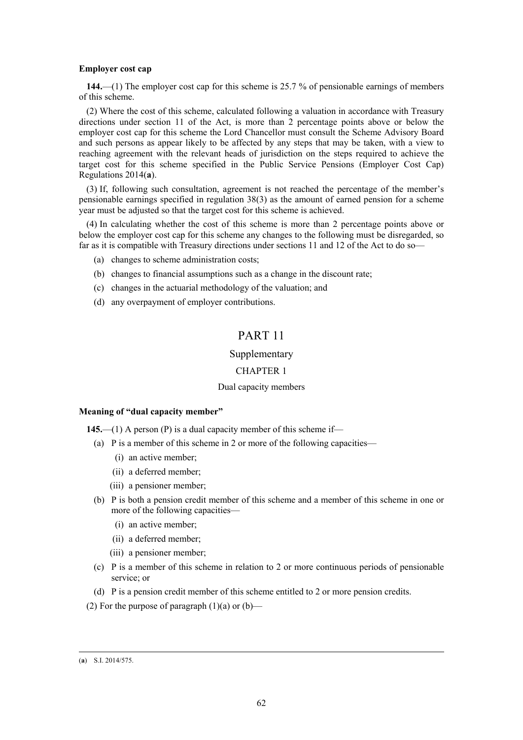### **Employer cost cap**

**144.**—(1) The employer cost cap for this scheme is 25.7 % of pensionable earnings of members of this scheme.

(2) Where the cost of this scheme, calculated following a valuation in accordance with Treasury directions under section 11 of the Act, is more than 2 percentage points above or below the employer cost cap for this scheme the Lord Chancellor must consult the Scheme Advisory Board and such persons as appear likely to be affected by any steps that may be taken, with a view to reaching agreement with the relevant heads of jurisdiction on the steps required to achieve the target cost for this scheme specified in the Public Service Pensions (Employer Cost Cap) Regulations 2014(**a**).

(3) If, following such consultation, agreement is not reached the percentage of the member's pensionable earnings specified in regulation 38(3) as the amount of earned pension for a scheme year must be adjusted so that the target cost for this scheme is achieved.

(4) In calculating whether the cost of this scheme is more than 2 percentage points above or below the employer cost cap for this scheme any changes to the following must be disregarded, so far as it is compatible with Treasury directions under sections 11 and 12 of the Act to do so—

- (a) changes to scheme administration costs;
- (b) changes to financial assumptions such as a change in the discount rate;
- (c) changes in the actuarial methodology of the valuation; and
- (d) any overpayment of employer contributions.

# PART 11

# Supplementary

# CHAPTER 1

### Dual capacity members

#### **Meaning of "dual capacity member"**

- **145.**—(1) A person (P) is a dual capacity member of this scheme if—
	- (a) P is a member of this scheme in 2 or more of the following capacities—
		- (i) an active member;
		- (ii) a deferred member;
		- (iii) a pensioner member;
	- (b) P is both a pension credit member of this scheme and a member of this scheme in one or more of the following capacities—
		- (i) an active member;
		- (ii) a deferred member;
		- (iii) a pensioner member;
	- (c) P is a member of this scheme in relation to 2 or more continuous periods of pensionable service; or
	- (d) P is a pension credit member of this scheme entitled to 2 or more pension credits.
- (2) For the purpose of paragraph  $(1)(a)$  or  $(b)$ —

 $\overline{a}$ 

<sup>(</sup>**a**) S.I. 2014/575.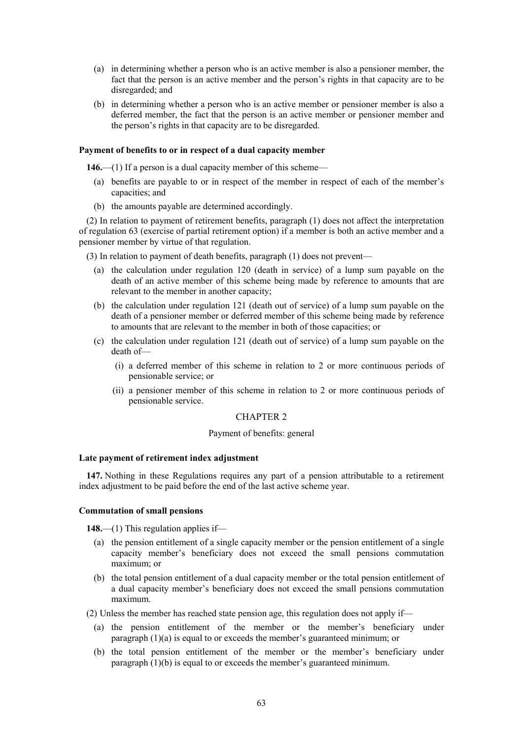- (a) in determining whether a person who is an active member is also a pensioner member, the fact that the person is an active member and the person's rights in that capacity are to be disregarded; and
- (b) in determining whether a person who is an active member or pensioner member is also a deferred member, the fact that the person is an active member or pensioner member and the person's rights in that capacity are to be disregarded.

## **Payment of benefits to or in respect of a dual capacity member**

**146.**—(1) If a person is a dual capacity member of this scheme—

- (a) benefits are payable to or in respect of the member in respect of each of the member's capacities; and
- (b) the amounts payable are determined accordingly.

(2) In relation to payment of retirement benefits, paragraph (1) does not affect the interpretation of regulation 63 (exercise of partial retirement option) if a member is both an active member and a pensioner member by virtue of that regulation.

(3) In relation to payment of death benefits, paragraph (1) does not prevent—

- (a) the calculation under regulation 120 (death in service) of a lump sum payable on the death of an active member of this scheme being made by reference to amounts that are relevant to the member in another capacity;
- (b) the calculation under regulation 121 (death out of service) of a lump sum payable on the death of a pensioner member or deferred member of this scheme being made by reference to amounts that are relevant to the member in both of those capacities; or
- (c) the calculation under regulation 121 (death out of service) of a lump sum payable on the death of—
	- (i) a deferred member of this scheme in relation to 2 or more continuous periods of pensionable service; or
	- (ii) a pensioner member of this scheme in relation to 2 or more continuous periods of pensionable service.

#### CHAPTER 2

#### Payment of benefits: general

### **Late payment of retirement index adjustment**

**147.** Nothing in these Regulations requires any part of a pension attributable to a retirement index adjustment to be paid before the end of the last active scheme year.

### **Commutation of small pensions**

**148.**—(1) This regulation applies if—

- (a) the pension entitlement of a single capacity member or the pension entitlement of a single capacity member's beneficiary does not exceed the small pensions commutation maximum; or
- (b) the total pension entitlement of a dual capacity member or the total pension entitlement of a dual capacity member's beneficiary does not exceed the small pensions commutation maximum.
- (2) Unless the member has reached state pension age, this regulation does not apply if—
	- (a) the pension entitlement of the member or the member's beneficiary under paragraph (1)(a) is equal to or exceeds the member's guaranteed minimum; or
	- (b) the total pension entitlement of the member or the member's beneficiary under paragraph (1)(b) is equal to or exceeds the member's guaranteed minimum.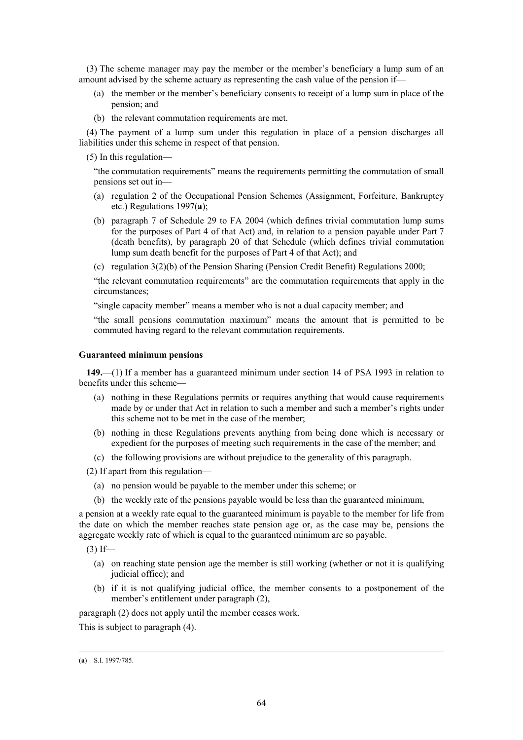(3) The scheme manager may pay the member or the member's beneficiary a lump sum of an amount advised by the scheme actuary as representing the cash value of the pension if—

- (a) the member or the member's beneficiary consents to receipt of a lump sum in place of the pension; and
- (b) the relevant commutation requirements are met.

(4) The payment of a lump sum under this regulation in place of a pension discharges all liabilities under this scheme in respect of that pension.

(5) In this regulation—

"the commutation requirements" means the requirements permitting the commutation of small pensions set out in—

- (a) regulation 2 of the Occupational Pension Schemes (Assignment, Forfeiture, Bankruptcy etc.) Regulations 1997(**a**);
- (b) paragraph 7 of Schedule 29 to FA 2004 (which defines trivial commutation lump sums for the purposes of Part 4 of that Act) and, in relation to a pension payable under Part 7 (death benefits), by paragraph 20 of that Schedule (which defines trivial commutation lump sum death benefit for the purposes of Part 4 of that Act); and
- (c) regulation 3(2)(b) of the Pension Sharing (Pension Credit Benefit) Regulations 2000;

"the relevant commutation requirements" are the commutation requirements that apply in the circumstances;

"single capacity member" means a member who is not a dual capacity member; and

"the small pensions commutation maximum" means the amount that is permitted to be commuted having regard to the relevant commutation requirements.

# **Guaranteed minimum pensions**

**149.**—(1) If a member has a guaranteed minimum under section 14 of PSA 1993 in relation to benefits under this scheme—

- (a) nothing in these Regulations permits or requires anything that would cause requirements made by or under that Act in relation to such a member and such a member's rights under this scheme not to be met in the case of the member;
- (b) nothing in these Regulations prevents anything from being done which is necessary or expedient for the purposes of meeting such requirements in the case of the member; and
- (c) the following provisions are without prejudice to the generality of this paragraph.

(2) If apart from this regulation—

- (a) no pension would be payable to the member under this scheme; or
- (b) the weekly rate of the pensions payable would be less than the guaranteed minimum,

a pension at a weekly rate equal to the guaranteed minimum is payable to the member for life from the date on which the member reaches state pension age or, as the case may be, pensions the aggregate weekly rate of which is equal to the guaranteed minimum are so payable.

 $(3)$  If—

- (a) on reaching state pension age the member is still working (whether or not it is qualifying judicial office); and
- (b) if it is not qualifying judicial office, the member consents to a postponement of the member's entitlement under paragraph (2),

paragraph (2) does not apply until the member ceases work.

This is subject to paragraph (4).

 $\overline{a}$ (**a**) S.I. 1997/785.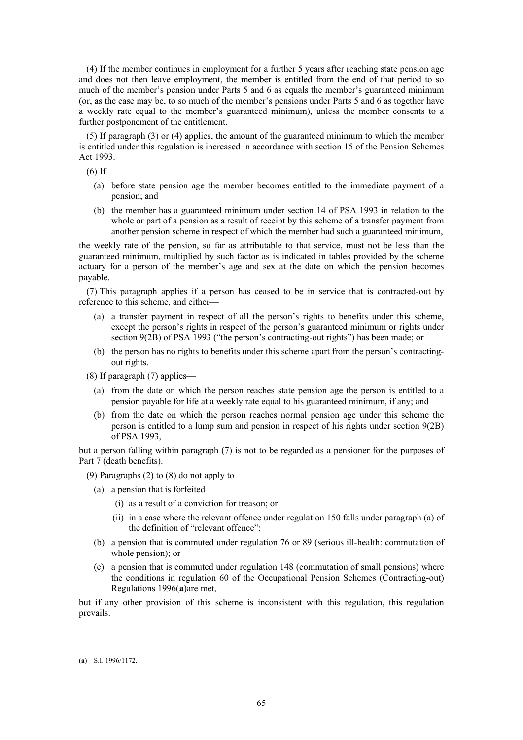(4) If the member continues in employment for a further 5 years after reaching state pension age and does not then leave employment, the member is entitled from the end of that period to so much of the member's pension under Parts 5 and 6 as equals the member's guaranteed minimum (or, as the case may be, to so much of the member's pensions under Parts 5 and 6 as together have a weekly rate equal to the member's guaranteed minimum), unless the member consents to a further postponement of the entitlement.

(5) If paragraph (3) or (4) applies, the amount of the guaranteed minimum to which the member is entitled under this regulation is increased in accordance with section 15 of the Pension Schemes Act 1993.

 $(6)$  If—

- (a) before state pension age the member becomes entitled to the immediate payment of a pension; and
- (b) the member has a guaranteed minimum under section 14 of PSA 1993 in relation to the whole or part of a pension as a result of receipt by this scheme of a transfer payment from another pension scheme in respect of which the member had such a guaranteed minimum,

the weekly rate of the pension, so far as attributable to that service, must not be less than the guaranteed minimum, multiplied by such factor as is indicated in tables provided by the scheme actuary for a person of the member's age and sex at the date on which the pension becomes payable.

(7) This paragraph applies if a person has ceased to be in service that is contracted-out by reference to this scheme, and either—

- (a) a transfer payment in respect of all the person's rights to benefits under this scheme, except the person's rights in respect of the person's guaranteed minimum or rights under section 9(2B) of PSA 1993 ("the person's contracting-out rights") has been made; or
- (b) the person has no rights to benefits under this scheme apart from the person's contractingout rights.
- (8) If paragraph (7) applies—
	- (a) from the date on which the person reaches state pension age the person is entitled to a pension payable for life at a weekly rate equal to his guaranteed minimum, if any; and
	- (b) from the date on which the person reaches normal pension age under this scheme the person is entitled to a lump sum and pension in respect of his rights under section 9(2B) of PSA 1993,

but a person falling within paragraph (7) is not to be regarded as a pensioner for the purposes of Part 7 (death benefits).

(9) Paragraphs (2) to (8) do not apply to—

- (a) a pension that is forfeited—
	- (i) as a result of a conviction for treason; or
	- (ii) in a case where the relevant offence under regulation 150 falls under paragraph (a) of the definition of "relevant offence";
- (b) a pension that is commuted under regulation 76 or 89 (serious ill-health: commutation of whole pension); or
- (c) a pension that is commuted under regulation 148 (commutation of small pensions) where the conditions in regulation 60 of the Occupational Pension Schemes (Contracting-out) Regulations 1996(**a**)are met,

but if any other provision of this scheme is inconsistent with this regulation, this regulation prevails.

 $\overline{a}$ 

<sup>(</sup>**a**) S.I. 1996/1172.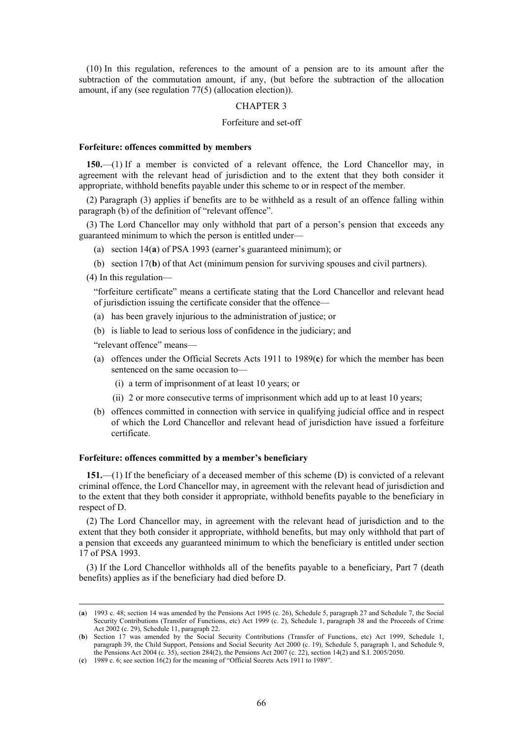(10) In this regulation, references to the amount of a pension are to its amount after the subtraction of the commutation amount, if any, (but before the subtraction of the allocation amount, if any (see regulation 77(5) (allocation election)).

#### CHAPTER 3

# Forfeiture and set-off

#### **Forfeiture: offences committed by members**

**150.**—(1) If a member is convicted of a relevant offence, the Lord Chancellor may, in agreement with the relevant head of jurisdiction and to the extent that they both consider it appropriate, withhold benefits payable under this scheme to or in respect of the member.

(2) Paragraph (3) applies if benefits are to be withheld as a result of an offence falling within paragraph (b) of the definition of "relevant offence".

(3) The Lord Chancellor may only withhold that part of a person's pension that exceeds any guaranteed minimum to which the person is entitled under—

- (a) section 14(**a**) of PSA 1993 (earner's guaranteed minimum); or
- (b) section 17(**b**) of that Act (minimum pension for surviving spouses and civil partners).

(4) In this regulation—

 $\overline{a}$ 

"forfeiture certificate" means a certificate stating that the Lord Chancellor and relevant head of jurisdiction issuing the certificate consider that the offence—

- (a) has been gravely injurious to the administration of justice; or
- (b) is liable to lead to serious loss of confidence in the judiciary; and

"relevant offence" means—

- (a) offences under the Official Secrets Acts 1911 to 1989(**c**) for which the member has been sentenced on the same occasion to—
	- (i) a term of imprisonment of at least 10 years; or
	- (ii) 2 or more consecutive terms of imprisonment which add up to at least 10 years;
- (b) offences committed in connection with service in qualifying judicial office and in respect of which the Lord Chancellor and relevant head of jurisdiction have issued a forfeiture certificate.

# **Forfeiture: offences committed by a member's beneficiary**

**151.**—(1) If the beneficiary of a deceased member of this scheme (D) is convicted of a relevant criminal offence, the Lord Chancellor may, in agreement with the relevant head of jurisdiction and to the extent that they both consider it appropriate, withhold benefits payable to the beneficiary in respect of D.

(2) The Lord Chancellor may, in agreement with the relevant head of jurisdiction and to the extent that they both consider it appropriate, withhold benefits, but may only withhold that part of a pension that exceeds any guaranteed minimum to which the beneficiary is entitled under section 17 of PSA 1993.

(3) If the Lord Chancellor withholds all of the benefits payable to a beneficiary, Part 7 (death benefits) applies as if the beneficiary had died before D.

<sup>(</sup>**a**) 1993 c. 48; section 14 was amended by the Pensions Act 1995 (c. 26), Schedule 5, paragraph 27 and Schedule 7, the Social Security Contributions (Transfer of Functions, etc) Act 1999 (c. 2), Schedule 1, paragraph 38 and the Proceeds of Crime Act 2002 (c. 29), Schedule 11, paragraph 22.

<sup>(</sup>**b**) Section 17 was amended by the Social Security Contributions (Transfer of Functions, etc) Act 1999, Schedule 1, paragraph 39, the Child Support, Pensions and Social Security Act 2000 (c. 19), Schedule 5, paragraph 1, and Schedule 9, the Pensions Act 2004 (c. 35), section 284(2), the Pensions Act 2007 (c. 22), section 14(2) and S.I. 2005/2050.

<sup>(</sup>**c**) 1989 c. 6; see section 16(2) for the meaning of "Official Secrets Acts 1911 to 1989".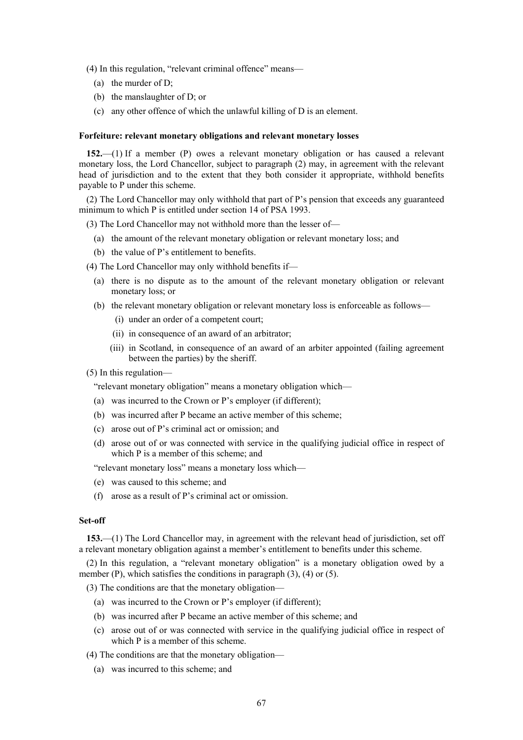(4) In this regulation, "relevant criminal offence" means—

- (a) the murder of D;
- (b) the manslaughter of D; or
- (c) any other offence of which the unlawful killing of D is an element.

### **Forfeiture: relevant monetary obligations and relevant monetary losses**

**152.**—(1) If a member (P) owes a relevant monetary obligation or has caused a relevant monetary loss, the Lord Chancellor, subject to paragraph (2) may, in agreement with the relevant head of jurisdiction and to the extent that they both consider it appropriate, withhold benefits payable to P under this scheme.

(2) The Lord Chancellor may only withhold that part of P's pension that exceeds any guaranteed minimum to which P is entitled under section 14 of PSA 1993.

(3) The Lord Chancellor may not withhold more than the lesser of—

- (a) the amount of the relevant monetary obligation or relevant monetary loss; and
- (b) the value of P's entitlement to benefits.

(4) The Lord Chancellor may only withhold benefits if—

- (a) there is no dispute as to the amount of the relevant monetary obligation or relevant monetary loss; or
- (b) the relevant monetary obligation or relevant monetary loss is enforceable as follows—
	- (i) under an order of a competent court;
	- (ii) in consequence of an award of an arbitrator;
	- (iii) in Scotland, in consequence of an award of an arbiter appointed (failing agreement between the parties) by the sheriff.
- (5) In this regulation—

"relevant monetary obligation" means a monetary obligation which—

- (a) was incurred to the Crown or P's employer (if different);
- (b) was incurred after P became an active member of this scheme;
- (c) arose out of P's criminal act or omission; and
- (d) arose out of or was connected with service in the qualifying judicial office in respect of which P is a member of this scheme; and

"relevant monetary loss" means a monetary loss which—

- (e) was caused to this scheme; and
- (f) arose as a result of P's criminal act or omission.

### **Set-off**

**153.**—(1) The Lord Chancellor may, in agreement with the relevant head of jurisdiction, set off a relevant monetary obligation against a member's entitlement to benefits under this scheme.

(2) In this regulation, a "relevant monetary obligation" is a monetary obligation owed by a member  $(P)$ , which satisfies the conditions in paragraph  $(3)$ ,  $(4)$  or  $(5)$ .

(3) The conditions are that the monetary obligation—

- (a) was incurred to the Crown or P's employer (if different);
- (b) was incurred after P became an active member of this scheme; and
- (c) arose out of or was connected with service in the qualifying judicial office in respect of which P is a member of this scheme.

(4) The conditions are that the monetary obligation—

(a) was incurred to this scheme; and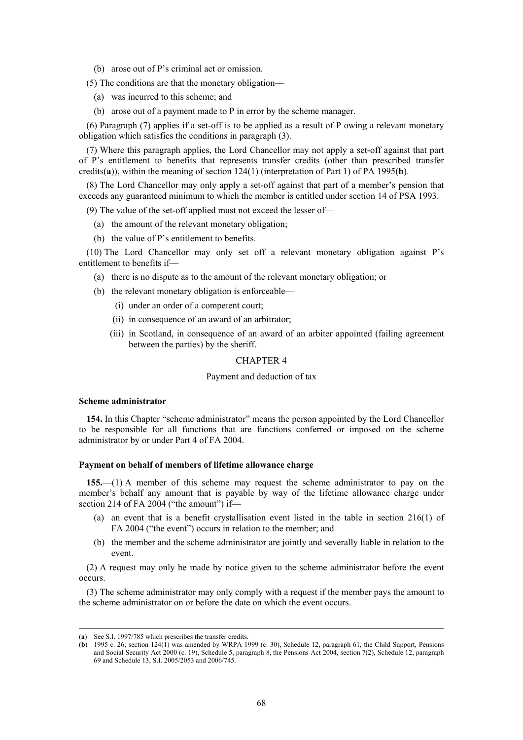(b) arose out of P's criminal act or omission.

(5) The conditions are that the monetary obligation—

- (a) was incurred to this scheme; and
- (b) arose out of a payment made to P in error by the scheme manager.

(6) Paragraph (7) applies if a set-off is to be applied as a result of P owing a relevant monetary obligation which satisfies the conditions in paragraph (3).

(7) Where this paragraph applies, the Lord Chancellor may not apply a set-off against that part of P's entitlement to benefits that represents transfer credits (other than prescribed transfer credits(**a**)), within the meaning of section 124(1) (interpretation of Part 1) of PA 1995(**b**).

(8) The Lord Chancellor may only apply a set-off against that part of a member's pension that exceeds any guaranteed minimum to which the member is entitled under section 14 of PSA 1993.

(9) The value of the set-off applied must not exceed the lesser of—

- (a) the amount of the relevant monetary obligation;
- (b) the value of P's entitlement to benefits.

(10) The Lord Chancellor may only set off a relevant monetary obligation against P's entitlement to benefits if—

- (a) there is no dispute as to the amount of the relevant monetary obligation; or
- (b) the relevant monetary obligation is enforceable—
	- (i) under an order of a competent court;
	- (ii) in consequence of an award of an arbitrator;
	- (iii) in Scotland, in consequence of an award of an arbiter appointed (failing agreement between the parties) by the sheriff.

# CHAPTER 4

# Payment and deduction of tax

### **Scheme administrator**

**154.** In this Chapter "scheme administrator" means the person appointed by the Lord Chancellor to be responsible for all functions that are functions conferred or imposed on the scheme administrator by or under Part 4 of FA 2004.

### **Payment on behalf of members of lifetime allowance charge**

**155.**—(1) A member of this scheme may request the scheme administrator to pay on the member's behalf any amount that is payable by way of the lifetime allowance charge under section 214 of FA 2004 ("the amount") if-

- (a) an event that is a benefit crystallisation event listed in the table in section 216(1) of FA 2004 ("the event") occurs in relation to the member; and
- (b) the member and the scheme administrator are jointly and severally liable in relation to the event.

(2) A request may only be made by notice given to the scheme administrator before the event occurs.

(3) The scheme administrator may only comply with a request if the member pays the amount to the scheme administrator on or before the date on which the event occurs.

 $\overline{a}$ 

<sup>(</sup>**a**) See S.I. 1997/785 which prescribes the transfer credits.

<sup>(</sup>**b**) 1995 c. 26; section 124(1) was amended by WRPA 1999 (c. 30), Schedule 12, paragraph 61, the Child Support, Pensions and Social Security Act 2000 (c. 19), Schedule 5, paragraph 8, the Pensions Act 2004, section 7(2), Schedule 12, paragraph 69 and Schedule 13, S.I. 2005/2053 and 2006/745.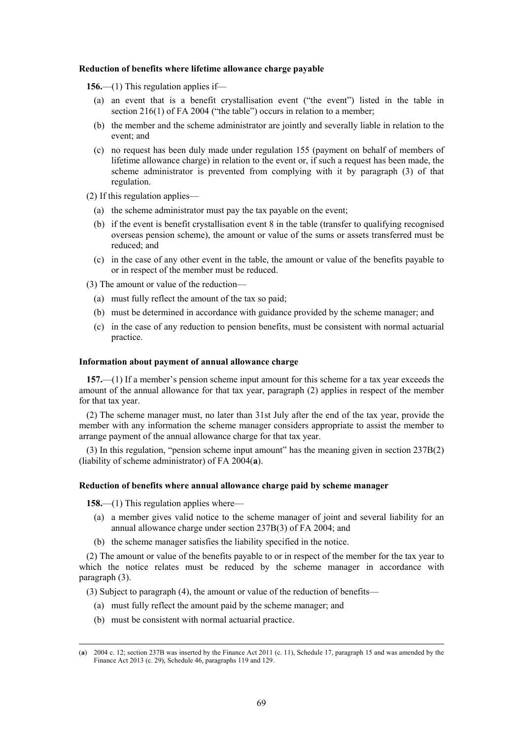### **Reduction of benefits where lifetime allowance charge payable**

**156.**—(1) This regulation applies if—

- (a) an event that is a benefit crystallisation event ("the event") listed in the table in section 216(1) of FA 2004 ("the table") occurs in relation to a member;
- (b) the member and the scheme administrator are jointly and severally liable in relation to the event; and
- (c) no request has been duly made under regulation 155 (payment on behalf of members of lifetime allowance charge) in relation to the event or, if such a request has been made, the scheme administrator is prevented from complying with it by paragraph (3) of that regulation.
- (2) If this regulation applies—
	- (a) the scheme administrator must pay the tax payable on the event;
	- (b) if the event is benefit crystallisation event 8 in the table (transfer to qualifying recognised overseas pension scheme), the amount or value of the sums or assets transferred must be reduced; and
	- (c) in the case of any other event in the table, the amount or value of the benefits payable to or in respect of the member must be reduced.

(3) The amount or value of the reduction—

- (a) must fully reflect the amount of the tax so paid;
- (b) must be determined in accordance with guidance provided by the scheme manager; and
- (c) in the case of any reduction to pension benefits, must be consistent with normal actuarial practice.

### **Information about payment of annual allowance charge**

**157.**—(1) If a member's pension scheme input amount for this scheme for a tax year exceeds the amount of the annual allowance for that tax year, paragraph (2) applies in respect of the member for that tax year.

(2) The scheme manager must, no later than 31st July after the end of the tax year, provide the member with any information the scheme manager considers appropriate to assist the member to arrange payment of the annual allowance charge for that tax year.

(3) In this regulation, "pension scheme input amount" has the meaning given in section 237B(2) (liability of scheme administrator) of FA 2004(**a**).

### **Reduction of benefits where annual allowance charge paid by scheme manager**

**158.**—(1) This regulation applies where—

 $\overline{a}$ 

- (a) a member gives valid notice to the scheme manager of joint and several liability for an annual allowance charge under section 237B(3) of FA 2004; and
- (b) the scheme manager satisfies the liability specified in the notice.

(2) The amount or value of the benefits payable to or in respect of the member for the tax year to which the notice relates must be reduced by the scheme manager in accordance with paragraph (3).

(3) Subject to paragraph (4), the amount or value of the reduction of benefits—

- (a) must fully reflect the amount paid by the scheme manager; and
- (b) must be consistent with normal actuarial practice.

<sup>(</sup>**a**) 2004 c. 12; section 237B was inserted by the Finance Act 2011 (c. 11), Schedule 17, paragraph 15 and was amended by the Finance Act 2013 (c. 29), Schedule 46, paragraphs 119 and 129.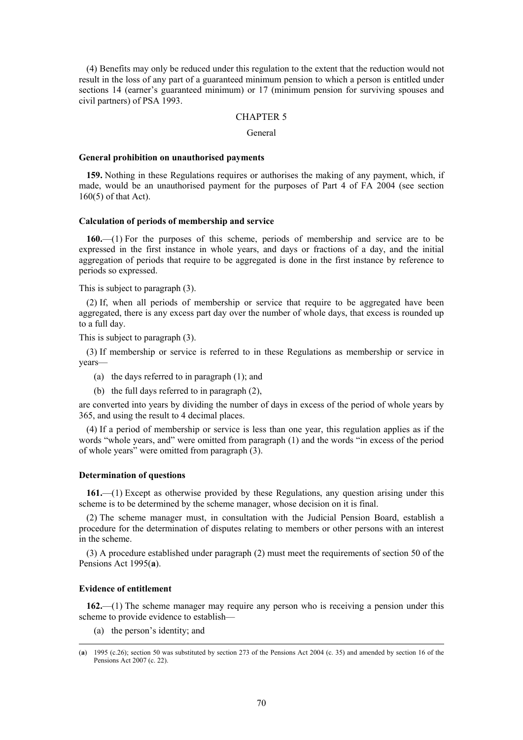(4) Benefits may only be reduced under this regulation to the extent that the reduction would not result in the loss of any part of a guaranteed minimum pension to which a person is entitled under sections 14 (earner's guaranteed minimum) or 17 (minimum pension for surviving spouses and civil partners) of PSA 1993.

# CHAPTER 5

# General

### **General prohibition on unauthorised payments**

**159.** Nothing in these Regulations requires or authorises the making of any payment, which, if made, would be an unauthorised payment for the purposes of Part 4 of FA 2004 (see section 160(5) of that Act).

### **Calculation of periods of membership and service**

**160.**—(1) For the purposes of this scheme, periods of membership and service are to be expressed in the first instance in whole years, and days or fractions of a day, and the initial aggregation of periods that require to be aggregated is done in the first instance by reference to periods so expressed.

This is subject to paragraph (3).

(2) If, when all periods of membership or service that require to be aggregated have been aggregated, there is any excess part day over the number of whole days, that excess is rounded up to a full day.

This is subject to paragraph (3).

(3) If membership or service is referred to in these Regulations as membership or service in years—

- (a) the days referred to in paragraph (1); and
- (b) the full days referred to in paragraph (2),

are converted into years by dividing the number of days in excess of the period of whole years by 365, and using the result to 4 decimal places.

(4) If a period of membership or service is less than one year, this regulation applies as if the words "whole years, and" were omitted from paragraph (1) and the words "in excess of the period of whole years" were omitted from paragraph (3).

### **Determination of questions**

**161.**—(1) Except as otherwise provided by these Regulations, any question arising under this scheme is to be determined by the scheme manager, whose decision on it is final.

(2) The scheme manager must, in consultation with the Judicial Pension Board, establish a procedure for the determination of disputes relating to members or other persons with an interest in the scheme.

(3) A procedure established under paragraph (2) must meet the requirements of section 50 of the Pensions Act 1995(**a**).

### **Evidence of entitlement**

 $\overline{a}$ 

**162.**—(1) The scheme manager may require any person who is receiving a pension under this scheme to provide evidence to establish—

(a) the person's identity; and

<sup>(</sup>**a**) 1995 (c.26); section 50 was substituted by section 273 of the Pensions Act 2004 (c. 35) and amended by section 16 of the Pensions Act 2007 (c. 22).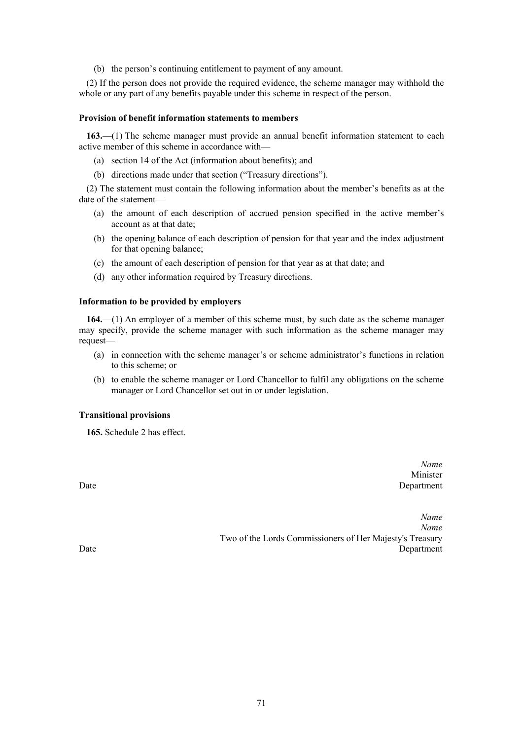(b) the person's continuing entitlement to payment of any amount.

(2) If the person does not provide the required evidence, the scheme manager may withhold the whole or any part of any benefits payable under this scheme in respect of the person.

# **Provision of benefit information statements to members**

**163.**—(1) The scheme manager must provide an annual benefit information statement to each active member of this scheme in accordance with—

- (a) section 14 of the Act (information about benefits); and
- (b) directions made under that section ("Treasury directions").

(2) The statement must contain the following information about the member's benefits as at the date of the statement—

- (a) the amount of each description of accrued pension specified in the active member's account as at that date;
- (b) the opening balance of each description of pension for that year and the index adjustment for that opening balance;
- (c) the amount of each description of pension for that year as at that date; and
- (d) any other information required by Treasury directions.

# **Information to be provided by employers**

**164.**—(1) An employer of a member of this scheme must, by such date as the scheme manager may specify, provide the scheme manager with such information as the scheme manager may request—

- (a) in connection with the scheme manager's or scheme administrator's functions in relation to this scheme; or
- (b) to enable the scheme manager or Lord Chancellor to fulfil any obligations on the scheme manager or Lord Chancellor set out in or under legislation.

# **Transitional provisions**

**165.** Schedule 2 has effect.

*Name* Minister Date Department

*Name Name* Two of the Lords Commissioners of Her Majesty's Treasury Date Department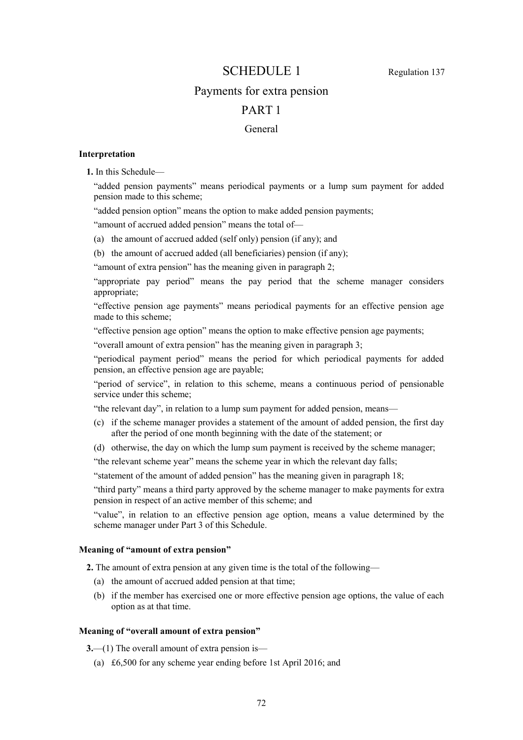# SCHEDULE 1 Regulation 137

# Payments for extra pension

# PART 1

# General

# **Interpretation**

**1.** In this Schedule—

"added pension payments" means periodical payments or a lump sum payment for added pension made to this scheme;

"added pension option" means the option to make added pension payments;

"amount of accrued added pension" means the total of—

(a) the amount of accrued added (self only) pension (if any); and

(b) the amount of accrued added (all beneficiaries) pension (if any);

"amount of extra pension" has the meaning given in paragraph 2;

"appropriate pay period" means the pay period that the scheme manager considers appropriate;

"effective pension age payments" means periodical payments for an effective pension age made to this scheme;

"effective pension age option" means the option to make effective pension age payments;

"overall amount of extra pension" has the meaning given in paragraph 3;

"periodical payment period" means the period for which periodical payments for added pension, an effective pension age are payable;

"period of service", in relation to this scheme, means a continuous period of pensionable service under this scheme;

"the relevant day", in relation to a lump sum payment for added pension, means—

- (c) if the scheme manager provides a statement of the amount of added pension, the first day after the period of one month beginning with the date of the statement; or
- (d) otherwise, the day on which the lump sum payment is received by the scheme manager;

"the relevant scheme year" means the scheme year in which the relevant day falls;

"statement of the amount of added pension" has the meaning given in paragraph 18;

"third party" means a third party approved by the scheme manager to make payments for extra pension in respect of an active member of this scheme; and

"value", in relation to an effective pension age option, means a value determined by the scheme manager under Part 3 of this Schedule.

# **Meaning of "amount of extra pension"**

**2.** The amount of extra pension at any given time is the total of the following—

- (a) the amount of accrued added pension at that time;
- (b) if the member has exercised one or more effective pension age options, the value of each option as at that time.

# **Meaning of "overall amount of extra pension"**

**3.**—(1) The overall amount of extra pension is—

(a) £6,500 for any scheme year ending before 1st April 2016; and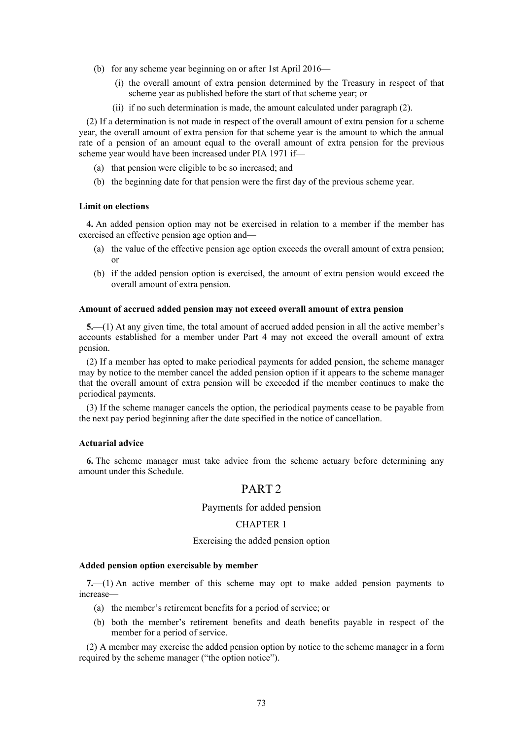- (b) for any scheme year beginning on or after 1st April 2016—
	- (i) the overall amount of extra pension determined by the Treasury in respect of that scheme year as published before the start of that scheme year; or
	- (ii) if no such determination is made, the amount calculated under paragraph (2).

(2) If a determination is not made in respect of the overall amount of extra pension for a scheme year, the overall amount of extra pension for that scheme year is the amount to which the annual rate of a pension of an amount equal to the overall amount of extra pension for the previous scheme year would have been increased under PIA 1971 if—

- (a) that pension were eligible to be so increased; and
- (b) the beginning date for that pension were the first day of the previous scheme year.

### **Limit on elections**

**4.** An added pension option may not be exercised in relation to a member if the member has exercised an effective pension age option and—

- (a) the value of the effective pension age option exceeds the overall amount of extra pension; or
- (b) if the added pension option is exercised, the amount of extra pension would exceed the overall amount of extra pension.

#### **Amount of accrued added pension may not exceed overall amount of extra pension**

**5.**—(1) At any given time, the total amount of accrued added pension in all the active member's accounts established for a member under Part 4 may not exceed the overall amount of extra pension.

(2) If a member has opted to make periodical payments for added pension, the scheme manager may by notice to the member cancel the added pension option if it appears to the scheme manager that the overall amount of extra pension will be exceeded if the member continues to make the periodical payments.

(3) If the scheme manager cancels the option, the periodical payments cease to be payable from the next pay period beginning after the date specified in the notice of cancellation.

### **Actuarial advice**

**6.** The scheme manager must take advice from the scheme actuary before determining any amount under this Schedule.

## PART<sub>2</sub>

### Payments for added pension

### CHAPTER 1

#### Exercising the added pension option

#### **Added pension option exercisable by member**

**7.**—(1) An active member of this scheme may opt to make added pension payments to increase—

- (a) the member's retirement benefits for a period of service; or
- (b) both the member's retirement benefits and death benefits payable in respect of the member for a period of service.

(2) A member may exercise the added pension option by notice to the scheme manager in a form required by the scheme manager ("the option notice").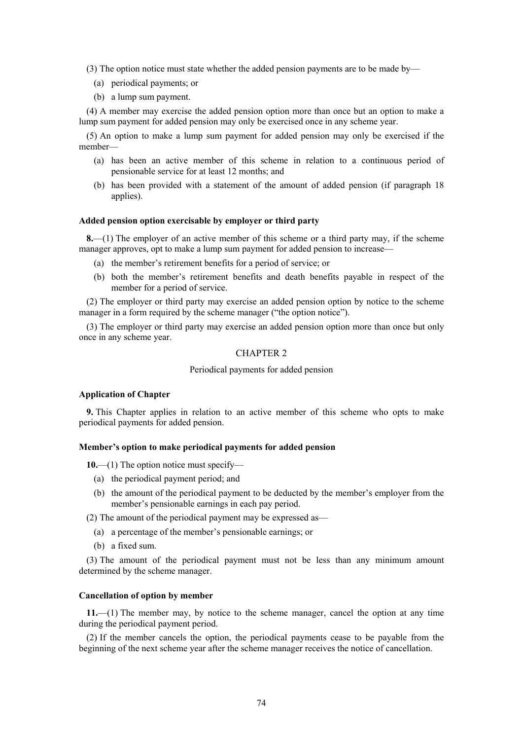- (3) The option notice must state whether the added pension payments are to be made by—
	- (a) periodical payments; or
	- (b) a lump sum payment.

(4) A member may exercise the added pension option more than once but an option to make a lump sum payment for added pension may only be exercised once in any scheme year.

(5) An option to make a lump sum payment for added pension may only be exercised if the member—

- (a) has been an active member of this scheme in relation to a continuous period of pensionable service for at least 12 months; and
- (b) has been provided with a statement of the amount of added pension (if paragraph 18 applies).

### **Added pension option exercisable by employer or third party**

**8.**—(1) The employer of an active member of this scheme or a third party may, if the scheme manager approves, opt to make a lump sum payment for added pension to increase—

- (a) the member's retirement benefits for a period of service; or
- (b) both the member's retirement benefits and death benefits payable in respect of the member for a period of service.

(2) The employer or third party may exercise an added pension option by notice to the scheme manager in a form required by the scheme manager ("the option notice").

(3) The employer or third party may exercise an added pension option more than once but only once in any scheme year.

### CHAPTER 2

Periodical payments for added pension

### **Application of Chapter**

**9.** This Chapter applies in relation to an active member of this scheme who opts to make periodical payments for added pension.

### **Member's option to make periodical payments for added pension**

**10.**—(1) The option notice must specify—

- (a) the periodical payment period; and
- (b) the amount of the periodical payment to be deducted by the member's employer from the member's pensionable earnings in each pay period.

(2) The amount of the periodical payment may be expressed as—

- (a) a percentage of the member's pensionable earnings; or
- (b) a fixed sum.

(3) The amount of the periodical payment must not be less than any minimum amount determined by the scheme manager.

### **Cancellation of option by member**

**11.**—(1) The member may, by notice to the scheme manager, cancel the option at any time during the periodical payment period.

(2) If the member cancels the option, the periodical payments cease to be payable from the beginning of the next scheme year after the scheme manager receives the notice of cancellation.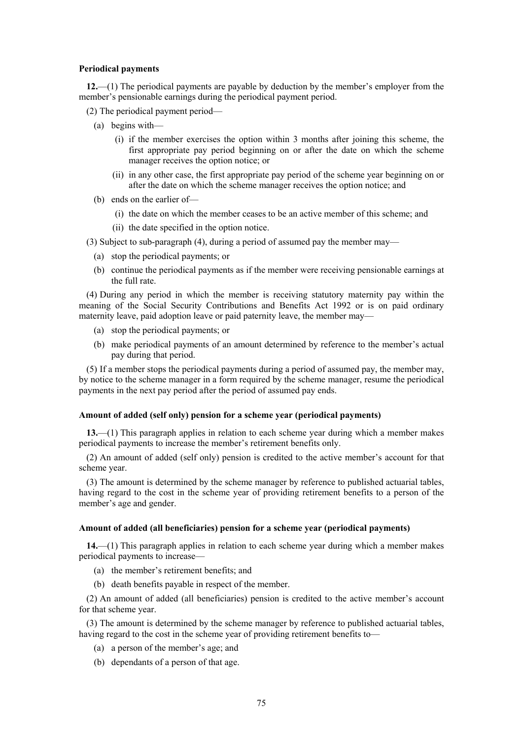#### **Periodical payments**

**12.**—(1) The periodical payments are payable by deduction by the member's employer from the member's pensionable earnings during the periodical payment period.

- (2) The periodical payment period—
	- (a) begins with—
		- (i) if the member exercises the option within 3 months after joining this scheme, the first appropriate pay period beginning on or after the date on which the scheme manager receives the option notice; or
		- (ii) in any other case, the first appropriate pay period of the scheme year beginning on or after the date on which the scheme manager receives the option notice; and
	- (b) ends on the earlier of—
		- (i) the date on which the member ceases to be an active member of this scheme; and
		- (ii) the date specified in the option notice.
- (3) Subject to sub-paragraph (4), during a period of assumed pay the member may—
	- (a) stop the periodical payments; or
	- (b) continue the periodical payments as if the member were receiving pensionable earnings at the full rate.

(4) During any period in which the member is receiving statutory maternity pay within the meaning of the Social Security Contributions and Benefits Act 1992 or is on paid ordinary maternity leave, paid adoption leave or paid paternity leave, the member may—

- (a) stop the periodical payments; or
- (b) make periodical payments of an amount determined by reference to the member's actual pay during that period.

(5) If a member stops the periodical payments during a period of assumed pay, the member may, by notice to the scheme manager in a form required by the scheme manager, resume the periodical payments in the next pay period after the period of assumed pay ends.

### **Amount of added (self only) pension for a scheme year (periodical payments)**

**13.**—(1) This paragraph applies in relation to each scheme year during which a member makes periodical payments to increase the member's retirement benefits only.

(2) An amount of added (self only) pension is credited to the active member's account for that scheme year.

(3) The amount is determined by the scheme manager by reference to published actuarial tables, having regard to the cost in the scheme year of providing retirement benefits to a person of the member's age and gender.

### **Amount of added (all beneficiaries) pension for a scheme year (periodical payments)**

**14.**—(1) This paragraph applies in relation to each scheme year during which a member makes periodical payments to increase—

- (a) the member's retirement benefits; and
- (b) death benefits payable in respect of the member.

(2) An amount of added (all beneficiaries) pension is credited to the active member's account for that scheme year.

(3) The amount is determined by the scheme manager by reference to published actuarial tables, having regard to the cost in the scheme year of providing retirement benefits to—

- (a) a person of the member's age; and
- (b) dependants of a person of that age.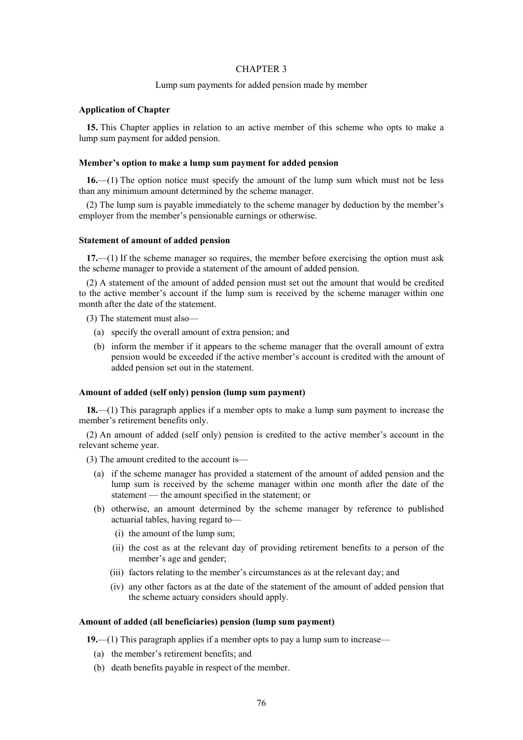### CHAPTER 3

### Lump sum payments for added pension made by member

### **Application of Chapter**

**15.** This Chapter applies in relation to an active member of this scheme who opts to make a lump sum payment for added pension.

#### **Member's option to make a lump sum payment for added pension**

**16.**—(1) The option notice must specify the amount of the lump sum which must not be less than any minimum amount determined by the scheme manager.

(2) The lump sum is payable immediately to the scheme manager by deduction by the member's employer from the member's pensionable earnings or otherwise.

#### **Statement of amount of added pension**

**17.**—(1) If the scheme manager so requires, the member before exercising the option must ask the scheme manager to provide a statement of the amount of added pension.

(2) A statement of the amount of added pension must set out the amount that would be credited to the active member's account if the lump sum is received by the scheme manager within one month after the date of the statement.

(3) The statement must also—

- (a) specify the overall amount of extra pension; and
- (b) inform the member if it appears to the scheme manager that the overall amount of extra pension would be exceeded if the active member's account is credited with the amount of added pension set out in the statement.

### **Amount of added (self only) pension (lump sum payment)**

**18.**—(1) This paragraph applies if a member opts to make a lump sum payment to increase the member's retirement benefits only.

(2) An amount of added (self only) pension is credited to the active member's account in the relevant scheme year.

- (3) The amount credited to the account is—
	- (a) if the scheme manager has provided a statement of the amount of added pension and the lump sum is received by the scheme manager within one month after the date of the statement — the amount specified in the statement; or
	- (b) otherwise, an amount determined by the scheme manager by reference to published actuarial tables, having regard to—
		- (i) the amount of the lump sum;
		- (ii) the cost as at the relevant day of providing retirement benefits to a person of the member's age and gender;
		- (iii) factors relating to the member's circumstances as at the relevant day; and
		- (iv) any other factors as at the date of the statement of the amount of added pension that the scheme actuary considers should apply.

### **Amount of added (all beneficiaries) pension (lump sum payment)**

**19.**—(1) This paragraph applies if a member opts to pay a lump sum to increase—

- (a) the member's retirement benefits; and
- (b) death benefits payable in respect of the member.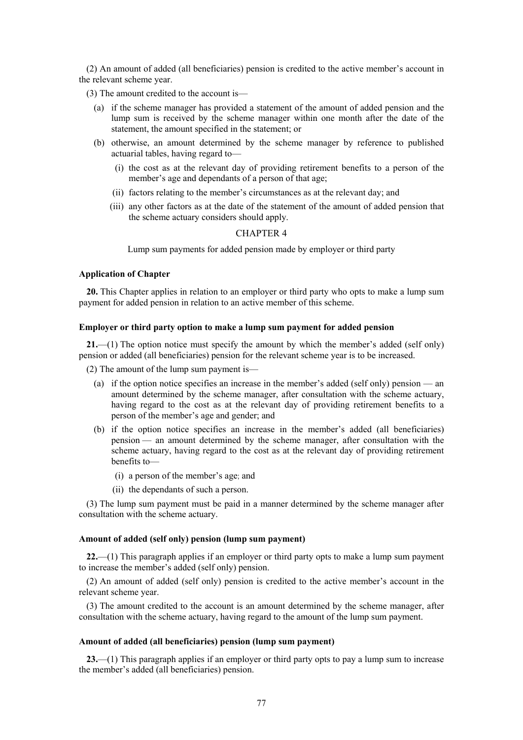(2) An amount of added (all beneficiaries) pension is credited to the active member's account in the relevant scheme year.

(3) The amount credited to the account is—

- (a) if the scheme manager has provided a statement of the amount of added pension and the lump sum is received by the scheme manager within one month after the date of the statement, the amount specified in the statement; or
- (b) otherwise, an amount determined by the scheme manager by reference to published actuarial tables, having regard to—
	- (i) the cost as at the relevant day of providing retirement benefits to a person of the member's age and dependants of a person of that age;
	- (ii) factors relating to the member's circumstances as at the relevant day; and
	- (iii) any other factors as at the date of the statement of the amount of added pension that the scheme actuary considers should apply.

### CHAPTER 4

Lump sum payments for added pension made by employer or third party

### **Application of Chapter**

**20.** This Chapter applies in relation to an employer or third party who opts to make a lump sum payment for added pension in relation to an active member of this scheme.

#### **Employer or third party option to make a lump sum payment for added pension**

**21.**—(1) The option notice must specify the amount by which the member's added (self only) pension or added (all beneficiaries) pension for the relevant scheme year is to be increased.

(2) The amount of the lump sum payment is—

- (a) if the option notice specifies an increase in the member's added (self only) pension an amount determined by the scheme manager, after consultation with the scheme actuary, having regard to the cost as at the relevant day of providing retirement benefits to a person of the member's age and gender; and
- (b) if the option notice specifies an increase in the member's added (all beneficiaries) pension — an amount determined by the scheme manager, after consultation with the scheme actuary, having regard to the cost as at the relevant day of providing retirement benefits to—
	- (i) a person of the member's age; and
	- (ii) the dependants of such a person.

(3) The lump sum payment must be paid in a manner determined by the scheme manager after consultation with the scheme actuary.

### **Amount of added (self only) pension (lump sum payment)**

**22.**—(1) This paragraph applies if an employer or third party opts to make a lump sum payment to increase the member's added (self only) pension.

(2) An amount of added (self only) pension is credited to the active member's account in the relevant scheme year.

(3) The amount credited to the account is an amount determined by the scheme manager, after consultation with the scheme actuary, having regard to the amount of the lump sum payment.

### **Amount of added (all beneficiaries) pension (lump sum payment)**

**23.**—(1) This paragraph applies if an employer or third party opts to pay a lump sum to increase the member's added (all beneficiaries) pension.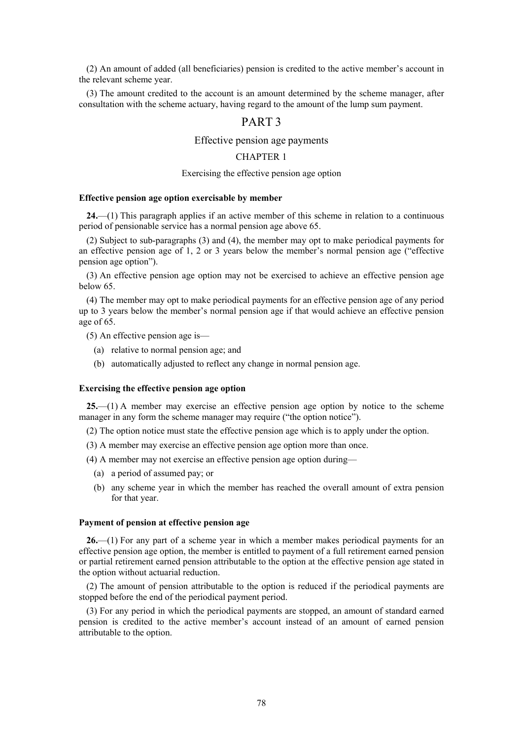(2) An amount of added (all beneficiaries) pension is credited to the active member's account in the relevant scheme year.

(3) The amount credited to the account is an amount determined by the scheme manager, after consultation with the scheme actuary, having regard to the amount of the lump sum payment.

## PART 3

### Effective pension age payments

### CHAPTER 1

### Exercising the effective pension age option

### **Effective pension age option exercisable by member**

**24.**—(1) This paragraph applies if an active member of this scheme in relation to a continuous period of pensionable service has a normal pension age above 65.

(2) Subject to sub-paragraphs (3) and (4), the member may opt to make periodical payments for an effective pension age of 1, 2 or 3 years below the member's normal pension age ("effective pension age option").

(3) An effective pension age option may not be exercised to achieve an effective pension age below 65.

(4) The member may opt to make periodical payments for an effective pension age of any period up to 3 years below the member's normal pension age if that would achieve an effective pension age of 65.

(5) An effective pension age is—

- (a) relative to normal pension age; and
- (b) automatically adjusted to reflect any change in normal pension age.

#### **Exercising the effective pension age option**

**25.**—(1) A member may exercise an effective pension age option by notice to the scheme manager in any form the scheme manager may require ("the option notice").

(2) The option notice must state the effective pension age which is to apply under the option.

(3) A member may exercise an effective pension age option more than once.

- (4) A member may not exercise an effective pension age option during—
	- (a) a period of assumed pay; or
	- (b) any scheme year in which the member has reached the overall amount of extra pension for that year.

### **Payment of pension at effective pension age**

**26.**—(1) For any part of a scheme year in which a member makes periodical payments for an effective pension age option, the member is entitled to payment of a full retirement earned pension or partial retirement earned pension attributable to the option at the effective pension age stated in the option without actuarial reduction.

(2) The amount of pension attributable to the option is reduced if the periodical payments are stopped before the end of the periodical payment period.

(3) For any period in which the periodical payments are stopped, an amount of standard earned pension is credited to the active member's account instead of an amount of earned pension attributable to the option.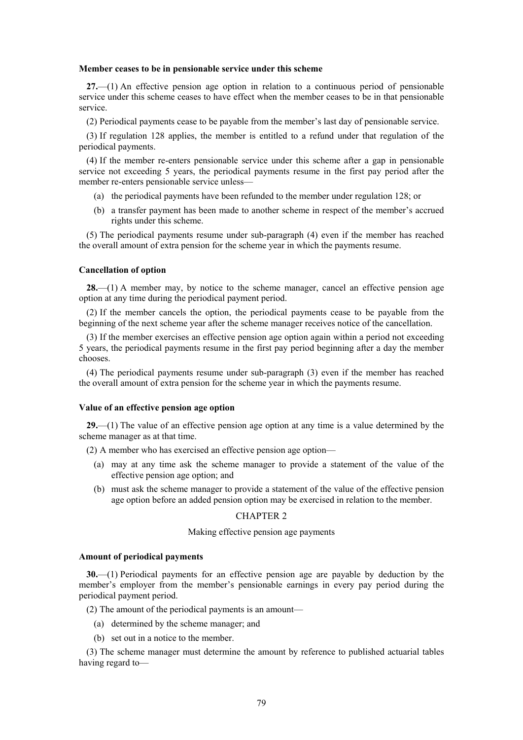#### **Member ceases to be in pensionable service under this scheme**

**27.**—(1) An effective pension age option in relation to a continuous period of pensionable service under this scheme ceases to have effect when the member ceases to be in that pensionable service.

(2) Periodical payments cease to be payable from the member's last day of pensionable service.

(3) If regulation 128 applies, the member is entitled to a refund under that regulation of the periodical payments.

(4) If the member re-enters pensionable service under this scheme after a gap in pensionable service not exceeding 5 years, the periodical payments resume in the first pay period after the member re-enters pensionable service unless—

- (a) the periodical payments have been refunded to the member under regulation 128; or
- (b) a transfer payment has been made to another scheme in respect of the member's accrued rights under this scheme.

(5) The periodical payments resume under sub-paragraph (4) even if the member has reached the overall amount of extra pension for the scheme year in which the payments resume.

### **Cancellation of option**

**28.**—(1) A member may, by notice to the scheme manager, cancel an effective pension age option at any time during the periodical payment period.

(2) If the member cancels the option, the periodical payments cease to be payable from the beginning of the next scheme year after the scheme manager receives notice of the cancellation.

(3) If the member exercises an effective pension age option again within a period not exceeding 5 years, the periodical payments resume in the first pay period beginning after a day the member chooses.

(4) The periodical payments resume under sub-paragraph (3) even if the member has reached the overall amount of extra pension for the scheme year in which the payments resume.

### **Value of an effective pension age option**

**29.**—(1) The value of an effective pension age option at any time is a value determined by the scheme manager as at that time.

(2) A member who has exercised an effective pension age option—

- (a) may at any time ask the scheme manager to provide a statement of the value of the effective pension age option; and
- (b) must ask the scheme manager to provide a statement of the value of the effective pension age option before an added pension option may be exercised in relation to the member.

### CHAPTER 2

#### Making effective pension age payments

### **Amount of periodical payments**

**30.**—(1) Periodical payments for an effective pension age are payable by deduction by the member's employer from the member's pensionable earnings in every pay period during the periodical payment period.

(2) The amount of the periodical payments is an amount—

- (a) determined by the scheme manager; and
- (b) set out in a notice to the member.

(3) The scheme manager must determine the amount by reference to published actuarial tables having regard to—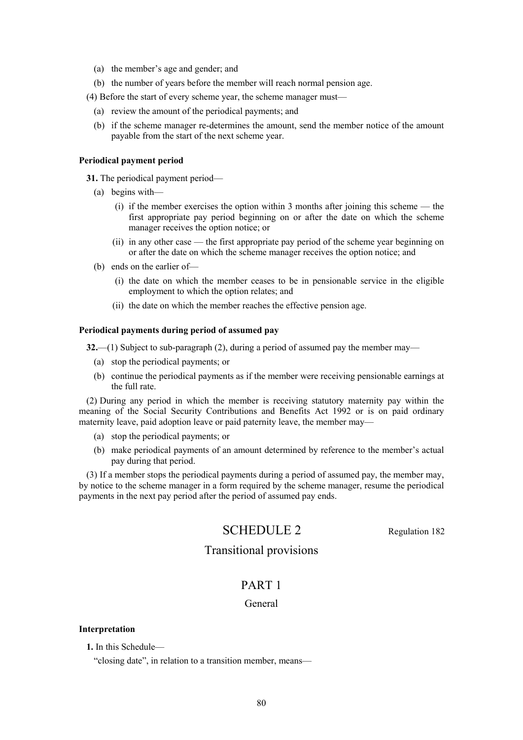- (a) the member's age and gender; and
- (b) the number of years before the member will reach normal pension age.
- (4) Before the start of every scheme year, the scheme manager must—
	- (a) review the amount of the periodical payments; and
	- (b) if the scheme manager re-determines the amount, send the member notice of the amount payable from the start of the next scheme year.

### **Periodical payment period**

**31.** The periodical payment period—

- (a) begins with—
	- (i) if the member exercises the option within 3 months after joining this scheme the first appropriate pay period beginning on or after the date on which the scheme manager receives the option notice; or
	- (ii) in any other case the first appropriate pay period of the scheme year beginning on or after the date on which the scheme manager receives the option notice; and
- (b) ends on the earlier of—
	- (i) the date on which the member ceases to be in pensionable service in the eligible employment to which the option relates; and
	- (ii) the date on which the member reaches the effective pension age.

### **Periodical payments during period of assumed pay**

**32.**—(1) Subject to sub-paragraph (2), during a period of assumed pay the member may—

- (a) stop the periodical payments; or
- (b) continue the periodical payments as if the member were receiving pensionable earnings at the full rate.

(2) During any period in which the member is receiving statutory maternity pay within the meaning of the Social Security Contributions and Benefits Act 1992 or is on paid ordinary maternity leave, paid adoption leave or paid paternity leave, the member may—

- (a) stop the periodical payments; or
- (b) make periodical payments of an amount determined by reference to the member's actual pay during that period.

(3) If a member stops the periodical payments during a period of assumed pay, the member may, by notice to the scheme manager in a form required by the scheme manager, resume the periodical payments in the next pay period after the period of assumed pay ends.

# SCHEDULE 2 Regulation 182

## Transitional provisions

## PART 1

### General

### **Interpretation**

**1.** In this Schedule—

"closing date", in relation to a transition member, means—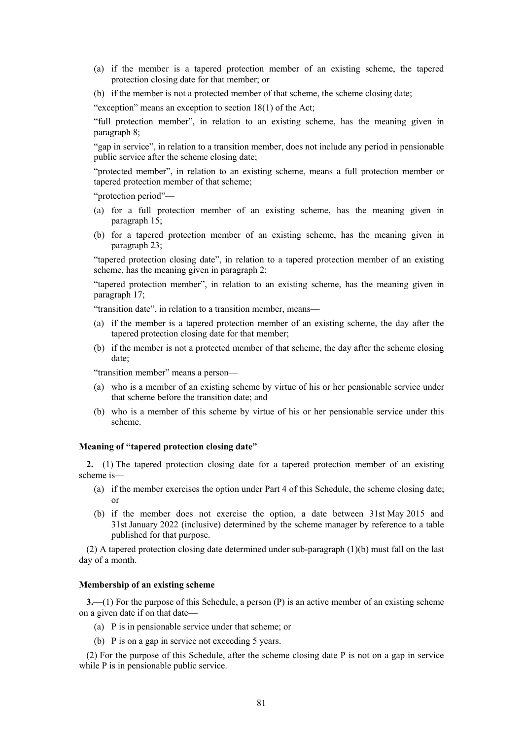- (a) if the member is a tapered protection member of an existing scheme, the tapered protection closing date for that member; or
- (b) if the member is not a protected member of that scheme, the scheme closing date;

"exception" means an exception to section 18(1) of the Act;

"full protection member", in relation to an existing scheme, has the meaning given in paragraph 8;

"gap in service", in relation to a transition member, does not include any period in pensionable public service after the scheme closing date;

"protected member", in relation to an existing scheme, means a full protection member or tapered protection member of that scheme;

"protection period"—

- (a) for a full protection member of an existing scheme, has the meaning given in paragraph 15;
- (b) for a tapered protection member of an existing scheme, has the meaning given in paragraph 23;

"tapered protection closing date", in relation to a tapered protection member of an existing scheme, has the meaning given in paragraph 2;

"tapered protection member", in relation to an existing scheme, has the meaning given in paragraph 17;

"transition date", in relation to a transition member, means—

- (a) if the member is a tapered protection member of an existing scheme, the day after the tapered protection closing date for that member;
- (b) if the member is not a protected member of that scheme, the day after the scheme closing date;

"transition member" means a person—

- (a) who is a member of an existing scheme by virtue of his or her pensionable service under that scheme before the transition date; and
- (b) who is a member of this scheme by virtue of his or her pensionable service under this scheme.

### **Meaning of "tapered protection closing date"**

**2.**—(1) The tapered protection closing date for a tapered protection member of an existing scheme is—

- (a) if the member exercises the option under Part 4 of this Schedule, the scheme closing date; or
- (b) if the member does not exercise the option, a date between 31st May 2015 and 31st January 2022 (inclusive) determined by the scheme manager by reference to a table published for that purpose.

(2) A tapered protection closing date determined under sub-paragraph (1)(b) must fall on the last day of a month.

### **Membership of an existing scheme**

**3.**—(1) For the purpose of this Schedule, a person (P) is an active member of an existing scheme on a given date if on that date—

- (a) P is in pensionable service under that scheme; or
- (b) P is on a gap in service not exceeding 5 years.

(2) For the purpose of this Schedule, after the scheme closing date P is not on a gap in service while P is in pensionable public service.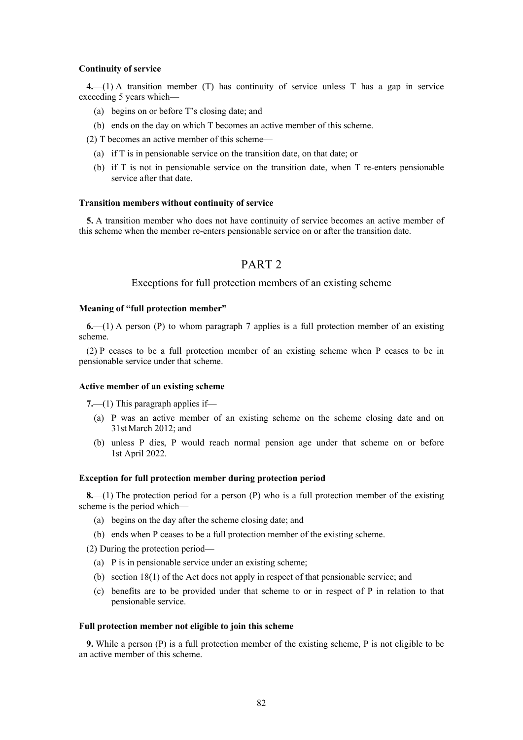#### **Continuity of service**

**4.**—(1) A transition member (T) has continuity of service unless T has a gap in service exceeding 5 years which—

- (a) begins on or before T's closing date; and
- (b) ends on the day on which T becomes an active member of this scheme.
- (2) T becomes an active member of this scheme—
	- (a) if T is in pensionable service on the transition date, on that date; or
	- (b) if T is not in pensionable service on the transition date, when T re-enters pensionable service after that date.

### **Transition members without continuity of service**

**5.** A transition member who does not have continuity of service becomes an active member of this scheme when the member re-enters pensionable service on or after the transition date.

## PART 2

### Exceptions for full protection members of an existing scheme

#### **Meaning of "full protection member"**

**6.**—(1) A person (P) to whom paragraph 7 applies is a full protection member of an existing scheme.

(2) P ceases to be a full protection member of an existing scheme when P ceases to be in pensionable service under that scheme.

#### **Active member of an existing scheme**

**7.**—(1) This paragraph applies if—

- (a) P was an active member of an existing scheme on the scheme closing date and on 31st March 2012; and
- (b) unless P dies, P would reach normal pension age under that scheme on or before 1st April 2022.

#### **Exception for full protection member during protection period**

**8.**—(1) The protection period for a person (P) who is a full protection member of the existing scheme is the period which—

- (a) begins on the day after the scheme closing date; and
- (b) ends when P ceases to be a full protection member of the existing scheme.

(2) During the protection period—

- (a) P is in pensionable service under an existing scheme;
- (b) section 18(1) of the Act does not apply in respect of that pensionable service; and
- (c) benefits are to be provided under that scheme to or in respect of P in relation to that pensionable service.

#### **Full protection member not eligible to join this scheme**

**9.** While a person (P) is a full protection member of the existing scheme, P is not eligible to be an active member of this scheme.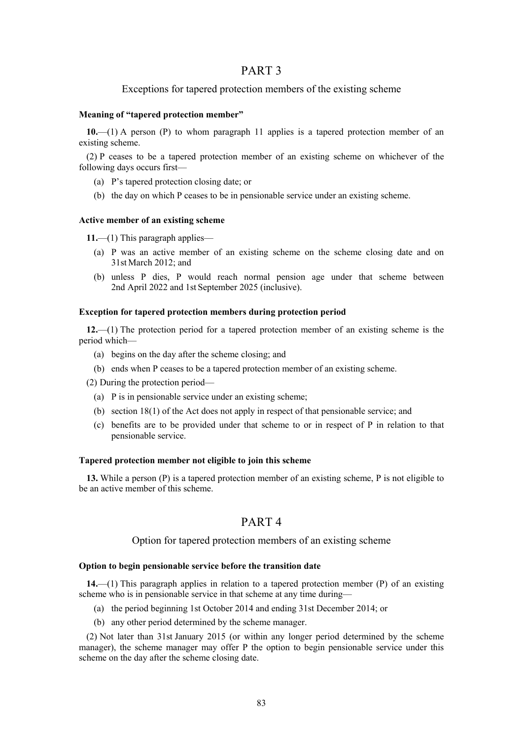## PART 3

### Exceptions for tapered protection members of the existing scheme

### **Meaning of "tapered protection member"**

**10.**—(1) A person (P) to whom paragraph 11 applies is a tapered protection member of an existing scheme.

(2) P ceases to be a tapered protection member of an existing scheme on whichever of the following days occurs first—

- (a) P's tapered protection closing date; or
- (b) the day on which P ceases to be in pensionable service under an existing scheme.

### **Active member of an existing scheme**

**11.**—(1) This paragraph applies—

- (a) P was an active member of an existing scheme on the scheme closing date and on 31st March 2012; and
- (b) unless P dies, P would reach normal pension age under that scheme between 2nd April 2022 and 1st September 2025 (inclusive).

### **Exception for tapered protection members during protection period**

**12.**—(1) The protection period for a tapered protection member of an existing scheme is the period which—

- (a) begins on the day after the scheme closing; and
- (b) ends when P ceases to be a tapered protection member of an existing scheme.
- (2) During the protection period—
	- (a) P is in pensionable service under an existing scheme;
	- (b) section 18(1) of the Act does not apply in respect of that pensionable service; and
	- (c) benefits are to be provided under that scheme to or in respect of P in relation to that pensionable service.

### **Tapered protection member not eligible to join this scheme**

**13.** While a person (P) is a tapered protection member of an existing scheme, P is not eligible to be an active member of this scheme.

## PART 4

### Option for tapered protection members of an existing scheme

### **Option to begin pensionable service before the transition date**

**14.**—(1) This paragraph applies in relation to a tapered protection member (P) of an existing scheme who is in pensionable service in that scheme at any time during—

- (a) the period beginning 1st October 2014 and ending 31st December 2014; or
- (b) any other period determined by the scheme manager.

(2) Not later than 31st January 2015 (or within any longer period determined by the scheme manager), the scheme manager may offer P the option to begin pensionable service under this scheme on the day after the scheme closing date.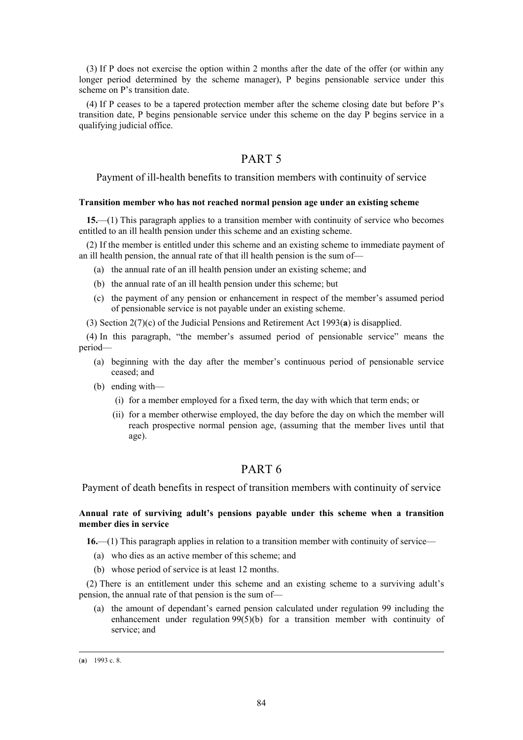(3) If P does not exercise the option within 2 months after the date of the offer (or within any longer period determined by the scheme manager), P begins pensionable service under this scheme on P's transition date.

(4) If P ceases to be a tapered protection member after the scheme closing date but before P's transition date, P begins pensionable service under this scheme on the day P begins service in a qualifying judicial office.

## PART 5

Payment of ill-health benefits to transition members with continuity of service

### **Transition member who has not reached normal pension age under an existing scheme**

**15.**—(1) This paragraph applies to a transition member with continuity of service who becomes entitled to an ill health pension under this scheme and an existing scheme.

(2) If the member is entitled under this scheme and an existing scheme to immediate payment of an ill health pension, the annual rate of that ill health pension is the sum of—

- (a) the annual rate of an ill health pension under an existing scheme; and
- (b) the annual rate of an ill health pension under this scheme; but
- (c) the payment of any pension or enhancement in respect of the member's assumed period of pensionable service is not payable under an existing scheme.
- (3) Section 2(7)(c) of the Judicial Pensions and Retirement Act 1993(**a**) is disapplied.

(4) In this paragraph, "the member's assumed period of pensionable service" means the period—

- (a) beginning with the day after the member's continuous period of pensionable service ceased; and
- (b) ending with—
	- (i) for a member employed for a fixed term, the day with which that term ends; or
	- (ii) for a member otherwise employed, the day before the day on which the member will reach prospective normal pension age, (assuming that the member lives until that age).

## PART 6

Payment of death benefits in respect of transition members with continuity of service

### **Annual rate of surviving adult's pensions payable under this scheme when a transition member dies in service**

**16.**—(1) This paragraph applies in relation to a transition member with continuity of service—

- (a) who dies as an active member of this scheme; and
- (b) whose period of service is at least 12 months.

(2) There is an entitlement under this scheme and an existing scheme to a surviving adult's pension, the annual rate of that pension is the sum of—

(a) the amount of dependant's earned pension calculated under regulation 99 including the enhancement under regulation  $99(5)(b)$  for a transition member with continuity of service; and

 $\overline{a}$ 

<sup>(</sup>**a**) 1993 c. 8.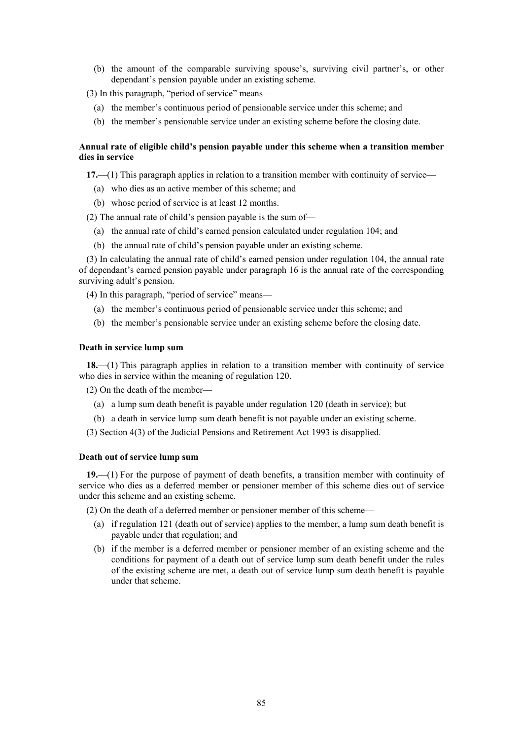(b) the amount of the comparable surviving spouse's, surviving civil partner's, or other dependant's pension payable under an existing scheme.

(3) In this paragraph, "period of service" means—

- (a) the member's continuous period of pensionable service under this scheme; and
- (b) the member's pensionable service under an existing scheme before the closing date.

### **Annual rate of eligible child's pension payable under this scheme when a transition member dies in service**

**17.**—(1) This paragraph applies in relation to a transition member with continuity of service—

- (a) who dies as an active member of this scheme; and
- (b) whose period of service is at least 12 months.

(2) The annual rate of child's pension payable is the sum of—

- (a) the annual rate of child's earned pension calculated under regulation 104; and
- (b) the annual rate of child's pension payable under an existing scheme.

(3) In calculating the annual rate of child's earned pension under regulation 104, the annual rate of dependant's earned pension payable under paragraph 16 is the annual rate of the corresponding surviving adult's pension.

(4) In this paragraph, "period of service" means—

- (a) the member's continuous period of pensionable service under this scheme; and
- (b) the member's pensionable service under an existing scheme before the closing date.

### **Death in service lump sum**

**18.**—(1) This paragraph applies in relation to a transition member with continuity of service who dies in service within the meaning of regulation 120.

(2) On the death of the member—

- (a) a lump sum death benefit is payable under regulation 120 (death in service); but
- (b) a death in service lump sum death benefit is not payable under an existing scheme.
- (3) Section 4(3) of the Judicial Pensions and Retirement Act 1993 is disapplied.

### **Death out of service lump sum**

**19.**—(1) For the purpose of payment of death benefits, a transition member with continuity of service who dies as a deferred member or pensioner member of this scheme dies out of service under this scheme and an existing scheme.

(2) On the death of a deferred member or pensioner member of this scheme—

- (a) if regulation 121 (death out of service) applies to the member, a lump sum death benefit is payable under that regulation; and
- (b) if the member is a deferred member or pensioner member of an existing scheme and the conditions for payment of a death out of service lump sum death benefit under the rules of the existing scheme are met, a death out of service lump sum death benefit is payable under that scheme.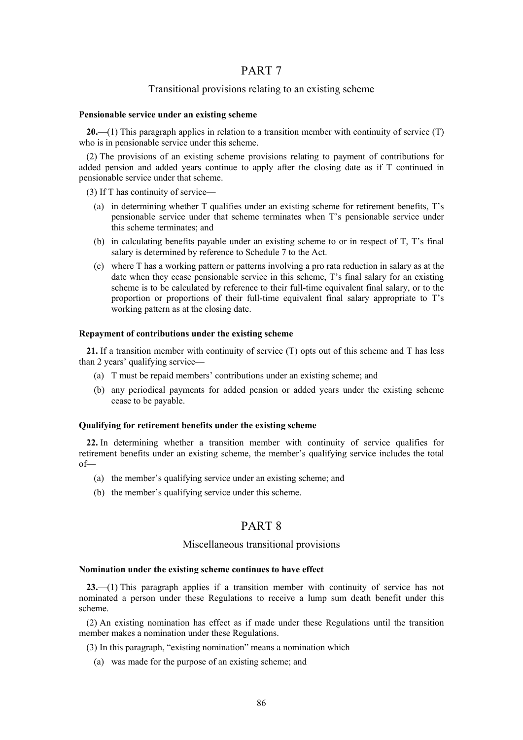## PART 7

### Transitional provisions relating to an existing scheme

### **Pensionable service under an existing scheme**

**20.**—(1) This paragraph applies in relation to a transition member with continuity of service (T) who is in pensionable service under this scheme.

(2) The provisions of an existing scheme provisions relating to payment of contributions for added pension and added years continue to apply after the closing date as if T continued in pensionable service under that scheme.

(3) If T has continuity of service—

- (a) in determining whether T qualifies under an existing scheme for retirement benefits, T's pensionable service under that scheme terminates when T's pensionable service under this scheme terminates; and
- (b) in calculating benefits payable under an existing scheme to or in respect of T, T's final salary is determined by reference to Schedule 7 to the Act.
- (c) where T has a working pattern or patterns involving a pro rata reduction in salary as at the date when they cease pensionable service in this scheme, T's final salary for an existing scheme is to be calculated by reference to their full-time equivalent final salary, or to the proportion or proportions of their full-time equivalent final salary appropriate to T's working pattern as at the closing date.

### **Repayment of contributions under the existing scheme**

**21.** If a transition member with continuity of service (T) opts out of this scheme and T has less than 2 years' qualifying service—

- (a) T must be repaid members' contributions under an existing scheme; and
- (b) any periodical payments for added pension or added years under the existing scheme cease to be payable.

### **Qualifying for retirement benefits under the existing scheme**

**22.** In determining whether a transition member with continuity of service qualifies for retirement benefits under an existing scheme, the member's qualifying service includes the total of—

- (a) the member's qualifying service under an existing scheme; and
- (b) the member's qualifying service under this scheme.

## PART 8

### Miscellaneous transitional provisions

#### **Nomination under the existing scheme continues to have effect**

**23.**—(1) This paragraph applies if a transition member with continuity of service has not nominated a person under these Regulations to receive a lump sum death benefit under this scheme.

(2) An existing nomination has effect as if made under these Regulations until the transition member makes a nomination under these Regulations.

(3) In this paragraph, "existing nomination" means a nomination which—

(a) was made for the purpose of an existing scheme; and